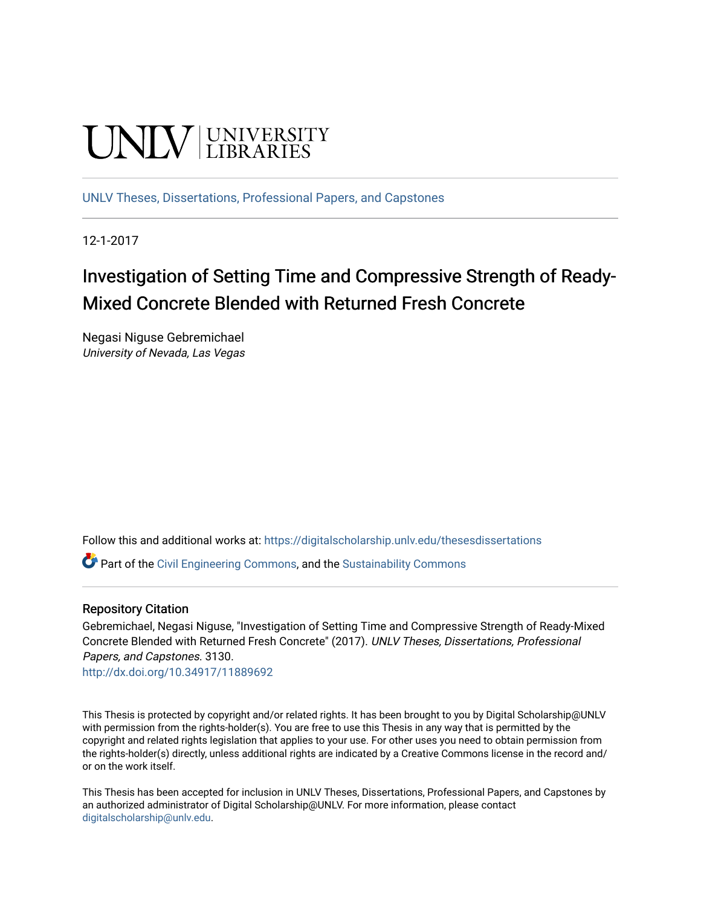# **UNIVERSITY**

[UNLV Theses, Dissertations, Professional Papers, and Capstones](https://digitalscholarship.unlv.edu/thesesdissertations)

12-1-2017

# Investigation of Setting Time and Compressive Strength of Ready-Mixed Concrete Blended with Returned Fresh Concrete

Negasi Niguse Gebremichael University of Nevada, Las Vegas

Follow this and additional works at: [https://digitalscholarship.unlv.edu/thesesdissertations](https://digitalscholarship.unlv.edu/thesesdissertations?utm_source=digitalscholarship.unlv.edu%2Fthesesdissertations%2F3130&utm_medium=PDF&utm_campaign=PDFCoverPages)

Part of the [Civil Engineering Commons](http://network.bepress.com/hgg/discipline/252?utm_source=digitalscholarship.unlv.edu%2Fthesesdissertations%2F3130&utm_medium=PDF&utm_campaign=PDFCoverPages), and the [Sustainability Commons](http://network.bepress.com/hgg/discipline/1031?utm_source=digitalscholarship.unlv.edu%2Fthesesdissertations%2F3130&utm_medium=PDF&utm_campaign=PDFCoverPages)

#### Repository Citation

Gebremichael, Negasi Niguse, "Investigation of Setting Time and Compressive Strength of Ready-Mixed Concrete Blended with Returned Fresh Concrete" (2017). UNLV Theses, Dissertations, Professional Papers, and Capstones. 3130.

<http://dx.doi.org/10.34917/11889692>

This Thesis is protected by copyright and/or related rights. It has been brought to you by Digital Scholarship@UNLV with permission from the rights-holder(s). You are free to use this Thesis in any way that is permitted by the copyright and related rights legislation that applies to your use. For other uses you need to obtain permission from the rights-holder(s) directly, unless additional rights are indicated by a Creative Commons license in the record and/ or on the work itself.

This Thesis has been accepted for inclusion in UNLV Theses, Dissertations, Professional Papers, and Capstones by an authorized administrator of Digital Scholarship@UNLV. For more information, please contact [digitalscholarship@unlv.edu](mailto:digitalscholarship@unlv.edu).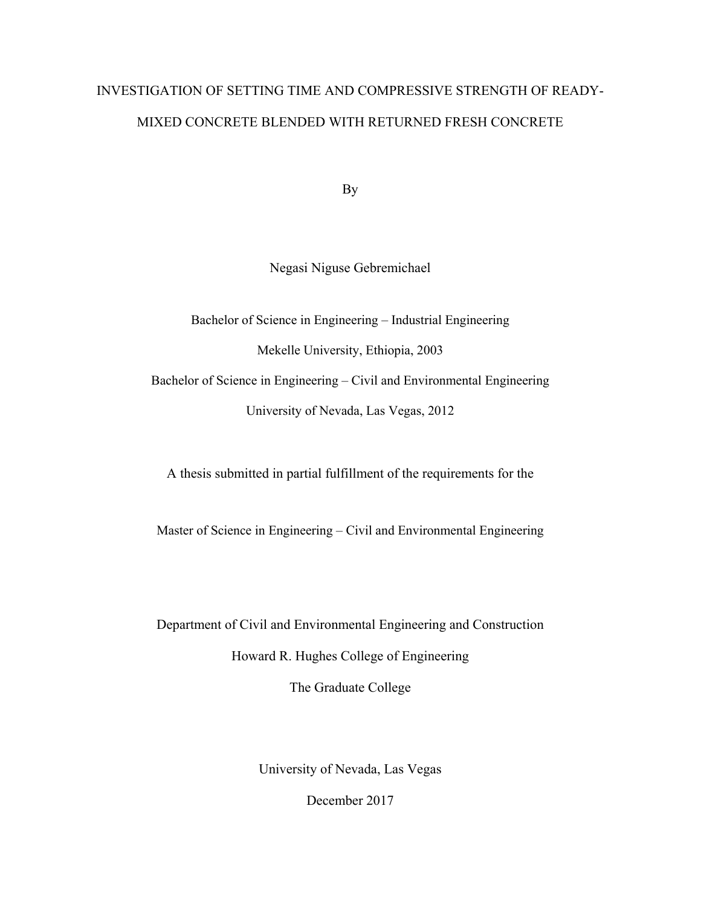# INVESTIGATION OF SETTING TIME AND COMPRESSIVE STRENGTH OF READY-MIXED CONCRETE BLENDED WITH RETURNED FRESH CONCRETE

By

Negasi Niguse Gebremichael

Bachelor of Science in Engineering – Industrial Engineering Mekelle University, Ethiopia, 2003 Bachelor of Science in Engineering – Civil and Environmental Engineering University of Nevada, Las Vegas, 2012

A thesis submitted in partial fulfillment of the requirements for the

Master of Science in Engineering – Civil and Environmental Engineering

Department of Civil and Environmental Engineering and Construction Howard R. Hughes College of Engineering

The Graduate College

University of Nevada, Las Vegas

December 2017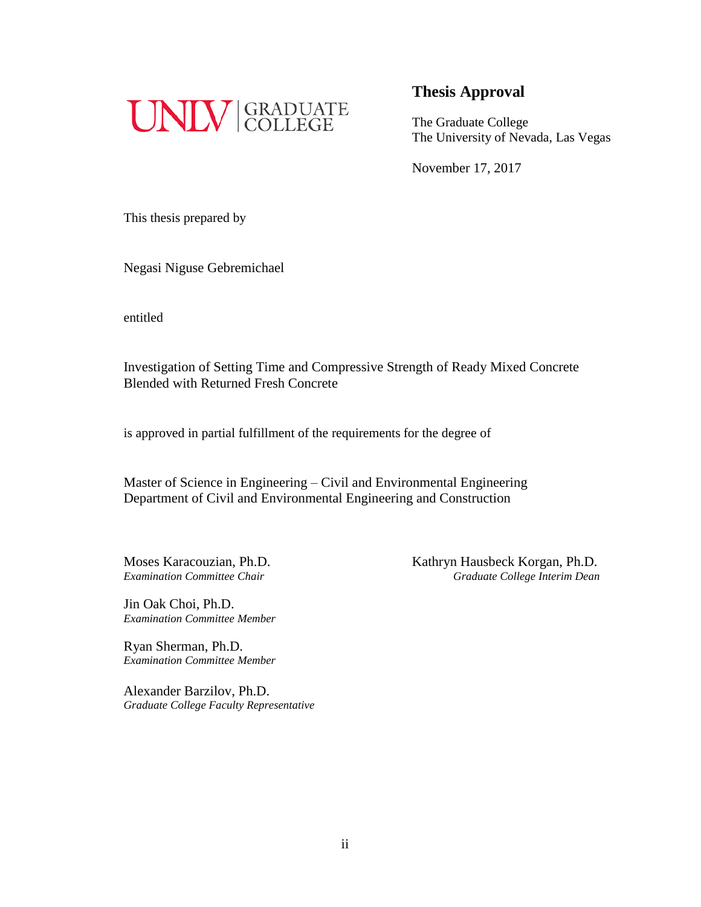

The Graduate College The University of Nevada, Las Vegas

November 17, 2017

This thesis prepared by

Negasi Niguse Gebremichael

entitled

Investigation of Setting Time and Compressive Strength of Ready Mixed Concrete Blended with Returned Fresh Concrete

is approved in partial fulfillment of the requirements for the degree of

Master of Science in Engineering – Civil and Environmental Engineering Department of Civil and Environmental Engineering and Construction

Jin Oak Choi, Ph.D. *Examination Committee Member*

Ryan Sherman, Ph.D. *Examination Committee Member*

Alexander Barzilov, Ph.D. *Graduate College Faculty Representative*

Moses Karacouzian, Ph.D. Kathryn Hausbeck Korgan, Ph.D. *Examination Committee Chair Graduate College Interim Dean*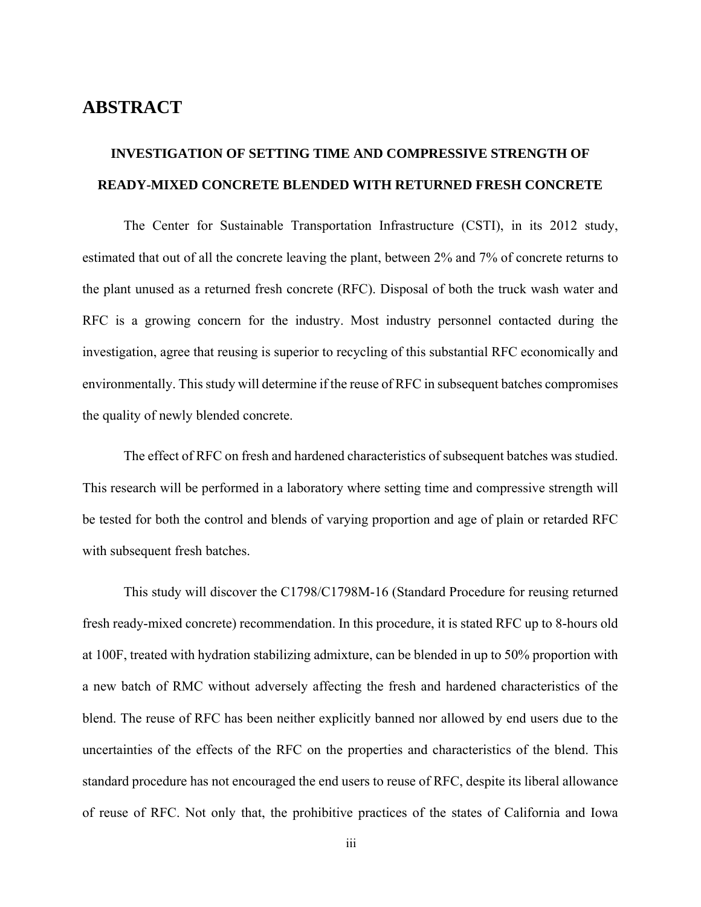## **ABSTRACT**

# **INVESTIGATION OF SETTING TIME AND COMPRESSIVE STRENGTH OF READY-MIXED CONCRETE BLENDED WITH RETURNED FRESH CONCRETE**

The Center for Sustainable Transportation Infrastructure (CSTI), in its 2012 study, estimated that out of all the concrete leaving the plant, between 2% and 7% of concrete returns to the plant unused as a returned fresh concrete (RFC). Disposal of both the truck wash water and RFC is a growing concern for the industry. Most industry personnel contacted during the investigation, agree that reusing is superior to recycling of this substantial RFC economically and environmentally. This study will determine if the reuse of RFC in subsequent batches compromises the quality of newly blended concrete.

The effect of RFC on fresh and hardened characteristics of subsequent batches was studied. This research will be performed in a laboratory where setting time and compressive strength will be tested for both the control and blends of varying proportion and age of plain or retarded RFC with subsequent fresh batches.

This study will discover the C1798/C1798M-16 (Standard Procedure for reusing returned fresh ready-mixed concrete) recommendation. In this procedure, it is stated RFC up to 8-hours old at 100F, treated with hydration stabilizing admixture, can be blended in up to 50% proportion with a new batch of RMC without adversely affecting the fresh and hardened characteristics of the blend. The reuse of RFC has been neither explicitly banned nor allowed by end users due to the uncertainties of the effects of the RFC on the properties and characteristics of the blend. This standard procedure has not encouraged the end users to reuse of RFC, despite its liberal allowance of reuse of RFC. Not only that, the prohibitive practices of the states of California and Iowa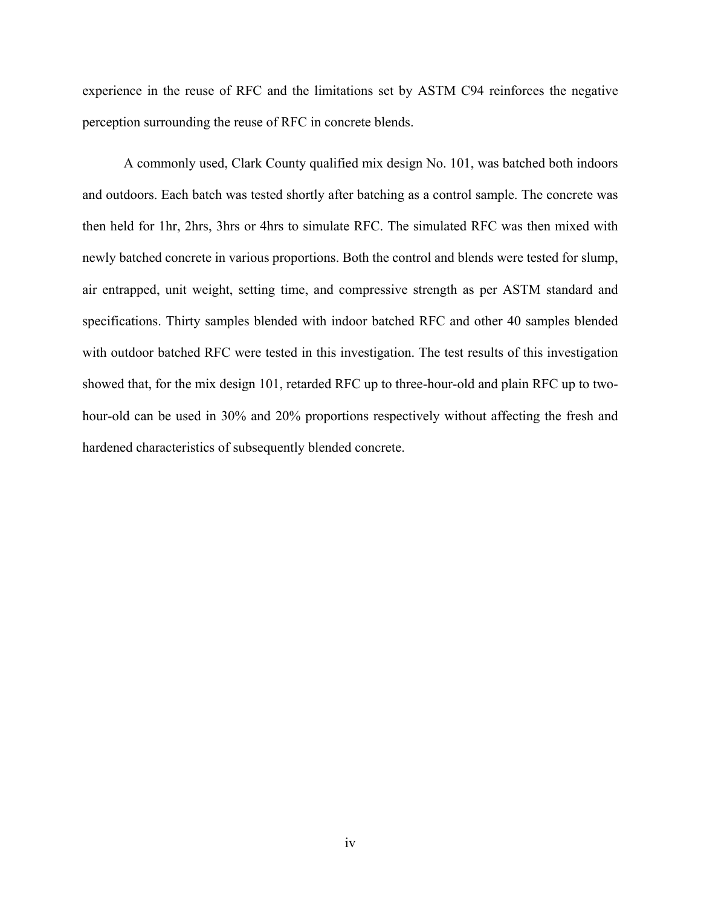experience in the reuse of RFC and the limitations set by ASTM C94 reinforces the negative perception surrounding the reuse of RFC in concrete blends.

A commonly used, Clark County qualified mix design No. 101, was batched both indoors and outdoors. Each batch was tested shortly after batching as a control sample. The concrete was then held for 1hr, 2hrs, 3hrs or 4hrs to simulate RFC. The simulated RFC was then mixed with newly batched concrete in various proportions. Both the control and blends were tested for slump, air entrapped, unit weight, setting time, and compressive strength as per ASTM standard and specifications. Thirty samples blended with indoor batched RFC and other 40 samples blended with outdoor batched RFC were tested in this investigation. The test results of this investigation showed that, for the mix design 101, retarded RFC up to three-hour-old and plain RFC up to twohour-old can be used in 30% and 20% proportions respectively without affecting the fresh and hardened characteristics of subsequently blended concrete.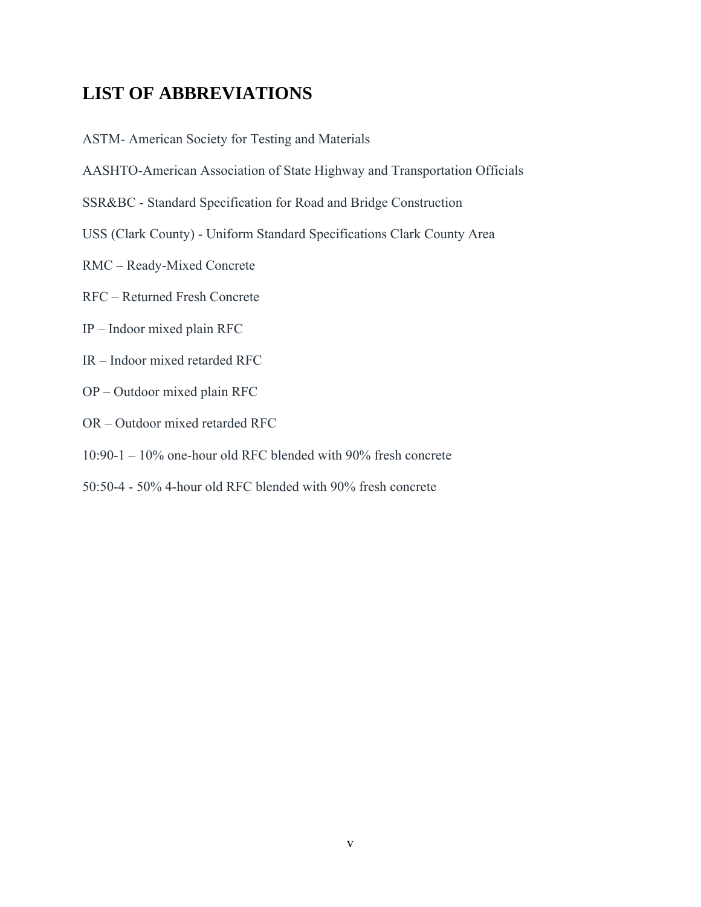## **LIST OF ABBREVIATIONS**

ASTM- American Society for Testing and Materials

- AASHTO-American Association of State Highway and Transportation Officials
- SSR&BC Standard Specification for Road and Bridge Construction
- USS (Clark County) Uniform Standard Specifications Clark County Area
- RMC Ready-Mixed Concrete
- RFC Returned Fresh Concrete
- IP Indoor mixed plain RFC
- IR Indoor mixed retarded RFC
- OP Outdoor mixed plain RFC
- OR Outdoor mixed retarded RFC
- 10:90-1 10% one-hour old RFC blended with 90% fresh concrete
- 50:50-4 50% 4-hour old RFC blended with 90% fresh concrete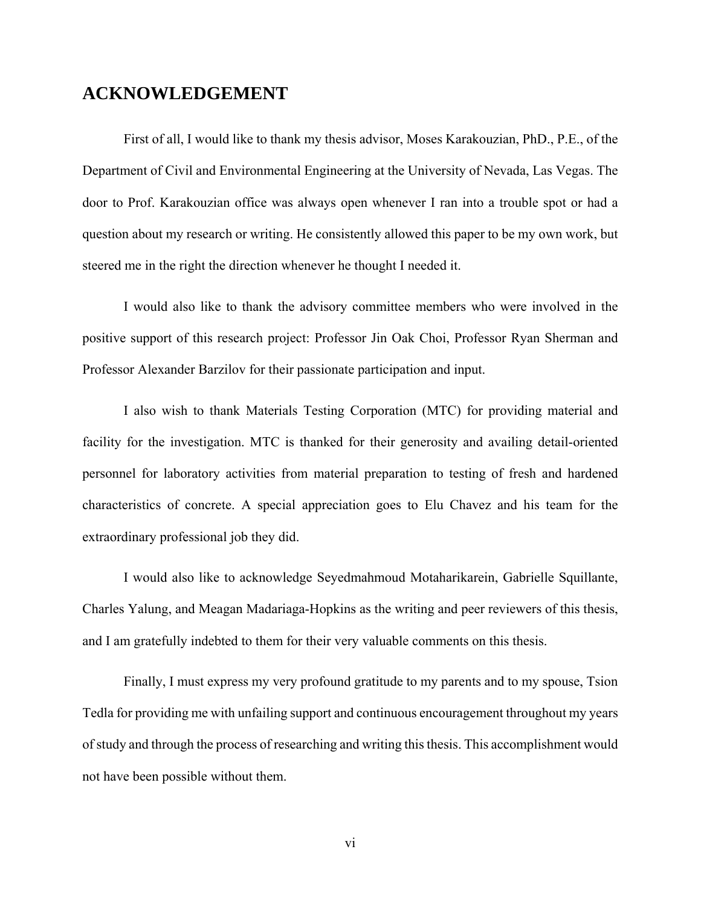## **ACKNOWLEDGEMENT**

First of all, I would like to thank my thesis advisor, Moses Karakouzian, PhD., P.E., of the Department of Civil and Environmental Engineering at the University of Nevada, Las Vegas. The door to Prof. Karakouzian office was always open whenever I ran into a trouble spot or had a question about my research or writing. He consistently allowed this paper to be my own work, but steered me in the right the direction whenever he thought I needed it.

I would also like to thank the advisory committee members who were involved in the positive support of this research project: Professor Jin Oak Choi, Professor Ryan Sherman and Professor Alexander Barzilov for their passionate participation and input.

I also wish to thank Materials Testing Corporation (MTC) for providing material and facility for the investigation. MTC is thanked for their generosity and availing detail-oriented personnel for laboratory activities from material preparation to testing of fresh and hardened characteristics of concrete. A special appreciation goes to Elu Chavez and his team for the extraordinary professional job they did.

I would also like to acknowledge Seyedmahmoud Motaharikarein, Gabrielle Squillante, Charles Yalung, and Meagan Madariaga-Hopkins as the writing and peer reviewers of this thesis, and I am gratefully indebted to them for their very valuable comments on this thesis.

Finally, I must express my very profound gratitude to my parents and to my spouse, Tsion Tedla for providing me with unfailing support and continuous encouragement throughout my years of study and through the process of researching and writing this thesis. This accomplishment would not have been possible without them.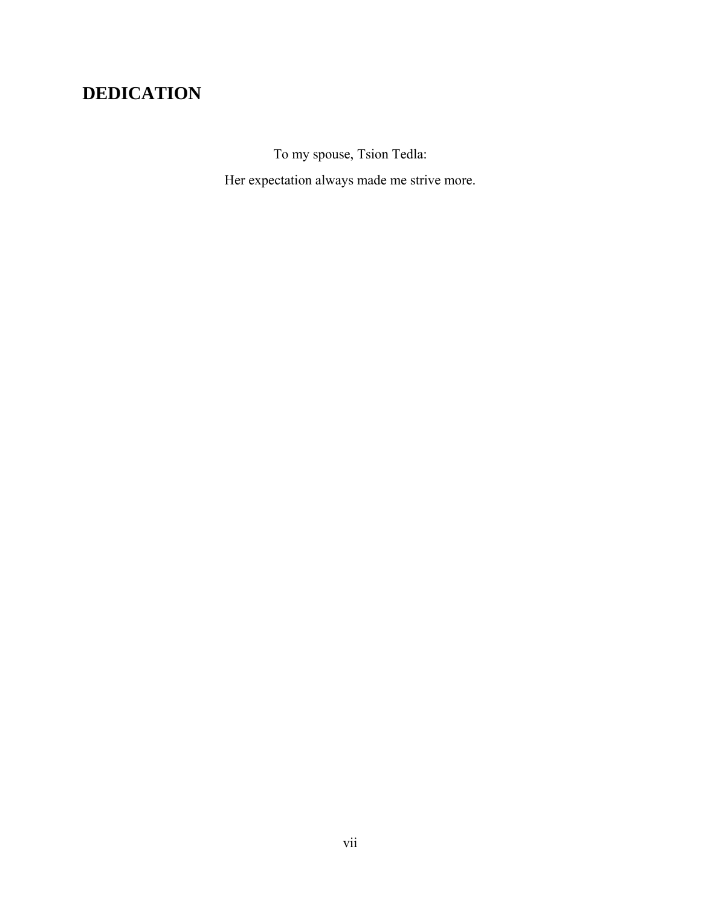# **DEDICATION**

To my spouse, Tsion Tedla: Her expectation always made me strive more.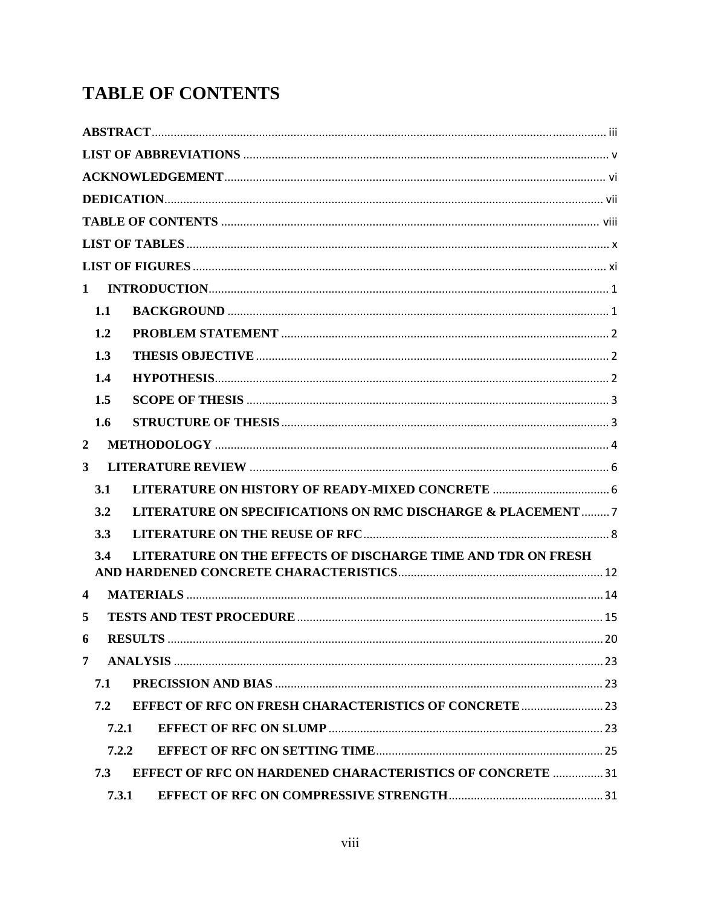# **TABLE OF CONTENTS**

| $\mathbf{1}$                                                         |  |
|----------------------------------------------------------------------|--|
| 1.1                                                                  |  |
| 1.2                                                                  |  |
| 1.3                                                                  |  |
| 1.4                                                                  |  |
| 1.5                                                                  |  |
| 1.6                                                                  |  |
| $\overline{2}$                                                       |  |
| $\overline{\mathbf{3}}$                                              |  |
| 3.1                                                                  |  |
| 3.2<br>LITERATURE ON SPECIFICATIONS ON RMC DISCHARGE & PLACEMENT7    |  |
| 3.3                                                                  |  |
| LITERATURE ON THE EFFECTS OF DISCHARGE TIME AND TDR ON FRESH<br>3.4  |  |
|                                                                      |  |
| $\overline{\mathbf{4}}$                                              |  |
| 5                                                                    |  |
|                                                                      |  |
| 7                                                                    |  |
| 7.1                                                                  |  |
| <b>EFFECT OF RFC ON FRESH CHARACTERISTICS OF CONCRETE  23</b><br>7.2 |  |
| 7.2.1                                                                |  |
| 7.2.2                                                                |  |
| EFFECT OF RFC ON HARDENED CHARACTERISTICS OF CONCRETE  31<br>7.3     |  |
| 7.3.1                                                                |  |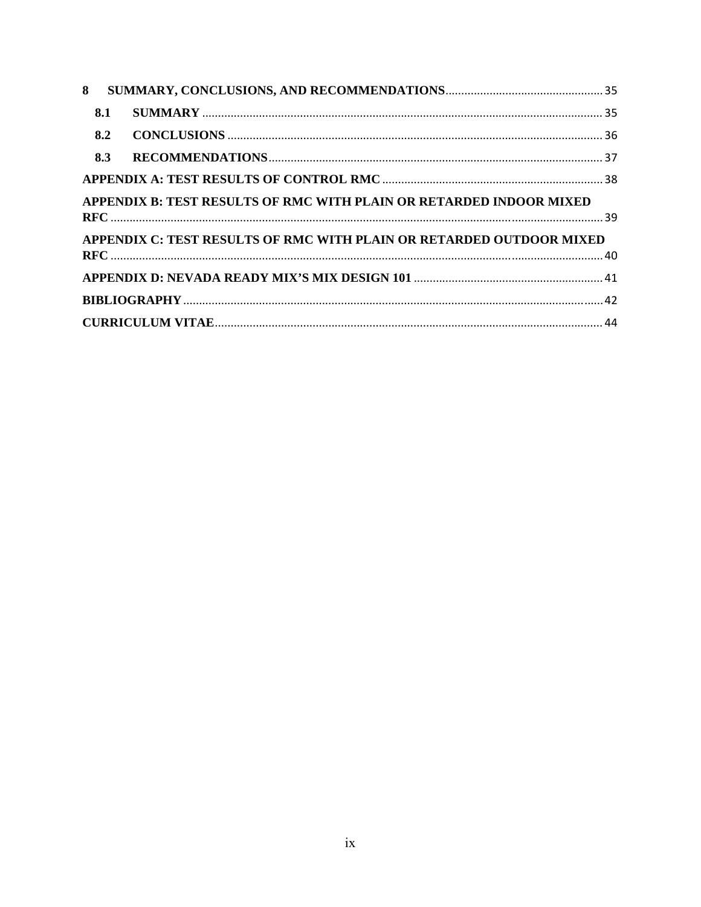| 8   |                                                                      |  |
|-----|----------------------------------------------------------------------|--|
| 8.1 |                                                                      |  |
| 8.2 |                                                                      |  |
| 8.3 |                                                                      |  |
|     |                                                                      |  |
|     | APPENDIX B: TEST RESULTS OF RMC WITH PLAIN OR RETARDED INDOOR MIXED  |  |
|     |                                                                      |  |
|     | APPENDIX C: TEST RESULTS OF RMC WITH PLAIN OR RETARDED OUTDOOR MIXED |  |
|     |                                                                      |  |
|     |                                                                      |  |
|     |                                                                      |  |
|     |                                                                      |  |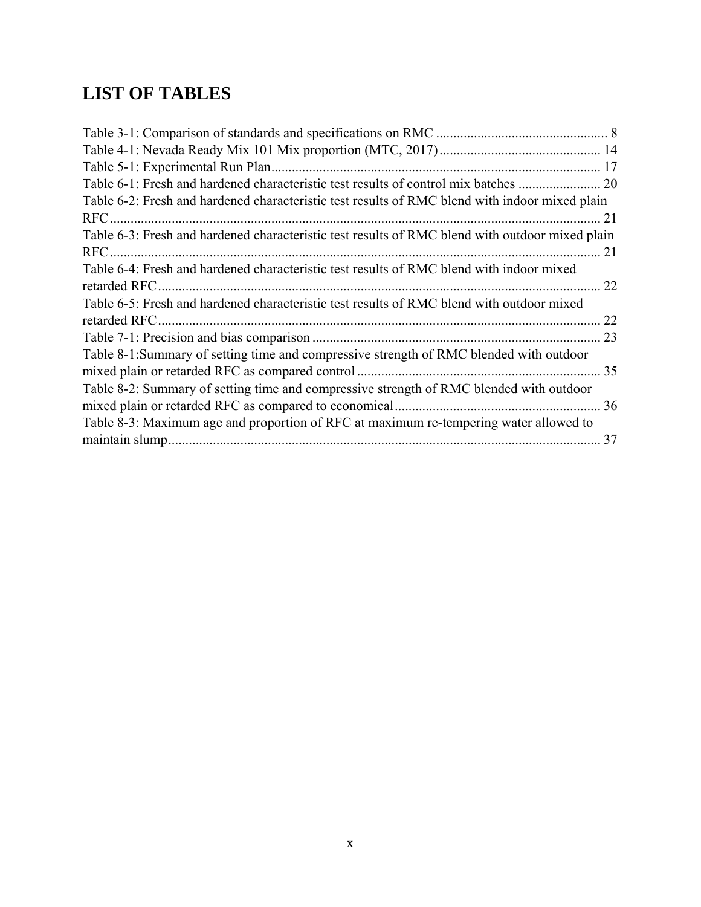# **LIST OF TABLES**

| Table 6-2: Fresh and hardened characteristic test results of RMC blend with indoor mixed plain  |    |
|-------------------------------------------------------------------------------------------------|----|
| RFC.                                                                                            |    |
| Table 6-3: Fresh and hardened characteristic test results of RMC blend with outdoor mixed plain |    |
| RFC.                                                                                            | 21 |
| Table 6-4: Fresh and hardened characteristic test results of RMC blend with indoor mixed        |    |
| retarded RFC.                                                                                   | 22 |
| Table 6-5: Fresh and hardened characteristic test results of RMC blend with outdoor mixed       |    |
| retarded RFC.                                                                                   | 22 |
|                                                                                                 | 23 |
| Table 8-1:Summary of setting time and compressive strength of RMC blended with outdoor          |    |
|                                                                                                 | 35 |
| Table 8-2: Summary of setting time and compressive strength of RMC blended with outdoor         |    |
|                                                                                                 |    |
| Table 8-3: Maximum age and proportion of RFC at maximum re-tempering water allowed to           |    |
|                                                                                                 | 37 |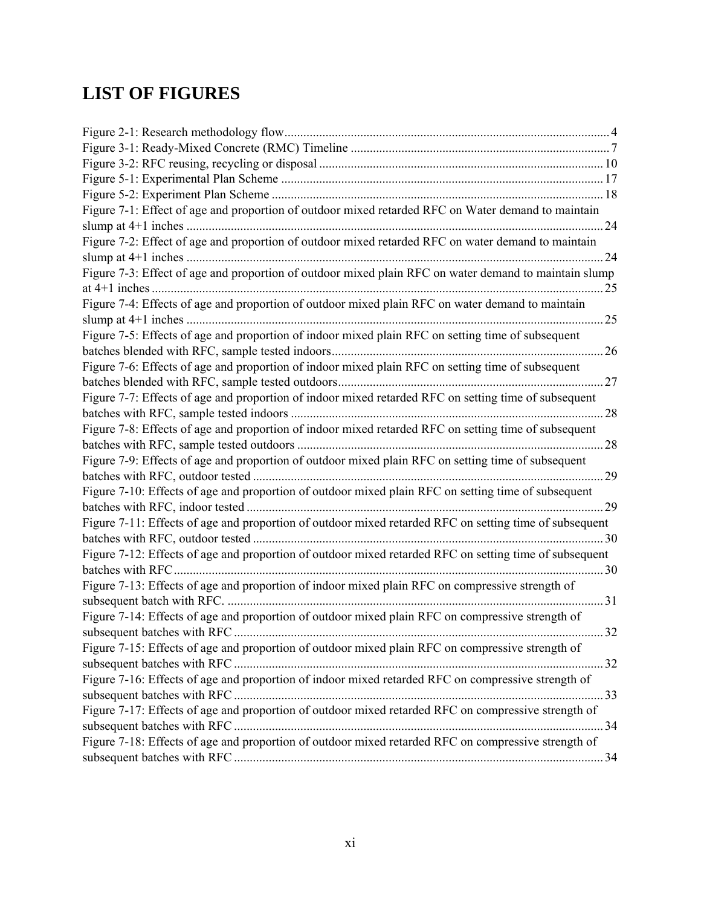# **LIST OF FIGURES**

| Figure 7-1: Effect of age and proportion of outdoor mixed retarded RFC on Water demand to maintain     |     |
|--------------------------------------------------------------------------------------------------------|-----|
|                                                                                                        | .24 |
| Figure 7-2: Effect of age and proportion of outdoor mixed retarded RFC on water demand to maintain     |     |
|                                                                                                        | 24  |
| Figure 7-3: Effect of age and proportion of outdoor mixed plain RFC on water demand to maintain slump  |     |
|                                                                                                        | 25  |
| Figure 7-4: Effects of age and proportion of outdoor mixed plain RFC on water demand to maintain       |     |
|                                                                                                        |     |
| Figure 7-5: Effects of age and proportion of indoor mixed plain RFC on setting time of subsequent      |     |
|                                                                                                        |     |
| Figure 7-6: Effects of age and proportion of indoor mixed plain RFC on setting time of subsequent      |     |
|                                                                                                        |     |
| Figure 7-7: Effects of age and proportion of indoor mixed retarded RFC on setting time of subsequent   |     |
|                                                                                                        | .28 |
| Figure 7-8: Effects of age and proportion of indoor mixed retarded RFC on setting time of subsequent   |     |
|                                                                                                        |     |
| Figure 7-9: Effects of age and proportion of outdoor mixed plain RFC on setting time of subsequent     |     |
|                                                                                                        | 29  |
| Figure 7-10: Effects of age and proportion of outdoor mixed plain RFC on setting time of subsequent    |     |
|                                                                                                        | 29  |
| Figure 7-11: Effects of age and proportion of outdoor mixed retarded RFC on setting time of subsequent |     |
|                                                                                                        |     |
| Figure 7-12: Effects of age and proportion of outdoor mixed retarded RFC on setting time of subsequent |     |
| 30                                                                                                     |     |
| Figure 7-13: Effects of age and proportion of indoor mixed plain RFC on compressive strength of        |     |
|                                                                                                        |     |
| Figure 7-14: Effects of age and proportion of outdoor mixed plain RFC on compressive strength of       |     |
|                                                                                                        |     |
| Figure 7-15: Effects of age and proportion of outdoor mixed plain RFC on compressive strength of       |     |
|                                                                                                        |     |
| Figure 7-16: Effects of age and proportion of indoor mixed retarded RFC on compressive strength of     |     |
|                                                                                                        |     |
| Figure 7-17: Effects of age and proportion of outdoor mixed retarded RFC on compressive strength of    |     |
|                                                                                                        |     |
| Figure 7-18: Effects of age and proportion of outdoor mixed retarded RFC on compressive strength of    |     |
|                                                                                                        |     |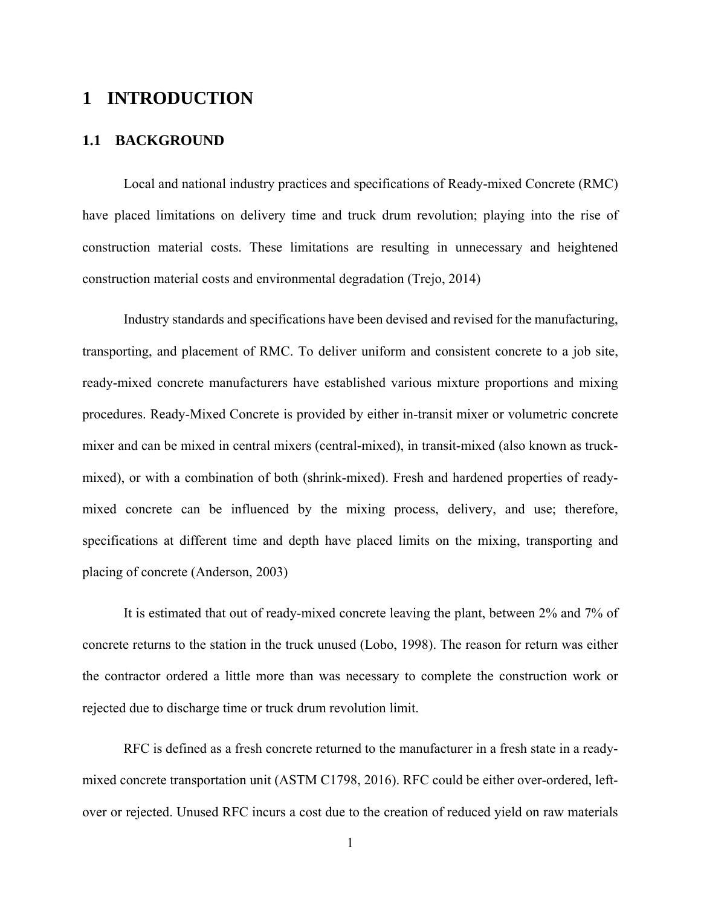## **1 INTRODUCTION**

## **1.1 BACKGROUND**

Local and national industry practices and specifications of Ready-mixed Concrete (RMC) have placed limitations on delivery time and truck drum revolution; playing into the rise of construction material costs. These limitations are resulting in unnecessary and heightened construction material costs and environmental degradation (Trejo, 2014)

Industry standards and specifications have been devised and revised for the manufacturing, transporting, and placement of RMC. To deliver uniform and consistent concrete to a job site, ready-mixed concrete manufacturers have established various mixture proportions and mixing procedures. Ready-Mixed Concrete is provided by either in-transit mixer or volumetric concrete mixer and can be mixed in central mixers (central-mixed), in transit-mixed (also known as truckmixed), or with a combination of both (shrink-mixed). Fresh and hardened properties of readymixed concrete can be influenced by the mixing process, delivery, and use; therefore, specifications at different time and depth have placed limits on the mixing, transporting and placing of concrete (Anderson, 2003)

It is estimated that out of ready-mixed concrete leaving the plant, between 2% and 7% of concrete returns to the station in the truck unused (Lobo, 1998). The reason for return was either the contractor ordered a little more than was necessary to complete the construction work or rejected due to discharge time or truck drum revolution limit.

RFC is defined as a fresh concrete returned to the manufacturer in a fresh state in a readymixed concrete transportation unit (ASTM C1798, 2016). RFC could be either over-ordered, leftover or rejected. Unused RFC incurs a cost due to the creation of reduced yield on raw materials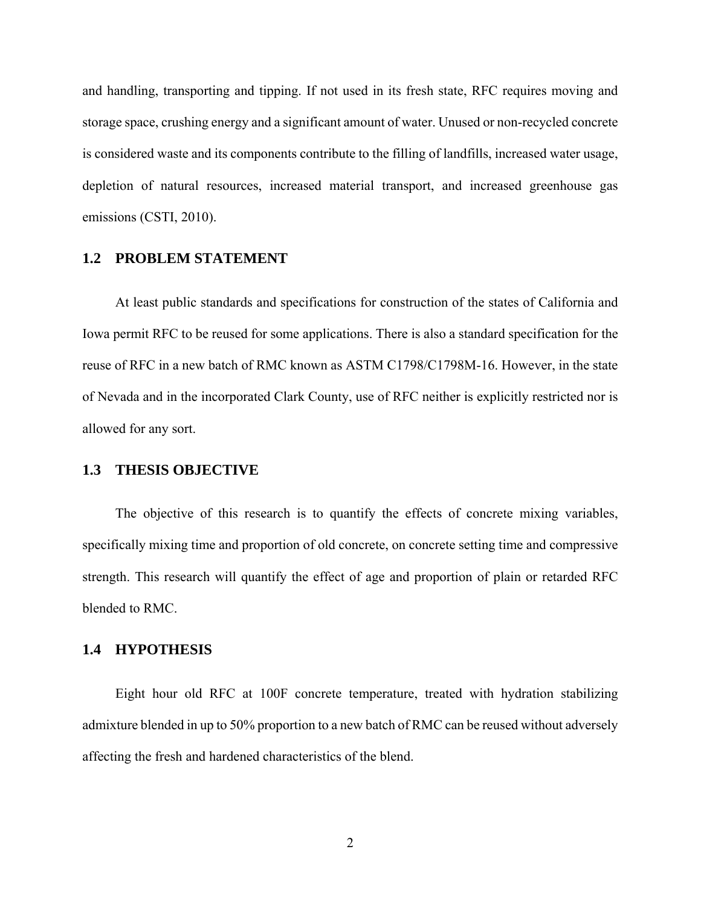and handling, transporting and tipping. If not used in its fresh state, RFC requires moving and storage space, crushing energy and a significant amount of water. Unused or non-recycled concrete is considered waste and its components contribute to the filling of landfills, increased water usage, depletion of natural resources, increased material transport, and increased greenhouse gas emissions (CSTI, 2010).

#### **1.2 PROBLEM STATEMENT**

At least public standards and specifications for construction of the states of California and Iowa permit RFC to be reused for some applications. There is also a standard specification for the reuse of RFC in a new batch of RMC known as ASTM C1798/C1798M-16. However, in the state of Nevada and in the incorporated Clark County, use of RFC neither is explicitly restricted nor is allowed for any sort.

## **1.3 THESIS OBJECTIVE**

The objective of this research is to quantify the effects of concrete mixing variables, specifically mixing time and proportion of old concrete, on concrete setting time and compressive strength. This research will quantify the effect of age and proportion of plain or retarded RFC blended to RMC.

#### **1.4 HYPOTHESIS**

Eight hour old RFC at 100F concrete temperature, treated with hydration stabilizing admixture blended in up to 50% proportion to a new batch of RMC can be reused without adversely affecting the fresh and hardened characteristics of the blend.

2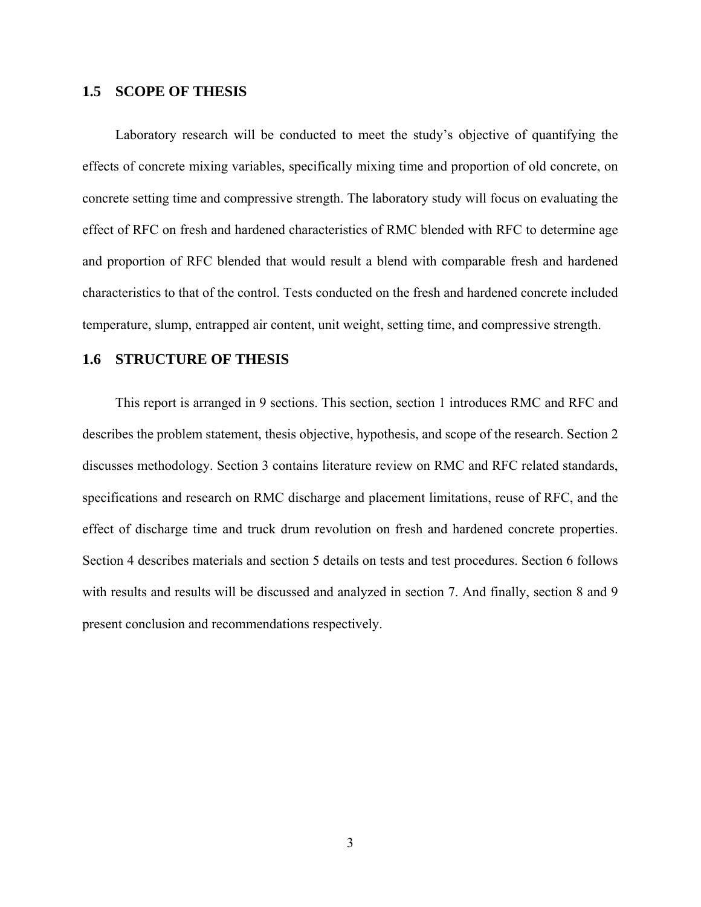#### **1.5 SCOPE OF THESIS**

Laboratory research will be conducted to meet the study's objective of quantifying the effects of concrete mixing variables, specifically mixing time and proportion of old concrete, on concrete setting time and compressive strength. The laboratory study will focus on evaluating the effect of RFC on fresh and hardened characteristics of RMC blended with RFC to determine age and proportion of RFC blended that would result a blend with comparable fresh and hardened characteristics to that of the control. Tests conducted on the fresh and hardened concrete included temperature, slump, entrapped air content, unit weight, setting time, and compressive strength.

## **1.6 STRUCTURE OF THESIS**

This report is arranged in 9 sections. This section, section 1 introduces RMC and RFC and describes the problem statement, thesis objective, hypothesis, and scope of the research. Section 2 discusses methodology. Section 3 contains literature review on RMC and RFC related standards, specifications and research on RMC discharge and placement limitations, reuse of RFC, and the effect of discharge time and truck drum revolution on fresh and hardened concrete properties. Section 4 describes materials and section 5 details on tests and test procedures. Section 6 follows with results and results will be discussed and analyzed in section 7. And finally, section 8 and 9 present conclusion and recommendations respectively.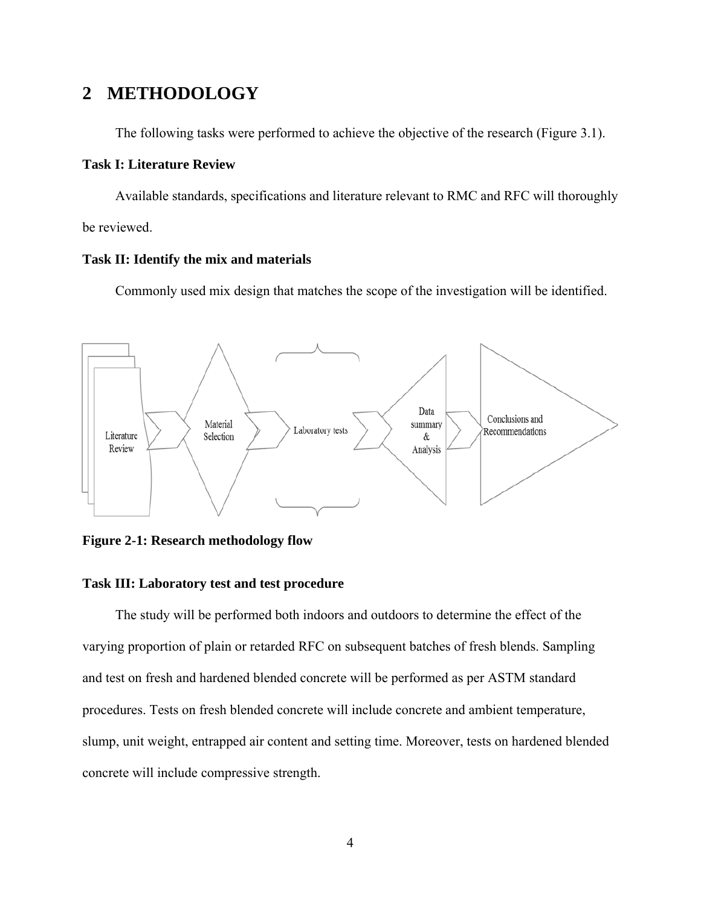## **2 METHODOLOGY**

The following tasks were performed to achieve the objective of the research (Figure 3.1).

#### **Task I: Literature Review**

Available standards, specifications and literature relevant to RMC and RFC will thoroughly be reviewed.

### **Task II: Identify the mix and materials**

Commonly used mix design that matches the scope of the investigation will be identified.



**Figure 2-1: Research methodology flow** 

#### **Task III: Laboratory test and test procedure**

The study will be performed both indoors and outdoors to determine the effect of the varying proportion of plain or retarded RFC on subsequent batches of fresh blends. Sampling and test on fresh and hardened blended concrete will be performed as per ASTM standard procedures. Tests on fresh blended concrete will include concrete and ambient temperature, slump, unit weight, entrapped air content and setting time. Moreover, tests on hardened blended concrete will include compressive strength.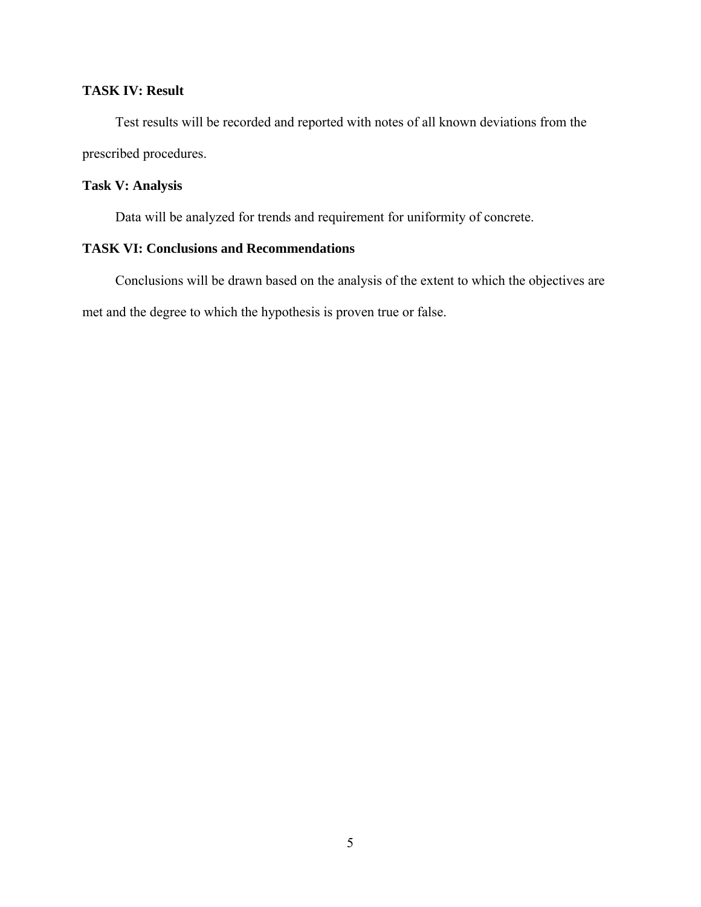## **TASK IV: Result**

Test results will be recorded and reported with notes of all known deviations from the prescribed procedures.

## **Task V: Analysis**

Data will be analyzed for trends and requirement for uniformity of concrete.

## **TASK VI: Conclusions and Recommendations**

Conclusions will be drawn based on the analysis of the extent to which the objectives are met and the degree to which the hypothesis is proven true or false.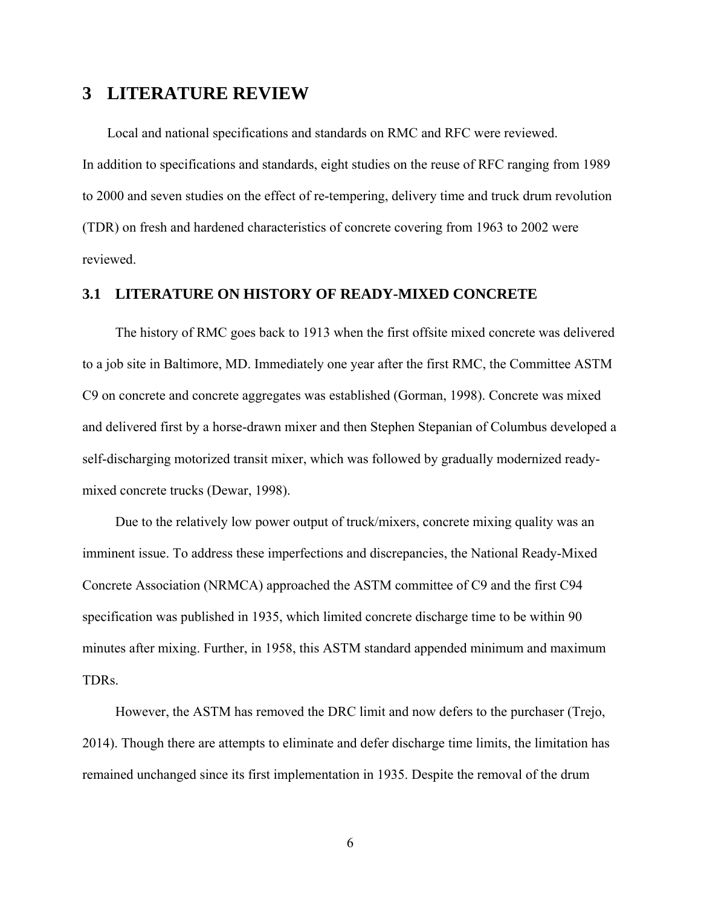## **3 LITERATURE REVIEW**

Local and national specifications and standards on RMC and RFC were reviewed.

In addition to specifications and standards, eight studies on the reuse of RFC ranging from 1989 to 2000 and seven studies on the effect of re-tempering, delivery time and truck drum revolution (TDR) on fresh and hardened characteristics of concrete covering from 1963 to 2002 were reviewed.

#### **3.1 LITERATURE ON HISTORY OF READY-MIXED CONCRETE**

The history of RMC goes back to 1913 when the first offsite mixed concrete was delivered to a job site in Baltimore, MD. Immediately one year after the first RMC, the Committee ASTM C9 on concrete and concrete aggregates was established (Gorman, 1998). Concrete was mixed and delivered first by a horse-drawn mixer and then Stephen Stepanian of Columbus developed a self-discharging motorized transit mixer, which was followed by gradually modernized readymixed concrete trucks (Dewar, 1998).

Due to the relatively low power output of truck/mixers, concrete mixing quality was an imminent issue. To address these imperfections and discrepancies, the National Ready-Mixed Concrete Association (NRMCA) approached the ASTM committee of C9 and the first C94 specification was published in 1935, which limited concrete discharge time to be within 90 minutes after mixing. Further, in 1958, this ASTM standard appended minimum and maximum TDRs.

However, the ASTM has removed the DRC limit and now defers to the purchaser (Trejo, 2014). Though there are attempts to eliminate and defer discharge time limits, the limitation has remained unchanged since its first implementation in 1935. Despite the removal of the drum

6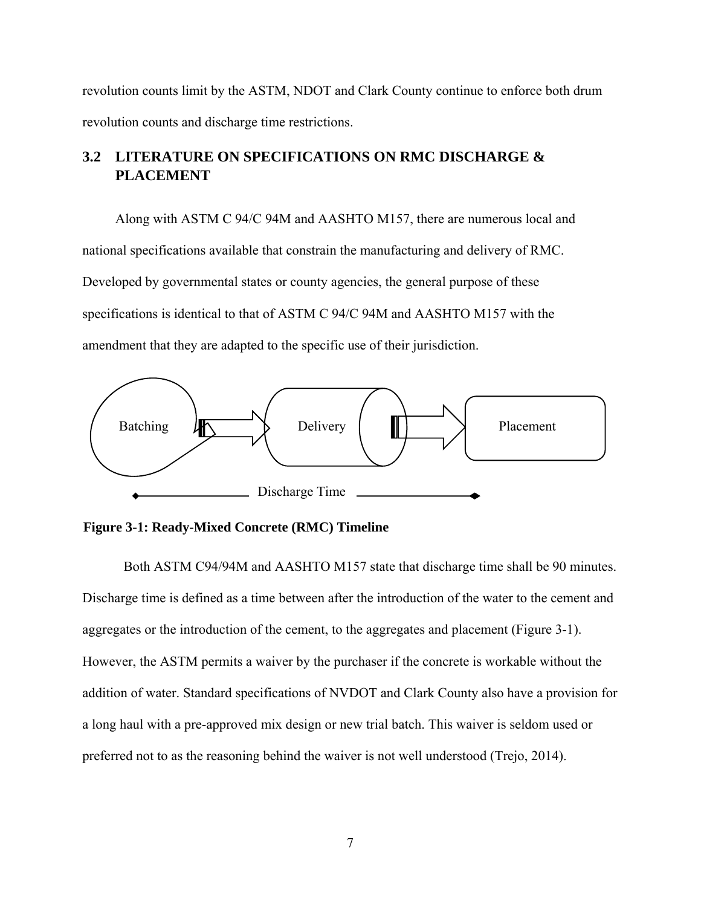revolution counts limit by the ASTM, NDOT and Clark County continue to enforce both drum revolution counts and discharge time restrictions.

## **3.2 LITERATURE ON SPECIFICATIONS ON RMC DISCHARGE & PLACEMENT**

Along with ASTM C 94/C 94M and AASHTO M157, there are numerous local and national specifications available that constrain the manufacturing and delivery of RMC. Developed by governmental states or county agencies, the general purpose of these specifications is identical to that of ASTM C 94/C 94M and AASHTO M157 with the amendment that they are adapted to the specific use of their jurisdiction.



**Figure 3-1: Ready-Mixed Concrete (RMC) Timeline** 

Both ASTM C94/94M and AASHTO M157 state that discharge time shall be 90 minutes. Discharge time is defined as a time between after the introduction of the water to the cement and aggregates or the introduction of the cement, to the aggregates and placement (Figure 3-1). However, the ASTM permits a waiver by the purchaser if the concrete is workable without the addition of water. Standard specifications of NVDOT and Clark County also have a provision for a long haul with a pre-approved mix design or new trial batch. This waiver is seldom used or preferred not to as the reasoning behind the waiver is not well understood (Trejo, 2014).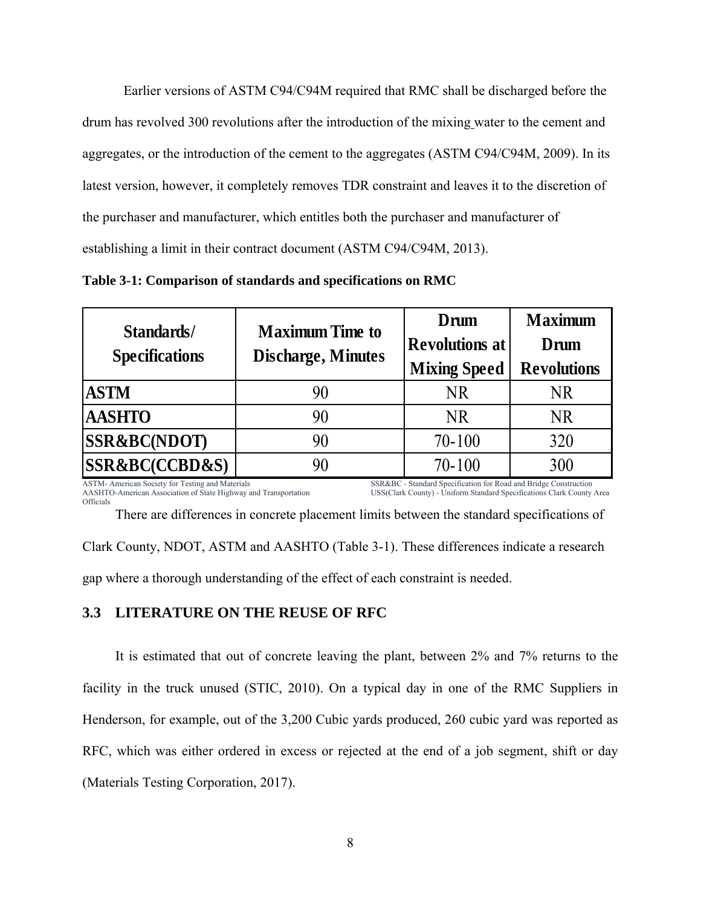Earlier versions of ASTM C94/C94M required that RMC shall be discharged before the drum has revolved 300 revolutions after the introduction of the mixing water to the cement and aggregates, or the introduction of the cement to the aggregates (ASTM C94/C94M, 2009). In its latest version, however, it completely removes TDR constraint and leaves it to the discretion of the purchaser and manufacturer, which entitles both the purchaser and manufacturer of establishing a limit in their contract document (ASTM C94/C94M, 2013).

| Standards/                    | <b>Maximum Time to</b>    | Drum                  | <b>Maximum</b>     |  |
|-------------------------------|---------------------------|-----------------------|--------------------|--|
| <b>Specifications</b>         | <b>Discharge, Minutes</b> | <b>Revolutions at</b> | Drum               |  |
|                               |                           | <b>Mixing Speed</b>   | <b>Revolutions</b> |  |
| <b>ASTM</b>                   | 90                        | NR.                   | NR                 |  |
| <b>AASHTO</b>                 | 90                        | NR.                   | NR.                |  |
| <b>SSR&amp;BC(NDOT)</b>       | 90                        | $70 - 100$            | 320                |  |
| <b>SSR&amp;BC(CCBD&amp;S)</b> | 90                        | $70 - 100$            | 300                |  |

**Table 3-1: Comparison of standards and specifications on RMC** 

ASTM- American Society for Testing and Materials AASHTO-American Association of State Highway and Transportation Officials SSR&BC - Standard Specification for Road and Bridge Construction USS(Clark County) - Uniform Standard Specifications Clark County Area

Clark County, NDOT, ASTM and AASHTO (Table 3-1). These differences indicate a research gap where a thorough understanding of the effect of each constraint is needed.

There are differences in concrete placement limits between the standard specifications of

## **3.3 LITERATURE ON THE REUSE OF RFC**

It is estimated that out of concrete leaving the plant, between 2% and 7% returns to the facility in the truck unused (STIC, 2010). On a typical day in one of the RMC Suppliers in Henderson, for example, out of the 3,200 Cubic yards produced, 260 cubic yard was reported as RFC, which was either ordered in excess or rejected at the end of a job segment, shift or day (Materials Testing Corporation, 2017).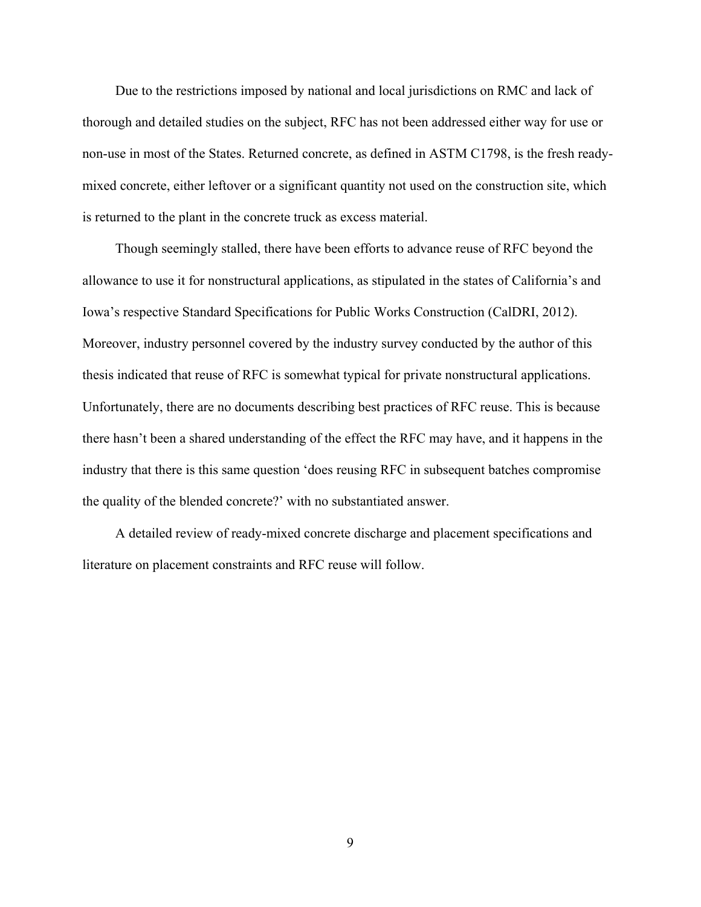Due to the restrictions imposed by national and local jurisdictions on RMC and lack of thorough and detailed studies on the subject, RFC has not been addressed either way for use or non-use in most of the States. Returned concrete, as defined in ASTM C1798, is the fresh readymixed concrete, either leftover or a significant quantity not used on the construction site, which is returned to the plant in the concrete truck as excess material.

Though seemingly stalled, there have been efforts to advance reuse of RFC beyond the allowance to use it for nonstructural applications, as stipulated in the states of California's and Iowa's respective Standard Specifications for Public Works Construction (CalDRI, 2012). Moreover, industry personnel covered by the industry survey conducted by the author of this thesis indicated that reuse of RFC is somewhat typical for private nonstructural applications. Unfortunately, there are no documents describing best practices of RFC reuse. This is because there hasn't been a shared understanding of the effect the RFC may have, and it happens in the industry that there is this same question 'does reusing RFC in subsequent batches compromise the quality of the blended concrete?' with no substantiated answer.

A detailed review of ready-mixed concrete discharge and placement specifications and literature on placement constraints and RFC reuse will follow.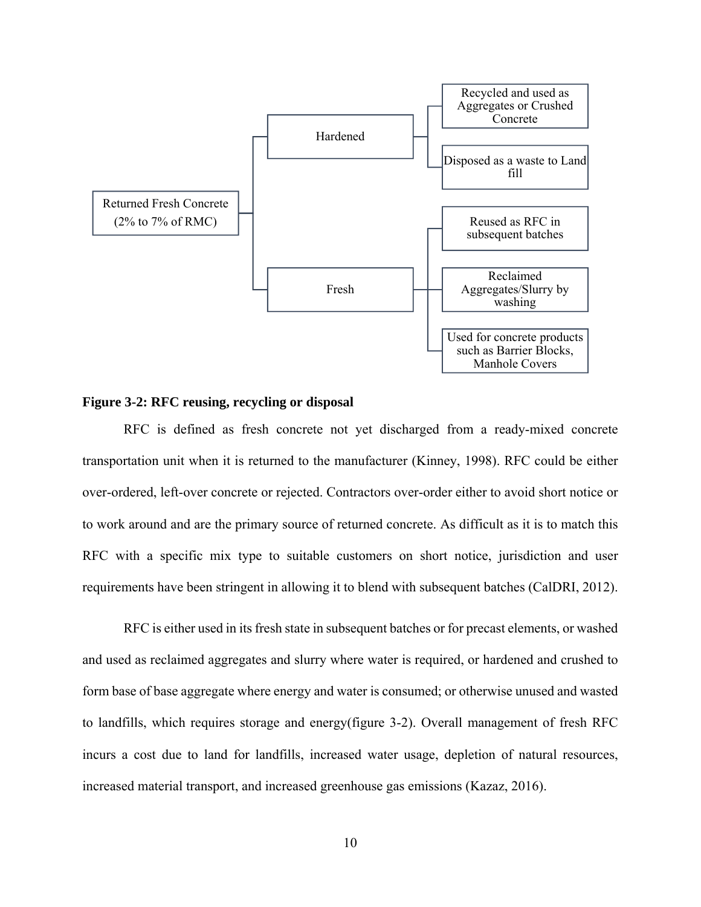

#### **Figure 3-2: RFC reusing, recycling or disposal**

RFC is defined as fresh concrete not yet discharged from a ready-mixed concrete transportation unit when it is returned to the manufacturer (Kinney, 1998). RFC could be either over-ordered, left-over concrete or rejected. Contractors over-order either to avoid short notice or to work around and are the primary source of returned concrete. As difficult as it is to match this RFC with a specific mix type to suitable customers on short notice, jurisdiction and user requirements have been stringent in allowing it to blend with subsequent batches (CalDRI, 2012).

RFC is either used in its fresh state in subsequent batches or for precast elements, or washed and used as reclaimed aggregates and slurry where water is required, or hardened and crushed to form base of base aggregate where energy and water is consumed; or otherwise unused and wasted to landfills, which requires storage and energy(figure 3-2). Overall management of fresh RFC incurs a cost due to land for landfills, increased water usage, depletion of natural resources, increased material transport, and increased greenhouse gas emissions (Kazaz, 2016).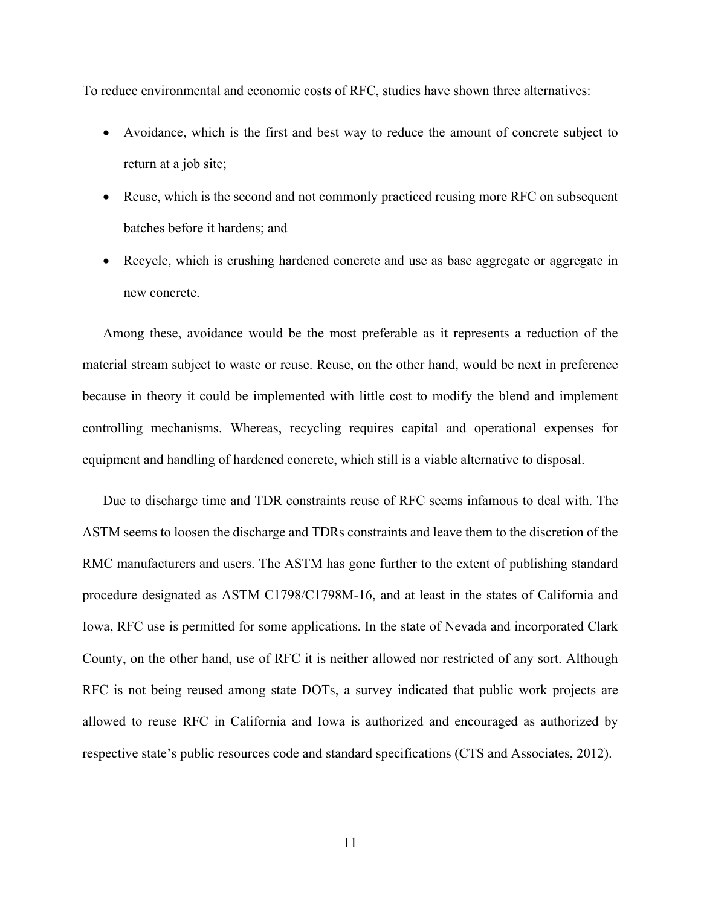To reduce environmental and economic costs of RFC, studies have shown three alternatives:

- Avoidance, which is the first and best way to reduce the amount of concrete subject to return at a job site;
- Reuse, which is the second and not commonly practiced reusing more RFC on subsequent batches before it hardens; and
- Recycle, which is crushing hardened concrete and use as base aggregate or aggregate in new concrete.

Among these, avoidance would be the most preferable as it represents a reduction of the material stream subject to waste or reuse. Reuse, on the other hand, would be next in preference because in theory it could be implemented with little cost to modify the blend and implement controlling mechanisms. Whereas, recycling requires capital and operational expenses for equipment and handling of hardened concrete, which still is a viable alternative to disposal.

Due to discharge time and TDR constraints reuse of RFC seems infamous to deal with. The ASTM seems to loosen the discharge and TDRs constraints and leave them to the discretion of the RMC manufacturers and users. The ASTM has gone further to the extent of publishing standard procedure designated as ASTM C1798/C1798M-16, and at least in the states of California and Iowa, RFC use is permitted for some applications. In the state of Nevada and incorporated Clark County, on the other hand, use of RFC it is neither allowed nor restricted of any sort. Although RFC is not being reused among state DOTs, a survey indicated that public work projects are allowed to reuse RFC in California and Iowa is authorized and encouraged as authorized by respective state's public resources code and standard specifications (CTS and Associates, 2012).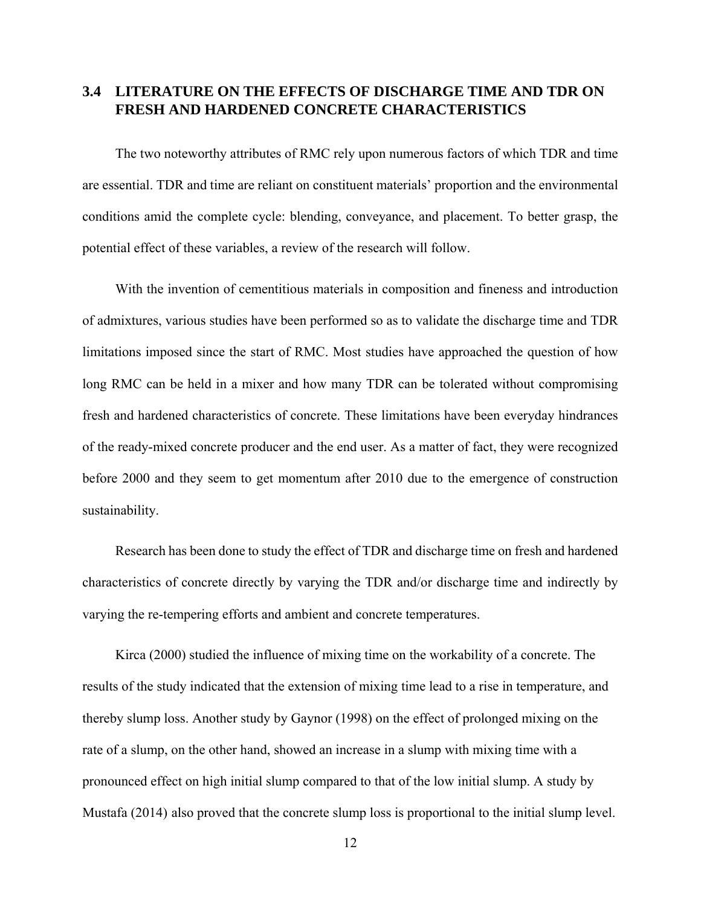## **3.4 LITERATURE ON THE EFFECTS OF DISCHARGE TIME AND TDR ON FRESH AND HARDENED CONCRETE CHARACTERISTICS**

The two noteworthy attributes of RMC rely upon numerous factors of which TDR and time are essential. TDR and time are reliant on constituent materials' proportion and the environmental conditions amid the complete cycle: blending, conveyance, and placement. To better grasp, the potential effect of these variables, a review of the research will follow.

With the invention of cementitious materials in composition and fineness and introduction of admixtures, various studies have been performed so as to validate the discharge time and TDR limitations imposed since the start of RMC. Most studies have approached the question of how long RMC can be held in a mixer and how many TDR can be tolerated without compromising fresh and hardened characteristics of concrete. These limitations have been everyday hindrances of the ready-mixed concrete producer and the end user. As a matter of fact, they were recognized before 2000 and they seem to get momentum after 2010 due to the emergence of construction sustainability.

Research has been done to study the effect of TDR and discharge time on fresh and hardened characteristics of concrete directly by varying the TDR and/or discharge time and indirectly by varying the re-tempering efforts and ambient and concrete temperatures.

Kirca (2000) studied the influence of mixing time on the workability of a concrete. The results of the study indicated that the extension of mixing time lead to a rise in temperature, and thereby slump loss. Another study by Gaynor (1998) on the effect of prolonged mixing on the rate of a slump, on the other hand, showed an increase in a slump with mixing time with a pronounced effect on high initial slump compared to that of the low initial slump. A study by Mustafa (2014) also proved that the concrete slump loss is proportional to the initial slump level.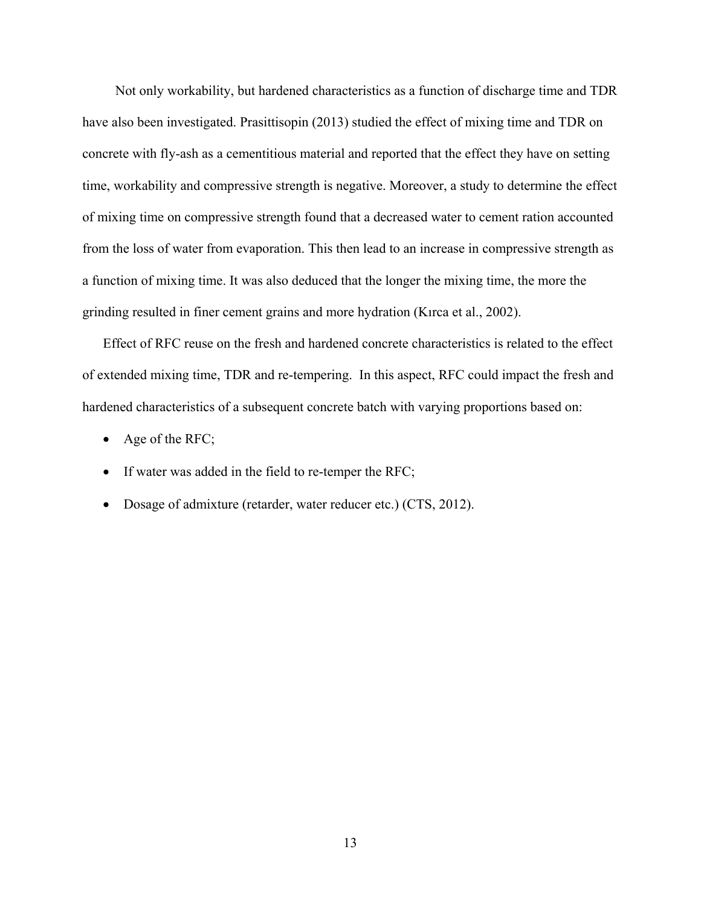Not only workability, but hardened characteristics as a function of discharge time and TDR have also been investigated. Prasittisopin (2013) studied the effect of mixing time and TDR on concrete with fly-ash as a cementitious material and reported that the effect they have on setting time, workability and compressive strength is negative. Moreover, a study to determine the effect of mixing time on compressive strength found that a decreased water to cement ration accounted from the loss of water from evaporation. This then lead to an increase in compressive strength as a function of mixing time. It was also deduced that the longer the mixing time, the more the grinding resulted in finer cement grains and more hydration (Kırca et al., 2002).

Effect of RFC reuse on the fresh and hardened concrete characteristics is related to the effect of extended mixing time, TDR and re-tempering. In this aspect, RFC could impact the fresh and hardened characteristics of a subsequent concrete batch with varying proportions based on:

- Age of the RFC;
- If water was added in the field to re-temper the RFC;
- Dosage of admixture (retarder, water reducer etc.) (CTS, 2012).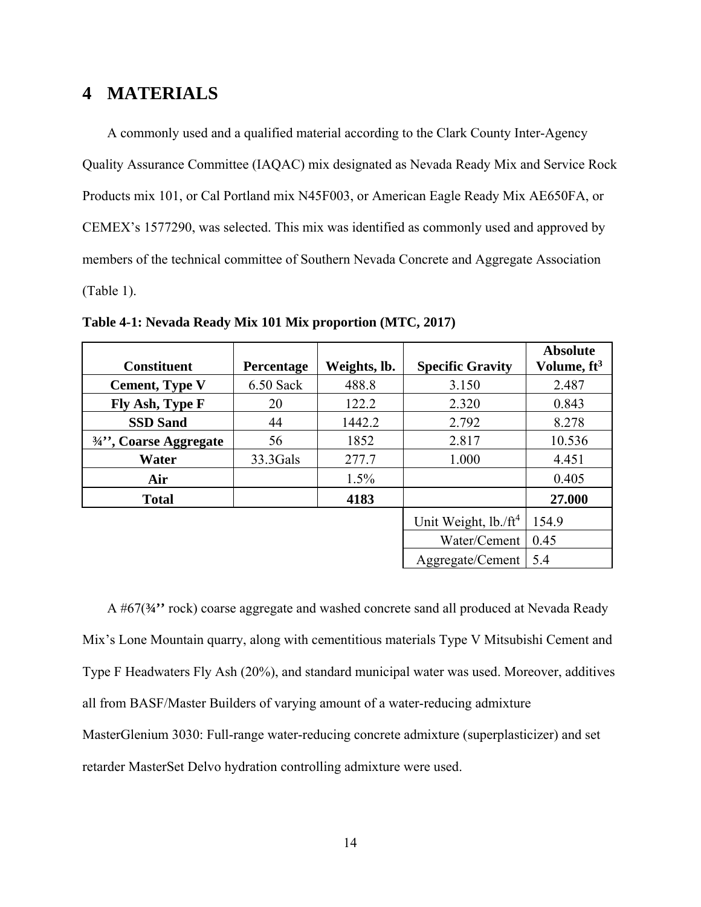## **4 MATERIALS**

A commonly used and a qualified material according to the Clark County Inter-Agency Quality Assurance Committee (IAQAC) mix designated as Nevada Ready Mix and Service Rock Products mix 101, or Cal Portland mix N45F003, or American Eagle Ready Mix AE650FA, or CEMEX's 1577290, was selected. This mix was identified as commonly used and approved by members of the technical committee of Southern Nevada Concrete and Aggregate Association (Table 1).

| <b>Constituent</b>                            | Percentage  | Weights, lb. | <b>Specific Gravity</b>    | <b>Absolute</b><br>Volume, ft <sup>3</sup> |
|-----------------------------------------------|-------------|--------------|----------------------------|--------------------------------------------|
| <b>Cement, Type V</b>                         | $6.50$ Sack | 488.8        | 3.150                      | 2.487                                      |
| Fly Ash, Type F                               | 20          | 122.2        | 2.320                      | 0.843                                      |
| <b>SSD Sand</b>                               | 44          | 1442.2       | 2.792                      | 8.278                                      |
| $\frac{3}{4}$ <sup>2</sup> , Coarse Aggregate | 56          | 1852         | 2.817                      | 10.536                                     |
| Water                                         | 33.3Gals    | 277.7        | 1.000                      | 4.451                                      |
| Air                                           |             | 1.5%         |                            | 0.405                                      |
| <b>Total</b>                                  |             | 4183         |                            | 27.000                                     |
|                                               |             |              | Unit Weight, $lb$ ./ $ft4$ | 154.9                                      |
|                                               |             |              | Water/Cement               | 0.45                                       |
|                                               |             |              | Aggregate/Cement           | 5.4                                        |

**Table 4-1: Nevada Ready Mix 101 Mix proportion (MTC, 2017)** 

A #67(**¾''** rock) coarse aggregate and washed concrete sand all produced at Nevada Ready Mix's Lone Mountain quarry, along with cementitious materials Type V Mitsubishi Cement and Type F Headwaters Fly Ash (20%), and standard municipal water was used. Moreover, additives all from BASF/Master Builders of varying amount of a water-reducing admixture MasterGlenium 3030: Full-range water-reducing concrete admixture (superplasticizer) and set retarder MasterSet Delvo hydration controlling admixture were used.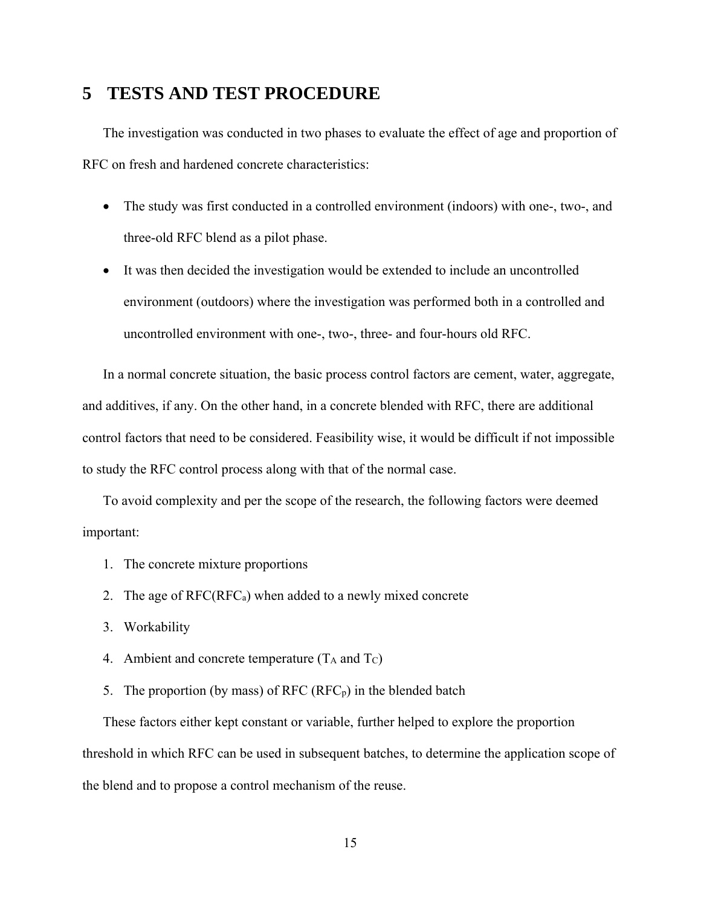## **5 TESTS AND TEST PROCEDURE**

The investigation was conducted in two phases to evaluate the effect of age and proportion of RFC on fresh and hardened concrete characteristics:

- The study was first conducted in a controlled environment (indoors) with one-, two-, and three-old RFC blend as a pilot phase.
- It was then decided the investigation would be extended to include an uncontrolled environment (outdoors) where the investigation was performed both in a controlled and uncontrolled environment with one-, two-, three- and four-hours old RFC.

In a normal concrete situation, the basic process control factors are cement, water, aggregate, and additives, if any. On the other hand, in a concrete blended with RFC, there are additional control factors that need to be considered. Feasibility wise, it would be difficult if not impossible to study the RFC control process along with that of the normal case.

To avoid complexity and per the scope of the research, the following factors were deemed important:

- 1. The concrete mixture proportions
- 2. The age of  $RFC(RFC_a)$  when added to a newly mixed concrete
- 3. Workability
- 4. Ambient and concrete temperature  $(T_A \text{ and } T_C)$
- 5. The proportion (by mass) of RFC  $(RFC<sub>p</sub>)$  in the blended batch

These factors either kept constant or variable, further helped to explore the proportion threshold in which RFC can be used in subsequent batches, to determine the application scope of the blend and to propose a control mechanism of the reuse.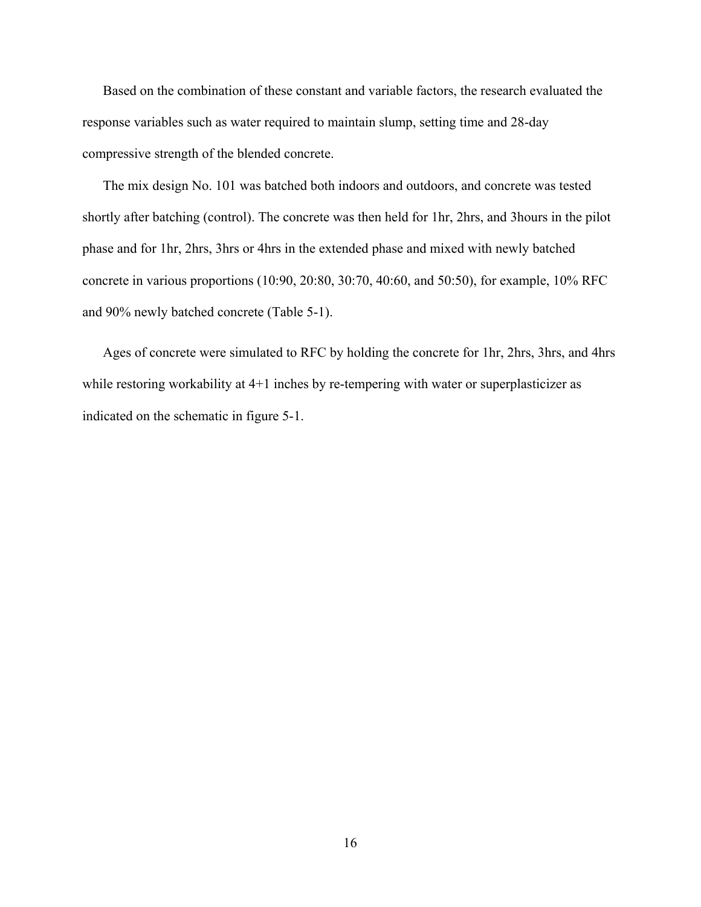Based on the combination of these constant and variable factors, the research evaluated the response variables such as water required to maintain slump, setting time and 28-day compressive strength of the blended concrete.

The mix design No. 101 was batched both indoors and outdoors, and concrete was tested shortly after batching (control). The concrete was then held for 1hr, 2hrs, and 3hours in the pilot phase and for 1hr, 2hrs, 3hrs or 4hrs in the extended phase and mixed with newly batched concrete in various proportions (10:90, 20:80, 30:70, 40:60, and 50:50), for example, 10% RFC and 90% newly batched concrete (Table 5-1).

Ages of concrete were simulated to RFC by holding the concrete for 1hr, 2hrs, 3hrs, and 4hrs while restoring workability at 4+1 inches by re-tempering with water or superplasticizer as indicated on the schematic in figure 5-1.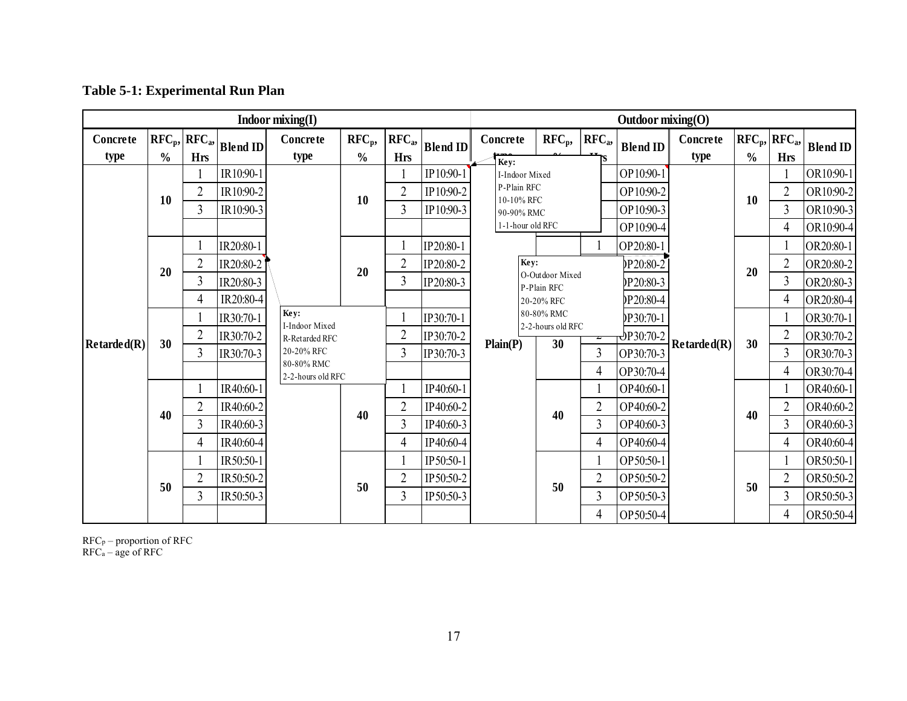## **Table 5-1: Experimental Run Plan**

|             |               |                 |                 | Indoor mixing(I)         |               |                |                 | Outdoor $mixing(O)$       |                                 |                |                              |                                 |               |                 |                 |           |
|-------------|---------------|-----------------|-----------------|--------------------------|---------------|----------------|-----------------|---------------------------|---------------------------------|----------------|------------------------------|---------------------------------|---------------|-----------------|-----------------|-----------|
| Concrete    |               | $RFC_p, RFC_a,$ | <b>Blend ID</b> | Concrete                 | $RFC_p,$      | $RFC_a,$       | <b>Blend ID</b> | Concrete                  | $\rm RFC_p,$                    | $RFCa$ ,       | <b>Blend ID</b>              | Concrete                        |               | $RFC_p, RFC_a,$ | <b>Blend ID</b> |           |
| type        | $\frac{0}{0}$ | <b>Hrs</b>      |                 | type                     | $\frac{0}{0}$ | <b>Hrs</b>     |                 | Key:                      |                                 |                |                              | type                            | $\frac{0}{0}$ | <b>Hrs</b>      |                 |           |
|             |               |                 | IR10:90-1       |                          |               |                | IP10:90-1       | I-Indoor Mixed            |                                 |                | OP10:90-1                    |                                 |               |                 | OR10:90-1       |           |
|             | 10            | $\overline{2}$  | IR10:90-2       |                          | 10            | $\overline{2}$ | IP10:90-2       | P-Plain RFC<br>10-10% RFC |                                 |                | OP10:90-2                    |                                 | 10            | $\overline{2}$  | OR10:90-2       |           |
|             |               | 3               | IR10:90-3       |                          |               | 3              | IP10:90-3       | 1-1-hour old RFC          | 90-90% RMC                      |                |                              | OP10:90-3                       |               |                 | 3               | OR10:90-3 |
|             |               |                 |                 |                          |               |                |                 |                           |                                 |                | OP10:90-4                    |                                 |               | 4               | OR10:90-4       |           |
|             |               |                 | IR20:80-1       |                          |               |                | IP20:80-1       |                           |                                 |                | OP20:80-1                    |                                 |               |                 | OR20:80-1       |           |
|             | 20            | $\overline{2}$  | IR20:80-2       |                          | 20            | $\overline{2}$ | IP20:80-2       | Key:<br>O-Outdoor Mixed   |                                 |                | P20:80-2                     |                                 | 20            | $\overline{2}$  | OR20:80-2       |           |
|             |               | 3               | IR20:80-3       |                          |               | $\overline{3}$ | IP20:80-3       |                           | P-Plain RFC                     |                | P20:80-3                     |                                 |               | $\overline{3}$  | OR20:80-3       |           |
|             |               | 4               | IR20:80-4       |                          |               |                |                 | Plain(P)                  | 20-20% RFC                      |                | P20:80-4                     |                                 |               | 4               | OR20:80-4       |           |
|             |               |                 | IR30:70-1       | Key:<br>I-Indoor Mixed   |               |                | IP30:70-1       |                           | 80-80% RMC<br>2-2-hours old RFC |                | P30:70-1)                    |                                 | 30            |                 | OR30:70-1       |           |
| Retarded(R) | 30            | $\overline{2}$  | IR30:70-2       | R-Retarded RFC           |               | $\overline{2}$ | IP30:70-2       |                           | 30                              | <del>∠</del>   | $\Phi$ P30:70-2<br>OP30:70-3 | $\mathbf{Retarded}(\mathbf{R})$ |               | $\overline{2}$  | OR30:70-2       |           |
|             |               | 3               | IR30:70-3       | 20-20% RFC<br>80-80% RMC |               | 3              | IP30:70-3       |                           |                                 | $\overline{3}$ |                              |                                 |               | 3               | OR30:70-3       |           |
|             |               |                 |                 | 2-2-hours old RFC        |               |                |                 |                           |                                 | 4              | OP30:70-4                    |                                 |               | 4               | OR30:70-4       |           |
|             |               |                 | IR40:60-1       |                          |               |                | IP40:60-1       |                           |                                 |                | OP40:60-1                    |                                 |               |                 | OR40:60-1       |           |
|             | 40            | $\overline{2}$  | IR40:60-2       |                          | 40            | 2              | IP40:60-2       |                           | 40                              | $\overline{2}$ | OP40:60-2                    |                                 | 40            | $\overline{2}$  | OR40:60-2       |           |
|             |               | 3               | IR40:60-3       |                          |               | $\overline{3}$ | IP40:60-3       |                           |                                 | 3              | OP40:60-3                    |                                 |               | 3               | OR40:60-3       |           |
|             |               | 4               | IR40:60-4       |                          |               | 4              | IP40:60-4       |                           |                                 | 4              | OP40:60-4                    |                                 |               | 4               | OR40:60-4       |           |
|             |               |                 | IR50:50-1       |                          |               |                | IP50:50-1       |                           |                                 |                | OP50:50-1                    |                                 |               |                 | OR50:50-1       |           |
|             | 50            | $\overline{2}$  | IR50:50-2       |                          | 50            | $\overline{2}$ | IP50:50-2       |                           | 50                              |                | OP50:50-2                    |                                 |               | $\overline{2}$  | OR50:50-2       |           |
|             |               | 3               | IR50:50-3       |                          |               | 3              | IP50:50-3       |                           |                                 |                | OP50:50-3                    |                                 | 50            | 3               | OR50:50-3       |           |
|             |               |                 |                 |                          |               |                |                 |                           |                                 | 4              | OP50:50-4                    |                                 |               | 4               | OR50:50-4       |           |

 $RFC_p$  – proportion of RFC RFCa – age of RFC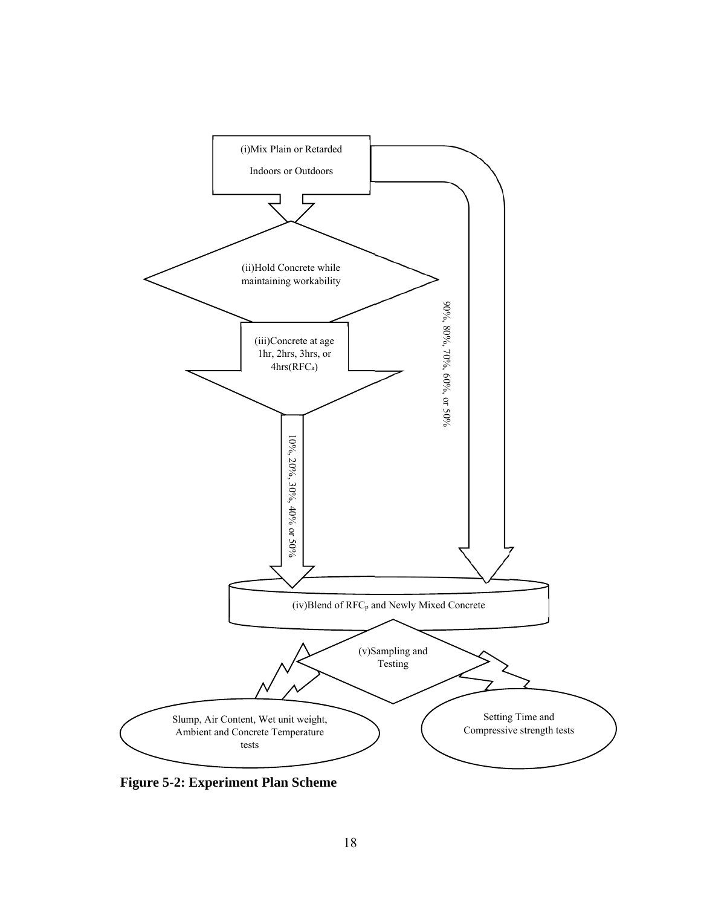

**Figure 5-2: Experiment Plan Scheme**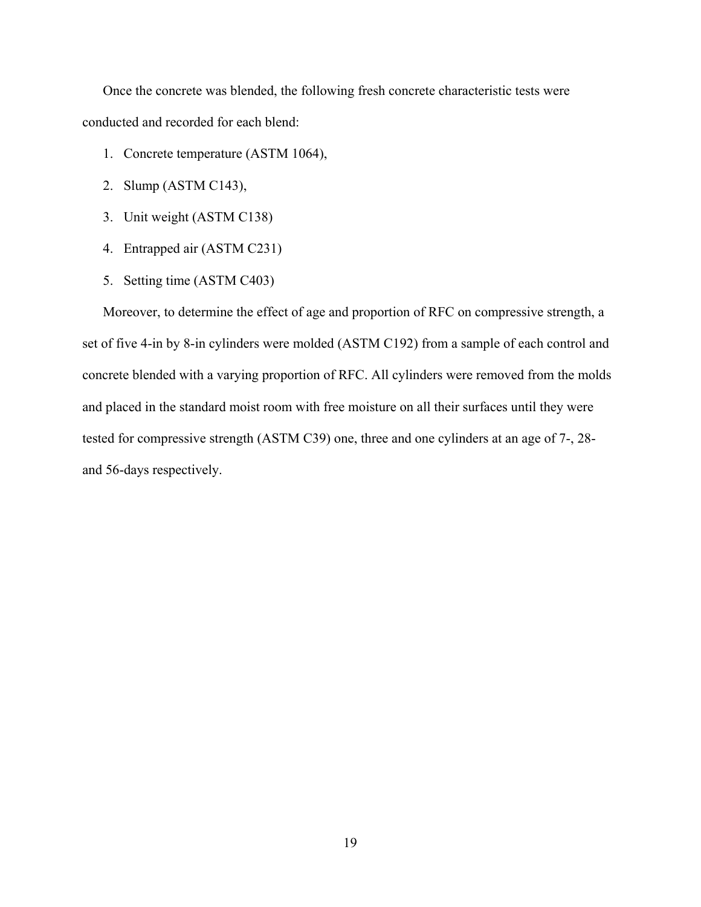Once the concrete was blended, the following fresh concrete characteristic tests were conducted and recorded for each blend:

- 1. Concrete temperature (ASTM 1064),
- 2. Slump (ASTM C143),
- 3. Unit weight (ASTM C138)
- 4. Entrapped air (ASTM C231)
- 5. Setting time (ASTM C403)

Moreover, to determine the effect of age and proportion of RFC on compressive strength, a set of five 4-in by 8-in cylinders were molded (ASTM C192) from a sample of each control and concrete blended with a varying proportion of RFC. All cylinders were removed from the molds and placed in the standard moist room with free moisture on all their surfaces until they were tested for compressive strength (ASTM C39) one, three and one cylinders at an age of 7-, 28 and 56-days respectively.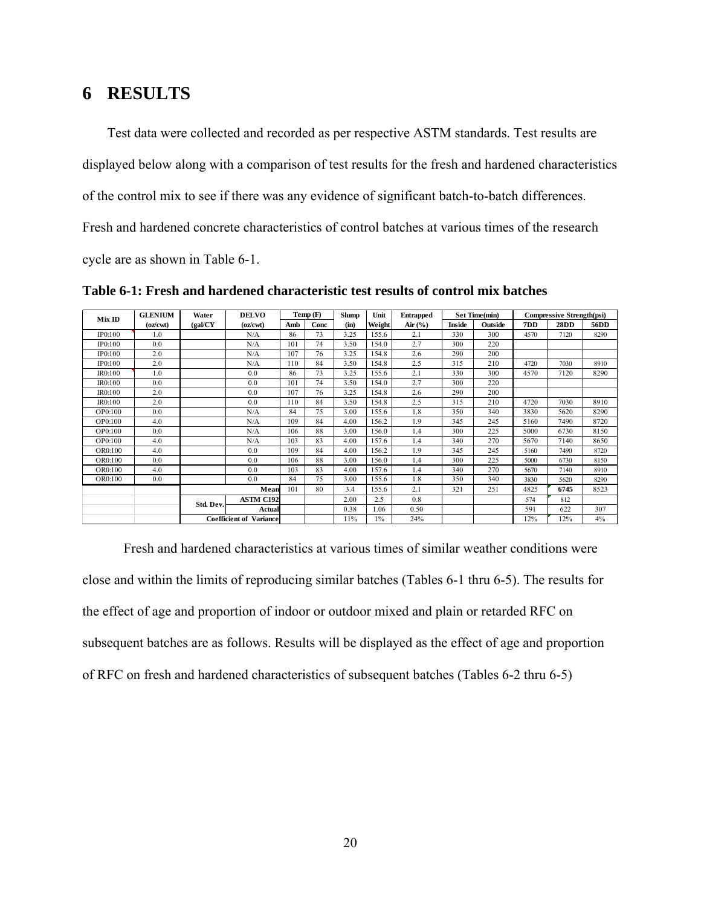## **6 RESULTS**

Test data were collected and recorded as per respective ASTM standards. Test results are displayed below along with a comparison of test results for the fresh and hardened characteristics of the control mix to see if there was any evidence of significant batch-to-batch differences. Fresh and hardened concrete characteristics of control batches at various times of the research cycle are as shown in Table 6-1.

| Mix ID  | <b>GLENIUM</b> | Water                                   | <b>DELVO</b>                   |     | Temp(F) | <b>Slump</b> | Unit   | <b>Entrapped</b> |               | Set Time(min) |      | <b>Compressive Strength(psi)</b> |      |
|---------|----------------|-----------------------------------------|--------------------------------|-----|---------|--------------|--------|------------------|---------------|---------------|------|----------------------------------|------|
|         | (oz/cwt)       | (gal/CY)                                | (oz/cwt)                       | Amb | Conc    | (in)         | Weight | Air $(\%)$       | <b>Inside</b> | Outside       | 7DD  | 28DD                             | 56DD |
| IP0:100 | 1.0            |                                         | N/A                            | 86  | 73      | 3.25         | 155.6  | 2.1              | 330           | 300           | 4570 | 7120                             | 8290 |
| IP0:100 | 0.0            |                                         | N/A                            | 101 | 74      | 3.50         | 154.0  | 2.7              | 300           | 220           |      |                                  |      |
| IP0:100 | 2.0            |                                         | N/A                            | 107 | 76      | 3.25         | 154.8  | 2.6              | 290           | 200           |      |                                  |      |
| IP0:100 | 2.0            |                                         | N/A                            | 110 | 84      | 3.50         | 154.8  | 2.5              | 315           | 210           | 4720 | 7030                             | 8910 |
| IR0:100 | 1.0            |                                         | 0.0                            | 86  | 73      | 3.25         | 155.6  | 2.1              | 330           | 300           | 4570 | 7120                             | 8290 |
| IR0:100 | 0.0            |                                         | 0.0                            | 101 | 74      | 3.50         | 154.0  | 2.7              | 300           | 220           |      |                                  |      |
| IR0:100 | 2.0            |                                         | 0.0                            | 107 | 76      | 3.25         | 154.8  | 2.6              | 290           | 200           |      |                                  |      |
| IR0:100 | 2.0            |                                         | 0.0                            | 110 | 84      | 3.50         | 154.8  | 2.5              | 315           | 210           | 4720 | 7030                             | 8910 |
| OP0:100 | 0.0            |                                         | N/A                            | 84  | 75      | 3.00         | 155.6  | 1.8              | 350           | 340           | 3830 | 5620                             | 8290 |
| OP0:100 | 4.0            |                                         | N/A                            | 109 | 84      | 4.00         | 156.2  | 1.9              | 345           | 245           | 5160 | 7490                             | 8720 |
| OP0:100 | 0.0            |                                         | N/A                            | 106 | 88      | 3.00         | 156.0  | 1.4              | 300           | 225           | 5000 | 6730                             | 8150 |
| OP0:100 | 4.0            |                                         | N/A                            | 103 | 83      | 4.00         | 157.6  | 1.4              | 340           | 270           | 5670 | 7140                             | 8650 |
| OR0:100 | 4.0            |                                         | 0.0                            | 109 | 84      | 4.00         | 156.2  | 1.9              | 345           | 245           | 5160 | 7490                             | 8720 |
| OR0:100 | 0.0            |                                         | 0.0                            | 106 | 88      | 3.00         | 156.0  | 1.4              | 300           | 225           | 5000 | 6730                             | 8150 |
| OR0:100 | 4.0            |                                         | 0 <sub>0</sub>                 | 103 | 83      | 4.00         | 157.6  | 1.4              | 340           | 270           | 5670 | 7140                             | 8910 |
| OR0:100 | 0.0            |                                         | 0.0                            | 84  | 75      | 3.00         | 155.6  | 1.8              | 350           | 340           | 3830 | 5620                             | 8290 |
|         |                | Mean                                    |                                | 101 | 80      | 34           | 155.6  | 2.1              | 321           | 251           | 4825 | 6745                             | 8523 |
|         |                | <b>ASTM C192</b><br>Std. Dev.<br>Actual |                                |     |         | 2.00         | 2.5    | 0.8              |               |               | 574  | 812                              |      |
|         |                |                                         |                                |     | 0.38    | 1.06         | 0.50   |                  |               | 591           | 622  | 307                              |      |
|         |                |                                         | <b>Coefficient of Variance</b> |     |         | 11%          | $1\%$  | 24%              |               |               | 12%  | 12%                              | 4%   |

**Table 6-1: Fresh and hardened characteristic test results of control mix batches** 

Fresh and hardened characteristics at various times of similar weather conditions were close and within the limits of reproducing similar batches (Tables 6-1 thru 6-5). The results for the effect of age and proportion of indoor or outdoor mixed and plain or retarded RFC on subsequent batches are as follows. Results will be displayed as the effect of age and proportion of RFC on fresh and hardened characteristics of subsequent batches (Tables 6-2 thru 6-5)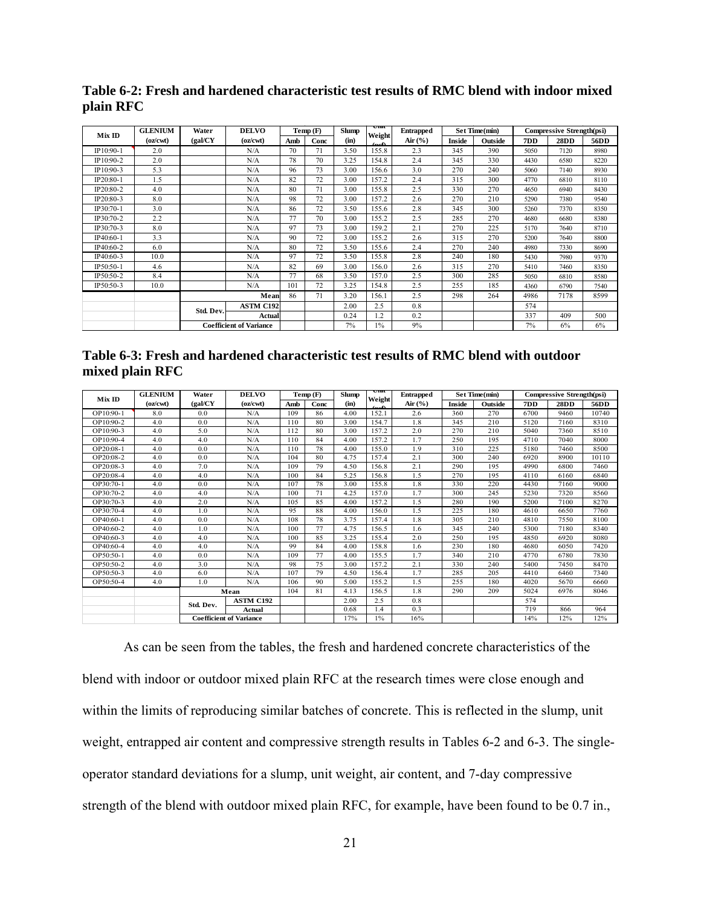**Table 6-2: Fresh and hardened characteristic test results of RMC blend with indoor mixed plain RFC** 

| Mix ID    | <b>GLENIUM</b> | Water     | <b>DELVO</b>                   |     | Temp(F) | <b>Slump</b> | υш<br>Weight   | <b>Entrapped</b> |        | Set Time(min) |      | <b>Compressive Strength(psi)</b> |      |
|-----------|----------------|-----------|--------------------------------|-----|---------|--------------|----------------|------------------|--------|---------------|------|----------------------------------|------|
|           | (oz/cwt)       | (gal/CY)  | (oz/cwt)                       | Amb | Conc    | (in)         | $T_{\rm out}$  | Air $(\%)$       | Inside | Outside       | 7DD  | 28DD                             | 56DD |
| IP10:90-1 | 2.0            |           | N/A                            | 70  | 71      | 3.50         | 155.8          | 2.3              | 345    | 390           | 5050 | 7120                             | 8980 |
| IP10:90-2 | 2.0            |           | N/A                            | 78  | 70      | 3.25         | 154.8          | 2.4              | 345    | 330           | 4430 | 6580                             | 8220 |
| IP10:90-3 | 5.3            |           | N/A                            | 96  | 73      | 3.00         | 156.6          | 3.0              | 270    | 240           | 5060 | 7140                             | 8930 |
| IP20:80-1 | 1.5            |           | N/A                            | 82  | 72      | 3.00         | 157.2          | 2.4              | 315    | 300           | 4770 | 6810                             | 8110 |
| IP20:80-2 | 4.0            |           | N/A                            | 80  | 71      | 3.00         | 155.8          | 2.5              | 330    | 270           | 4650 | 6940                             | 8430 |
| IP20:80-3 | 8.0            |           | N/A                            | 98  | 72      | 3.00         | 157.2          | 2.6              | 270    | 210           | 5290 | 7380                             | 9540 |
| IP30:70-1 | 3.0            |           | N/A                            | 86  | 72      | 3.50         | 155.6          | 2.8              | 345    | 300           | 5260 | 7370                             | 8350 |
| IP30:70-2 | 2.2            |           | N/A                            | 77  | 70      | 3.00         | 155.2          | 2.5              | 285    | 270           | 4680 | 6680                             | 8380 |
| IP30:70-3 | 8.0            |           | N/A                            | 97  | 73      | 3.00         | 159.2          | 2.1              | 270    | 225           | 5170 | 7640                             | 8710 |
| IP40:60-1 | 3.3            |           | N/A                            | 90  | 72      | 3.00         | 155.2          | 2.6              | 315    | 270           | 5200 | 7640                             | 8800 |
| IP40:60-2 | 6.0            |           | N/A                            | 80  | 72      | 3.50         | 155.6          | 2.4              | 270    | 240           | 4980 | 7330                             | 8690 |
| IP40:60-3 | 10.0           |           | N/A                            | 97  | 72      | 3.50         | 155.8          | 2.8              | 240    | 180           | 5430 | 7980                             | 9370 |
| IP50:50-1 | 4.6            |           | N/A                            | 82  | 69      | 3.00         | 156.0          | 2.6              | 315    | 270           | 5410 | 7460                             | 8350 |
| IP50:50-2 | 8.4            |           | N/A                            | 77  | 68      | 3.50         | 157.0          | 2.5              | 300    | 285           | 5050 | 6810                             | 8580 |
| IP50:50-3 | 10.0           |           | N/A                            | 101 | 72      | 3.25         | 154.8          | 2.5              | 255    | 185           | 4360 | 6790                             | 7540 |
|           |                | Mean      |                                | 86  | 71      | 3.20         | 156.1          | 2.5              | 298    | 264           | 4986 | 7178                             | 8599 |
|           |                | Std. Dev. | <b>ASTM C192</b>               |     |         | 2.00         | 2.5            | 0.8              |        |               | 574  |                                  |      |
|           |                |           | Actual                         |     |         | 0.24         | $\overline{2}$ | 0.2              |        |               | 337  | 409                              | 500  |
|           |                |           | <b>Coefficient of Variance</b> |     |         | 7%           | 1%             | 9%               |        |               | 7%   | 6%                               | 6%   |

|                 | Table 6-3: Fresh and hardened characteristic test results of RMC blend with outdoor |  |  |
|-----------------|-------------------------------------------------------------------------------------|--|--|
| mixed plain RFC |                                                                                     |  |  |

| MixID       | <b>GLENIUM</b> | Water          | <b>DELVO</b>                   |     | Temp(F) | <b>Slump</b> | UЩ<br>Weight | <b>Entrapped</b> |        | Set Time(min) | <b>Compressive Strength(psi)</b> |      |       |
|-------------|----------------|----------------|--------------------------------|-----|---------|--------------|--------------|------------------|--------|---------------|----------------------------------|------|-------|
|             | (oz/cwt)       | (gal/CY        | (oz/cwt)                       | Amb | Conc    | (in)         | nof          | Air $(%$         | Inside | Outside       | 7DD                              | 28DD | 56DD  |
| OP10:90-1   | 8.0            | 0 <sub>0</sub> | N/A                            | 109 | 86      | 4.00         | 152.1        | 2.6              | 360    | 270           | 6700                             | 9460 | 10740 |
| OP10:90-2   | 4.0            | 0.0            | N/A                            | 110 | 80      | 3.00         | 154.7        | 1.8              | 345    | 210           | 5120                             | 7160 | 8310  |
| OP10:90-3   | 4.0            | 5.0            | N/A                            | 112 | 80      | 3.00         | 157.2        | 2.0              | 270    | 210           | 5040                             | 7360 | 8510  |
| OP10:90-4   | 4.0            | 4.0            | N/A                            | 110 | 84      | 4.00         | 157.2        | 1.7              | 250    | 195           | 4710                             | 7040 | 8000  |
| OP20:08-1   | 4.0            | 0.0            | N/A                            | 110 | 78      | 4.00         | 155.0        | 1.9              | 310    | 225           | 5180                             | 7460 | 8500  |
| OP20:08-2   | 4.0            | 0.0            | N/A                            | 104 | 80      | 4.75         | 157.4        | 2.1              | 300    | 240           | 6920                             | 8900 | 10110 |
| OP20:08-3   | 4.0            | 7.0            | N/A                            | 109 | 79      | 4.50         | 156.8        | 2.1              | 290    | 195           | 4990                             | 6800 | 7460  |
| OP20:08-4   | 4.0            | 4.0            | N/A                            | 100 | 84      | 5.25         | 156.8        | 1.5              | 270    | 195           | 4110                             | 6160 | 6840  |
| OP30:70-1   | 4.0            | 0.0            | N/A                            | 107 | 78      | 3.00         | 155.8        | 1.8              | 330    | 220           | 4430                             | 7160 | 9000  |
| OP30:70-2   | 4.0            | 4.0            | N/A                            | 100 | 71      | 4.25         | 1570         | 1.7              | 300    | 245           | 5230                             | 7320 | 8560  |
| OP30:70-3   | 4.0            | 2.0            | N/A                            | 105 | 85      | 4.00         | 157.2        | 1.5              | 280    | 190           | 5200                             | 7100 | 8270  |
| OP30:70-4   | 4.0            | 1.0            | N/A                            | 95  | 88      | 4.00         | 156.0        | 1.5              | 225    | 180           | 4610                             | 6650 | 7760  |
| OP40:60-1   | 4.0            | 0.0            | N/A                            | 108 | 78      | 3.75         | 157.4        | 1.8              | 305    | 210           | 4810                             | 7550 | 8100  |
| $OP40:60-2$ | 4.0            | 1.0            | N/A                            | 100 | 77      | 4.75         | 156.5        | 1.6              | 345    | 240           | 5300                             | 7180 | 8340  |
| OP40:60-3   | 4.0            | 4.0            | N/A                            | 100 | 85      | 3.25         | 155.4        | 2.0              | 250    | 195           | 4850                             | 6920 | 8080  |
| OP40:60-4   | 4.0            | 4.0            | N/A                            | 99  | 84      | 4.00         | 158.8        | 1.6              | 230    | 180           | 4680                             | 6050 | 7420  |
| OP50:50-1   | 4.0            | 0.0            | N/A                            | 109 | 77      | 4.00         | 155.5        | 1.7              | 340    | 210           | 4770                             | 6780 | 7830  |
| OP50:50-2   | 4.0            | 3.0            | N/A                            | 98  | 75      | 3.00         | 157.2        | 2.1              | 330    | 240           | 5400                             | 7450 | 8470  |
| OP50:50-3   | 4.0            | 6.0            | N/A                            | 107 | 79      | 4.50         | 156.4        | 1.7              | 285    | 205           | 4410                             | 6460 | 7340  |
| OP50:50-4   | 4.0            | 1.0            | N/A                            | 106 | 90      | 5.00         | 1552         | 1.5              | 255    | 180           | 4020                             | 5670 | 6660  |
|             |                | Mean           |                                | 104 | 81      | 4.13         | 156.5        | 1.8              | 290    | 209           | 5024                             | 6976 | 8046  |
|             |                |                | <b>ASTM C192</b>               |     |         | 2.00         | 2.5          | 0.8              |        |               | 574                              |      |       |
|             |                | Std. Dev.      | <b>Actual</b>                  |     |         | 0.68         | 1.4          | 0.3              |        |               | 719                              | 866  | 964   |
|             |                |                | <b>Coefficient of Variance</b> |     |         | 17%          | $1\%$        | 16%              |        |               | 14%                              | 12%  | 12%   |

As can be seen from the tables, the fresh and hardened concrete characteristics of the blend with indoor or outdoor mixed plain RFC at the research times were close enough and within the limits of reproducing similar batches of concrete. This is reflected in the slump, unit weight, entrapped air content and compressive strength results in Tables 6-2 and 6-3. The singleoperator standard deviations for a slump, unit weight, air content, and 7-day compressive strength of the blend with outdoor mixed plain RFC, for example, have been found to be 0.7 in.,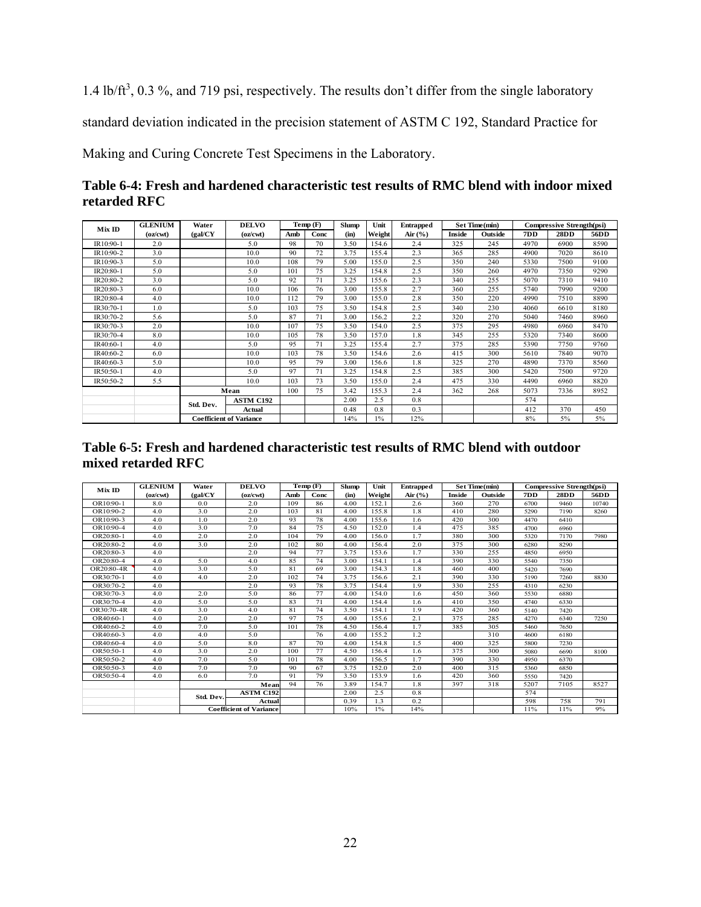1.4 lb/ft<sup>3</sup>, 0.3 %, and 719 psi, respectively. The results don't differ from the single laboratory

standard deviation indicated in the precision statement of ASTM C 192, Standard Practice for

Making and Curing Concrete Test Specimens in the Laboratory.

| Table 6-4: Fresh and hardened characteristic test results of RMC blend with indoor mixed |  |
|------------------------------------------------------------------------------------------|--|
| retarded RFC                                                                             |  |

| MixID     | <b>GLENIUM</b> | Water     | <b>DELVO</b>                   |     | Temp(F) | <b>Slump</b> | Unit   | <b>Entrapped</b> |        | Set Time(min) | Compressive Strength(psi) |      |      |
|-----------|----------------|-----------|--------------------------------|-----|---------|--------------|--------|------------------|--------|---------------|---------------------------|------|------|
|           | (oz/cwt)       | (gal/CY)  | (oz/cwt)                       | Amb | Conc    | (in)         | Weight | Air $(\% )$      | Inside | Outside       | 7DD                       | 28DD | 56DD |
| IR10:90-1 | 2.0            |           | 5.0                            | 98  | 70      | 3.50         | 154.6  | 2.4              | 325    | 245           | 4970                      | 6900 | 8590 |
| IR10:90-2 | 3.0            |           | 10.0                           | 90  | 72      | 3.75         | 155.4  | 2.3              | 365    | 285           | 4900                      | 7020 | 8610 |
| IR10:90-3 | 5.0            |           | 10.0                           | 108 | 79      | 5.00         | 155.0  | 2.5              | 350    | 240           | 5330                      | 7500 | 9100 |
| IR20:80-1 | 5.0            |           | 5.0                            | 101 | 75      | 3.25         | 154.8  | 2.5              | 350    | 260           | 4970                      | 7350 | 9290 |
| IR20:80-2 | 3.0            |           | 5.0                            | 92  | 71      | 3.25         | 155.6  | 2.3              | 340    | 255           | 5070                      | 7310 | 9410 |
| IR20:80-3 | 6.0            |           | 10.0                           | 106 | 76      | 3.00         | 155.8  | 2.7              | 360    | 255           | 5740                      | 7990 | 9200 |
| IR20:80-4 | 4.0            |           | 10.0                           | 112 | 79      | 3.00         | 155.0  | 2.8              | 350    | 220           | 4990                      | 7510 | 8890 |
| IR30:70-1 | 1.0            |           | 5.0                            | 103 | 75      | 3.50         | 154.8  | 2.5              | 340    | 230           | 4060                      | 6610 | 8180 |
| IR30:70-2 | 5.6            |           | 5.0                            | 87  | 71      | 3.00         | 156.2  | 2.2              | 320    | 270           | 5040                      | 7460 | 8960 |
| IR30:70-3 | 2.0            |           | 10.0                           | 107 | 75      | 3.50         | 154.0  | 2.5              | 375    | 295           | 4980                      | 6960 | 8470 |
| IR30:70-4 | 8.0            |           | 10.0                           | 105 | 78      | 3.50         | 157.0  | 1.8              | 345    | 255           | 5320                      | 7340 | 8600 |
| IR40:60-1 | 4.0            |           | 5.0                            | 95  | 71      | 3.25         | 155.4  | 2.7              | 375    | 285           | 5390                      | 7750 | 9760 |
| IR40:60-2 | 6.0            |           | 10.0                           | 103 | 78      | 3.50         | 154.6  | 2.6              | 415    | 300           | 5610                      | 7840 | 9070 |
| IR40:60-3 | 5.0            |           | 10.0                           | 95  | 79      | 3.00         | 156.6  | 1.8              | 325    | 270           | 4890                      | 7370 | 8560 |
| IR50:50-1 | 4.0            |           | 5.0                            | 97  | 71      | 3.25         | 154.8  | 2.5              | 385    | 300           | 5420                      | 7500 | 9720 |
| IR50:50-2 | 5.5            |           | 10.0                           | 103 | 73      | 3.50         | 155.0  | 2.4              | 475    | 330           | 4490                      | 6960 | 8820 |
|           |                | Mean      |                                | 100 | 75      | 3.42         | 155.3  | 2.4              | 362    | 268           | 5073                      | 7336 | 8952 |
|           |                | Std. Dev. | <b>ASTM C192</b>               |     |         | 2.00         | 2.5    | 0.8              |        |               | 574                       |      |      |
|           |                |           | Actual                         |     |         | 0.48         | 0.8    | 0.3              |        |               | 412                       | 370  | 450  |
|           |                |           | <b>Coefficient of Variance</b> |     |         | 14%          | $1\%$  | 12%              |        |               | 8%                        | 5%   | 5%   |

## **Table 6-5: Fresh and hardened characteristic test results of RMC blend with outdoor mixed retarded RFC**

|            | <b>GLENIUM</b> | Water     | <b>DELVO</b>                   |     | Temp(F) | <b>Slump</b> | Unit   | <b>Entrapped</b> |        | Set Time(min) |      | <b>Compressive Strength(psi)</b> |       |
|------------|----------------|-----------|--------------------------------|-----|---------|--------------|--------|------------------|--------|---------------|------|----------------------------------|-------|
| MixID      | (oz/cwt)       | (gal/CY)  | (oz/cwt)                       | Amb | Conc    | (in)         | Weight | Air $(\%)$       | Inside | Outside       | 7DD  | 28DD                             | 56DD  |
| OR10:90-1  | 8.0            | 0.0       | 2.0                            | 109 | 86      | 4.00         | 152.1  | 2.6              | 360    | 270           | 6700 | 9460                             | 10740 |
| OR10:90-2  | 4.0            | 3.0       | 2.0                            | 103 | 81      | 4.00         | 155.8  | 1.8              | 410    | 280           | 5290 | 7190                             | 8260  |
| OR10:90-3  | 4.0            | 1.0       | 2.0                            | 93  | 78      | 4.00         | 155.6  | 1.6              | 420    | 300           | 4470 | 6410                             |       |
| OR10:90-4  | 4.0            | 3.0       | 7.0                            | 84  | 75      | 4.50         | 152.0  | 1.4              | 475    | 385           | 4700 | 6960                             |       |
| OR20:80-1  | 4.0            | 2.0       | 2.0                            | 104 | 79      | 4.00         | 156.0  | 1.7              | 380    | 300           | 5320 | 7170                             | 7980  |
| OR20:80-2  | 4.0            | 3.0       | 2.0                            | 102 | 80      | 4.00         | 156.4  | 2.0              | 375    | 300           | 6280 | 8290                             |       |
| OR20:80-3  | 4.0            |           | 2.0                            | 94  | 77      | 3.75         | 153.6  | 1.7              | 330    | 255           | 4850 | 6950                             |       |
| OR20:80-4  | 4.0            | 5.0       | 4.0                            | 85  | 74      | 3.00         | 154.1  | 1.4              | 390    | 330           | 5540 | 7350                             |       |
| OR20:80-4R | 4.0            | 3.0       | 5.0                            | 81  | 69      | 3.00         | 154.3  | 1.8              | 460    | 400           | 5420 | 7690                             |       |
| OR30:70-1  | 4.0            | 4.0       | 2.0                            | 102 | 74      | 3.75         | 156.6  | 2.1              | 390    | 330           | 5190 | 7260                             | 8830  |
| OR30:70-2  | 4.0            |           | 2.0                            | 93  | 78      | 3.75         | 154.4  | 1.9              | 330    | 255           | 4310 | 6230                             |       |
| OR30:70-3  | 4.0            | 2.0       | 5.0                            | 86  | 77      | 4.00         | 154.0  | 1.6              | 450    | 360           | 5530 | 6880                             |       |
| OR30:70-4  | 4.0            | 5.0       | 5.0                            | 83  | 71      | 4.00         | 154.4  | 1.6              | 410    | 350           | 4740 | 6330                             |       |
| OR30:70-4R | 4.0            | 3.0       | 4.0                            | 81  | 74      | 3.50         | 154.1  | 1.9              | 420    | 360           | 5140 | 7420                             |       |
| OR40:60-1  | 4.0            | 2.0       | 2.0                            | 97  | 75      | 4.00         | 155.6  | 2.1              | 375    | 285           | 4270 | 6340                             | 7250  |
| OR40:60-2  | 4.0            | 7.0       | 5.0                            | 101 | 78      | 4.50         | 156.4  | 1.7              | 385    | 305           | 5460 | 7650                             |       |
| OR40:60-3  | 4.0            | 4.0       | 5.0                            |     | 76      | 4.00         | 155.2  | 1.2              |        | 310           | 4600 | 6180                             |       |
| OR40:60-4  | 4.0            | 5.0       | 8.0                            | 87  | 70      | 4.00         | 154.8  | 1.5              | 400    | 325           | 5800 | 7230                             |       |
| OR50:50-1  | 4.0            | 3.0       | 2.0                            | 100 | 77      | 4.50         | 156.4  | 1.6              | 375    | 300           | 5080 | 6690                             | 8100  |
| OR50:50-2  | 4.0            | 7.0       | 5.0                            | 101 | 78      | 4.00         | 156.5  | 1.7              | 390    | 330           | 4950 | 6370                             |       |
| OR50:50-3  | 4.0            | 7.0       | 7.0                            | 90  | 67      | 3.75         | 152.0  | 2.0              | 400    | 315           | 5360 | 6850                             |       |
| OR50:50-4  | 4.0            | 6.0       | 7.0                            | 91  | 79      | 3.50         | 153.9  | 1.6              | 420    | 360           | 5550 | 7420                             |       |
|            |                |           | Mean                           | 94  | 76      | 3.89         | 154.7  | 1.8              | 397    | 318           | 5207 | 7105                             | 8527  |
|            |                | Std. Dev. | <b>ASTM C192</b>               |     |         | 2.00         | 2.5    | 0.8              |        |               | 574  |                                  |       |
|            |                |           | <b>Actual</b>                  |     |         | 0.39         | 1.3    | 0.2              |        |               | 598  | 758                              | 791   |
|            |                |           | <b>Coefficient of Variance</b> |     |         | 10%          | $1\%$  | 14%              |        |               | 11%  | 11%                              | 9%    |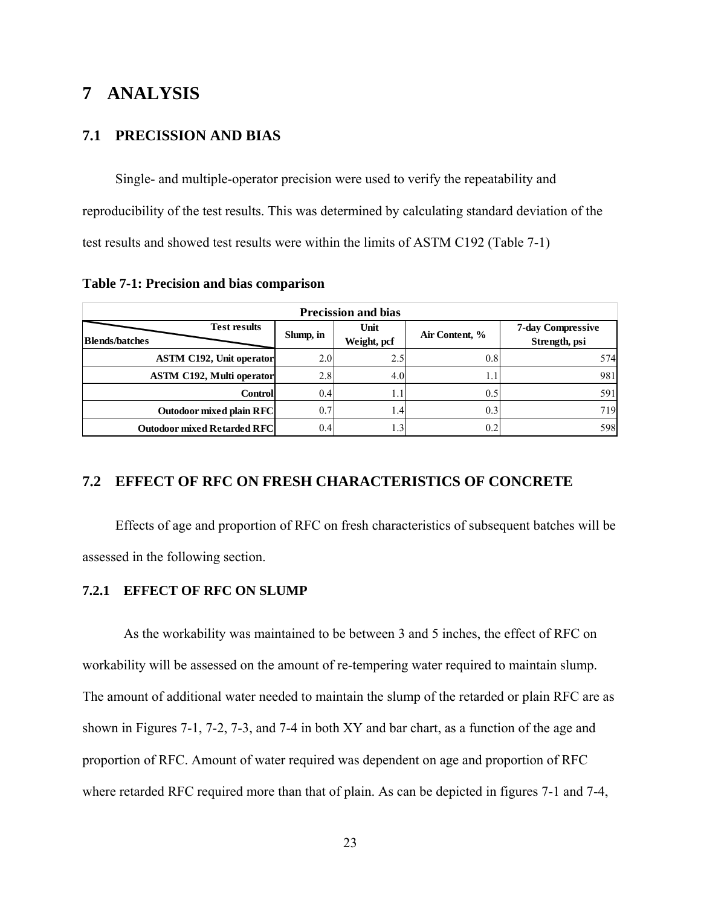## **7 ANALYSIS**

## **7.1 PRECISSION AND BIAS**

Single- and multiple-operator precision were used to verify the repeatability and reproducibility of the test results. This was determined by calculating standard deviation of the test results and showed test results were within the limits of ASTM C192 (Table 7-1)

**Table 7-1: Precision and bias comparison** 

| <b>Precission and bias</b>                   |           |                     |                |                                           |  |  |  |  |  |  |  |  |
|----------------------------------------------|-----------|---------------------|----------------|-------------------------------------------|--|--|--|--|--|--|--|--|
| <b>Test results</b><br><b>Blends/batches</b> | Slump, in | Unit<br>Weight, pcf | Air Content, % | <b>7-day Compressive</b><br>Strength, psi |  |  |  |  |  |  |  |  |
| <b>ASTM C192, Unit operator</b>              | 2.0       | 2.5                 | 0.8            | 574                                       |  |  |  |  |  |  |  |  |
| <b>ASTM C192, Multi operator</b>             | 2.8       | 4.0                 |                | 981                                       |  |  |  |  |  |  |  |  |
| <b>Controll</b>                              | 0.4       |                     | 0.5            | 591                                       |  |  |  |  |  |  |  |  |
| <b>Outodoor mixed plain RFC</b>              | 0.7       | .4                  | 0.3            | 719                                       |  |  |  |  |  |  |  |  |
| <b>Outodoor mixed Retarded RFC</b>           | 0.4       | .3'                 | 0.2            | 598                                       |  |  |  |  |  |  |  |  |

#### **7.2 EFFECT OF RFC ON FRESH CHARACTERISTICS OF CONCRETE**

Effects of age and proportion of RFC on fresh characteristics of subsequent batches will be assessed in the following section.

#### **7.2.1 EFFECT OF RFC ON SLUMP**

As the workability was maintained to be between 3 and 5 inches, the effect of RFC on workability will be assessed on the amount of re-tempering water required to maintain slump. The amount of additional water needed to maintain the slump of the retarded or plain RFC are as shown in Figures 7-1, 7-2, 7-3, and 7-4 in both XY and bar chart, as a function of the age and proportion of RFC. Amount of water required was dependent on age and proportion of RFC where retarded RFC required more than that of plain. As can be depicted in figures 7-1 and 7-4,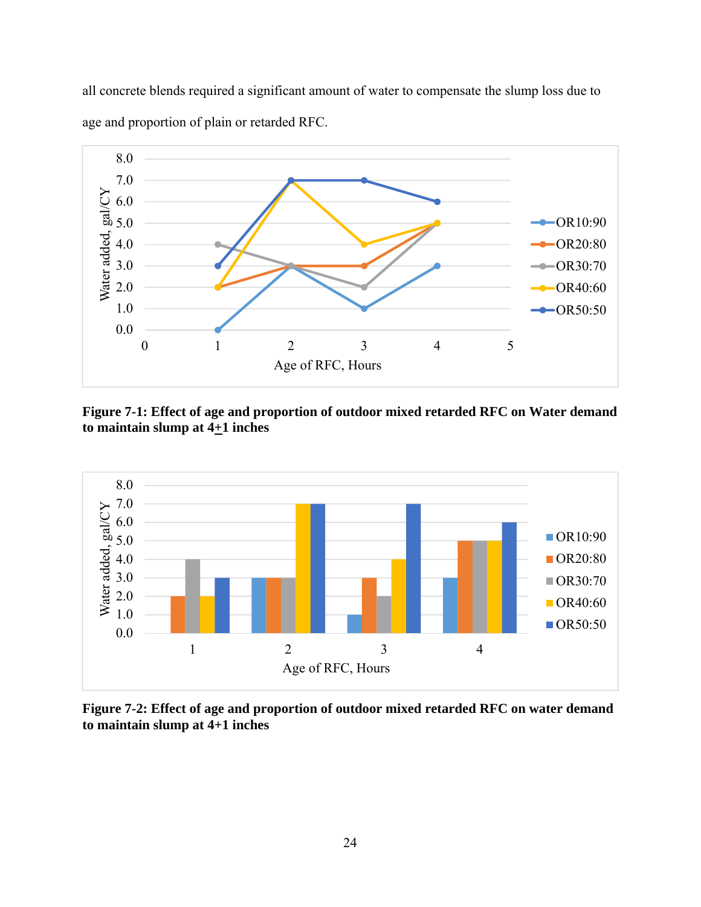all concrete blends required a significant amount of water to compensate the slump loss due to age and proportion of plain or retarded RFC.



**Figure 7-1: Effect of age and proportion of outdoor mixed retarded RFC on Water demand**  to maintain slump at  $4+1$  inches



**Figure 7-2: Effect of age and proportion of outdoor mixed retarded RFC on water demand to maintain slump at 4+1 inches**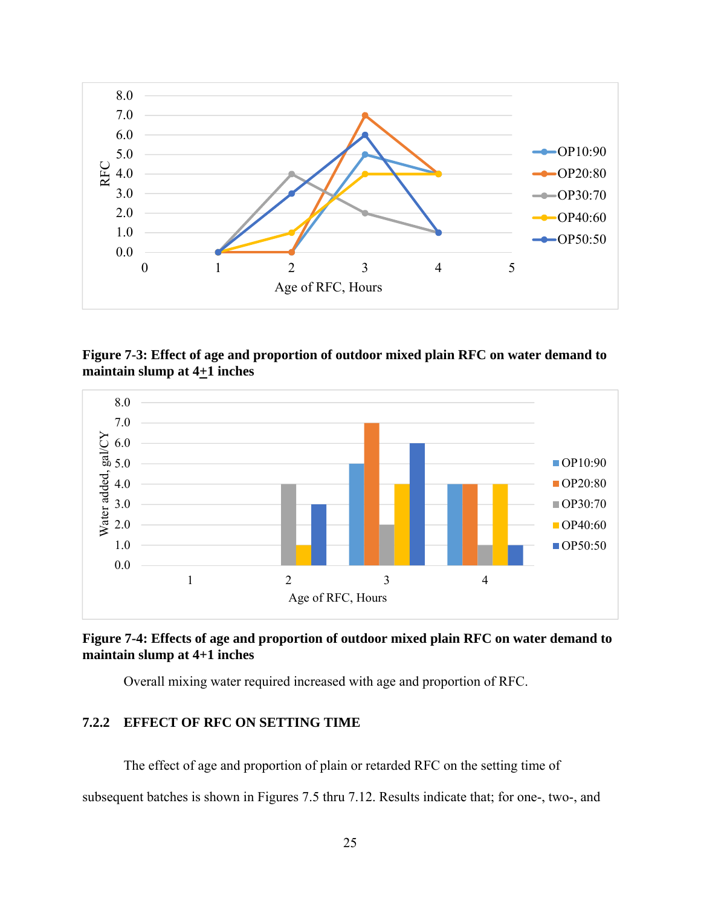

**Figure 7-3: Effect of age and proportion of outdoor mixed plain RFC on water demand to maintain slump at 4+1 inches** 



**Figure 7-4: Effects of age and proportion of outdoor mixed plain RFC on water demand to maintain slump at 4+1 inches** 

Overall mixing water required increased with age and proportion of RFC.

## **7.2.2 EFFECT OF RFC ON SETTING TIME**

The effect of age and proportion of plain or retarded RFC on the setting time of

subsequent batches is shown in Figures 7.5 thru 7.12. Results indicate that; for one-, two-, and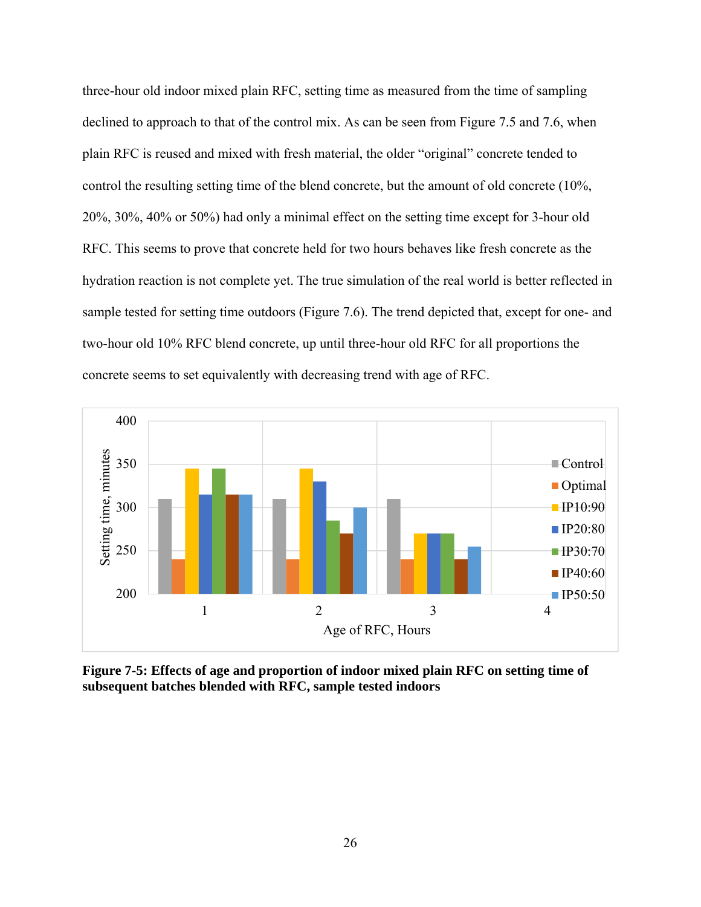three-hour old indoor mixed plain RFC, setting time as measured from the time of sampling declined to approach to that of the control mix. As can be seen from Figure 7.5 and 7.6, when plain RFC is reused and mixed with fresh material, the older "original" concrete tended to control the resulting setting time of the blend concrete, but the amount of old concrete (10%, 20%, 30%, 40% or 50%) had only a minimal effect on the setting time except for 3-hour old RFC. This seems to prove that concrete held for two hours behaves like fresh concrete as the hydration reaction is not complete yet. The true simulation of the real world is better reflected in sample tested for setting time outdoors (Figure 7.6). The trend depicted that, except for one- and two-hour old 10% RFC blend concrete, up until three-hour old RFC for all proportions the concrete seems to set equivalently with decreasing trend with age of RFC.



**Figure 7-5: Effects of age and proportion of indoor mixed plain RFC on setting time of subsequent batches blended with RFC, sample tested indoors**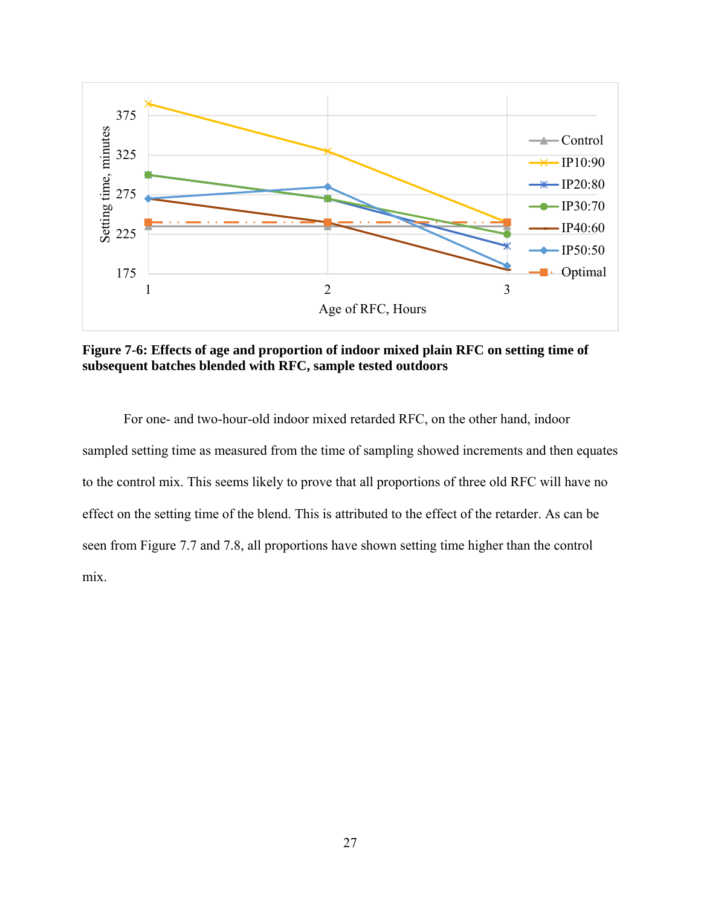

**Figure 7-6: Effects of age and proportion of indoor mixed plain RFC on setting time of subsequent batches blended with RFC, sample tested outdoors** 

For one- and two-hour-old indoor mixed retarded RFC, on the other hand, indoor sampled setting time as measured from the time of sampling showed increments and then equates to the control mix. This seems likely to prove that all proportions of three old RFC will have no effect on the setting time of the blend. This is attributed to the effect of the retarder. As can be seen from Figure 7.7 and 7.8, all proportions have shown setting time higher than the control mix.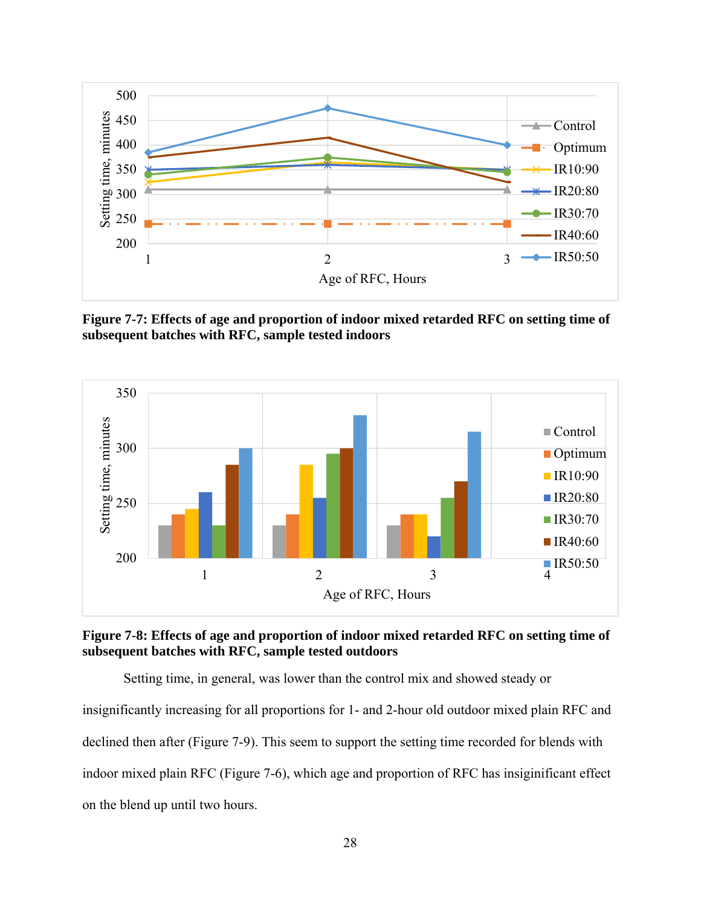

**Figure 7-7: Effects of age and proportion of indoor mixed retarded RFC on setting time of subsequent batches with RFC, sample tested indoors** 





Setting time, in general, was lower than the control mix and showed steady or insignificantly increasing for all proportions for 1- and 2-hour old outdoor mixed plain RFC and declined then after (Figure 7-9). This seem to support the setting time recorded for blends with indoor mixed plain RFC (Figure 7-6), which age and proportion of RFC has insiginificant effect on the blend up until two hours.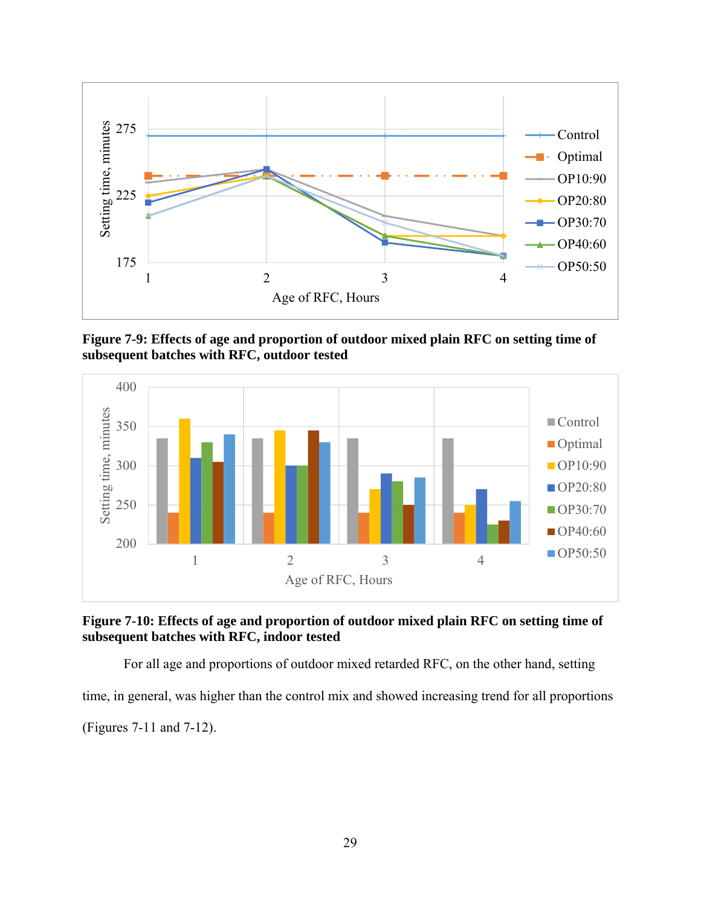

**Figure 7-9: Effects of age and proportion of outdoor mixed plain RFC on setting time of subsequent batches with RFC, outdoor tested** 





For all age and proportions of outdoor mixed retarded RFC, on the other hand, setting time, in general, was higher than the control mix and showed increasing trend for all proportions

(Figures 7-11 and 7-12).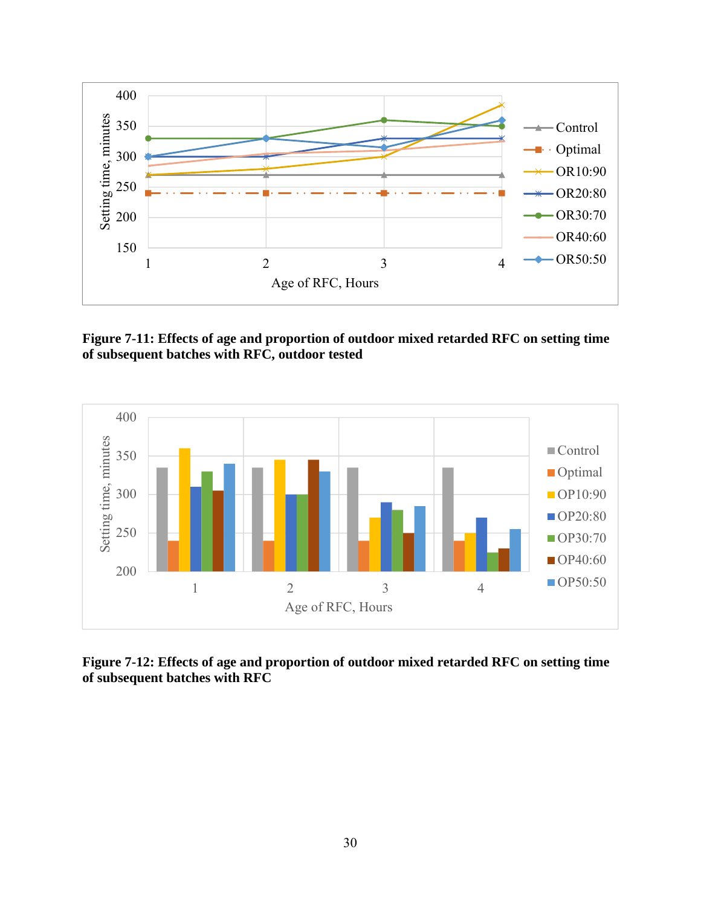

**Figure 7-11: Effects of age and proportion of outdoor mixed retarded RFC on setting time of subsequent batches with RFC, outdoor tested** 



**Figure 7-12: Effects of age and proportion of outdoor mixed retarded RFC on setting time of subsequent batches with RFC**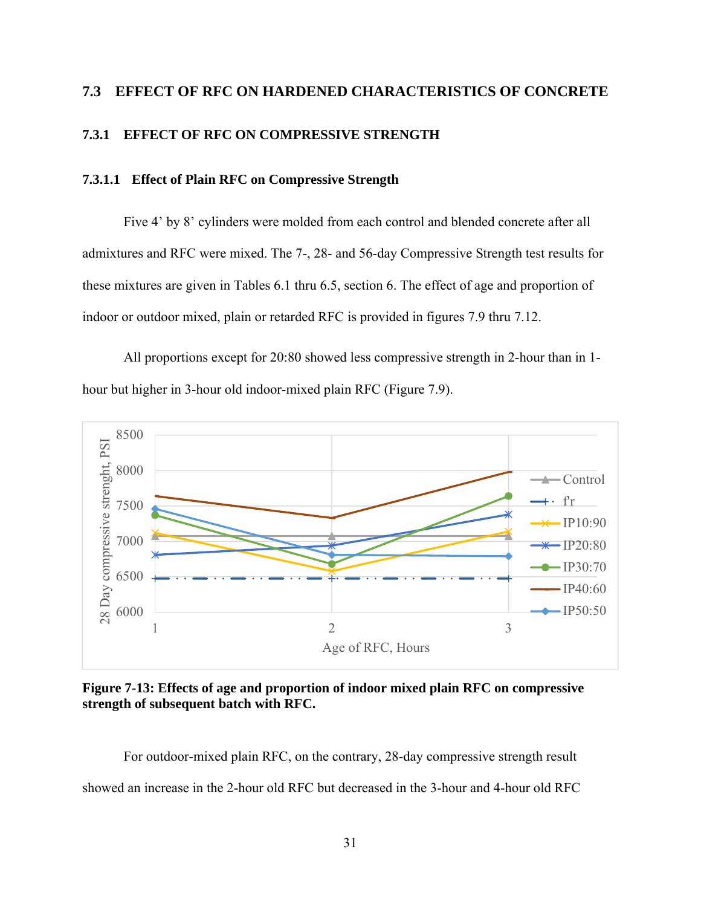# **7.3 EFFECT OF RFC ON HARDENED CHARACTERISTICS OF CONCRETE**

## **7.3.1 EFFECT OF RFC ON COMPRESSIVE STRENGTH**

## **7.3.1.1 Effect of Plain RFC on Compressive Strength**

Five 4' by 8' cylinders were molded from each control and blended concrete after all admixtures and RFC were mixed. The 7-, 28- and 56-day Compressive Strength test results for these mixtures are given in Tables 6.1 thru 6.5, section 6. The effect of age and proportion of indoor or outdoor mixed, plain or retarded RFC is provided in figures 7.9 thru 7.12.

All proportions except for 20:80 showed less compressive strength in 2-hour than in 1 hour but higher in 3-hour old indoor-mixed plain RFC (Figure 7.9).



**Figure 7-13: Effects of age and proportion of indoor mixed plain RFC on compressive strength of subsequent batch with RFC.** 

For outdoor-mixed plain RFC, on the contrary, 28-day compressive strength result showed an increase in the 2-hour old RFC but decreased in the 3-hour and 4-hour old RFC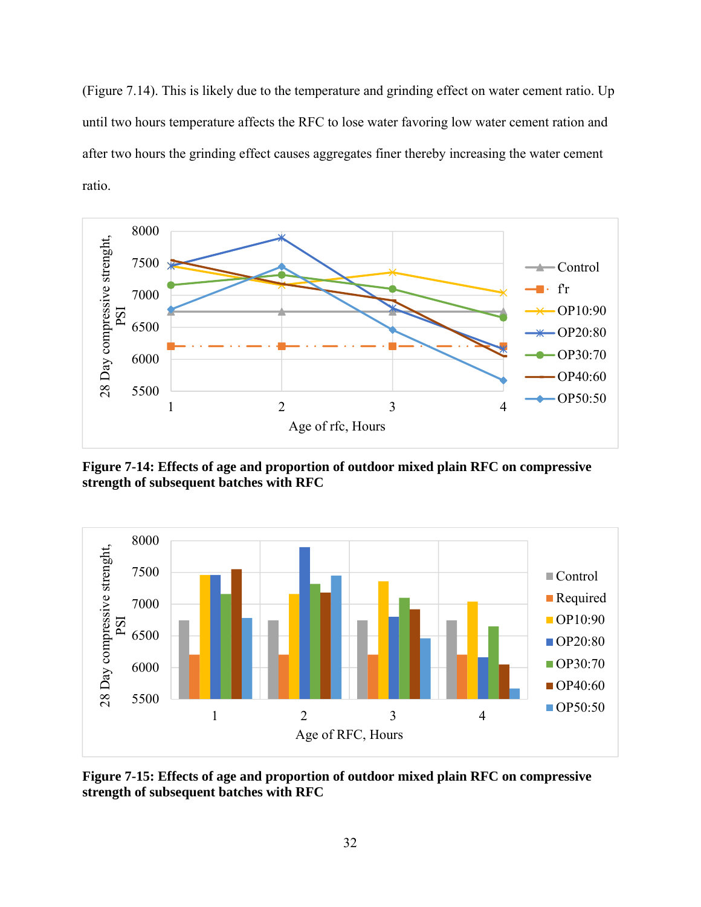(Figure 7.14). This is likely due to the temperature and grinding effect on water cement ratio. Up until two hours temperature affects the RFC to lose water favoring low water cement ration and after two hours the grinding effect causes aggregates finer thereby increasing the water cement ratio.



**Figure 7-14: Effects of age and proportion of outdoor mixed plain RFC on compressive strength of subsequent batches with RFC** 



**Figure 7-15: Effects of age and proportion of outdoor mixed plain RFC on compressive strength of subsequent batches with RFC**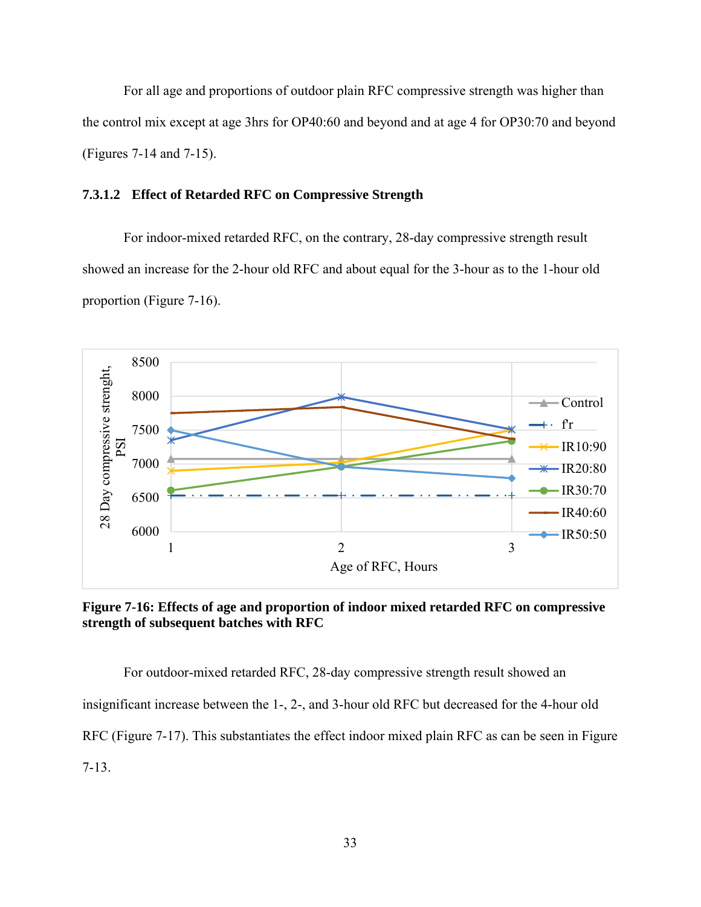For all age and proportions of outdoor plain RFC compressive strength was higher than the control mix except at age 3hrs for OP40:60 and beyond and at age 4 for OP30:70 and beyond (Figures 7-14 and 7-15).

#### **7.3.1.2 Effect of Retarded RFC on Compressive Strength**

For indoor-mixed retarded RFC, on the contrary, 28-day compressive strength result showed an increase for the 2-hour old RFC and about equal for the 3-hour as to the 1-hour old proportion (Figure 7-16).



**Figure 7-16: Effects of age and proportion of indoor mixed retarded RFC on compressive strength of subsequent batches with RFC** 

For outdoor-mixed retarded RFC, 28-day compressive strength result showed an insignificant increase between the 1-, 2-, and 3-hour old RFC but decreased for the 4-hour old RFC (Figure 7-17). This substantiates the effect indoor mixed plain RFC as can be seen in Figure 7-13.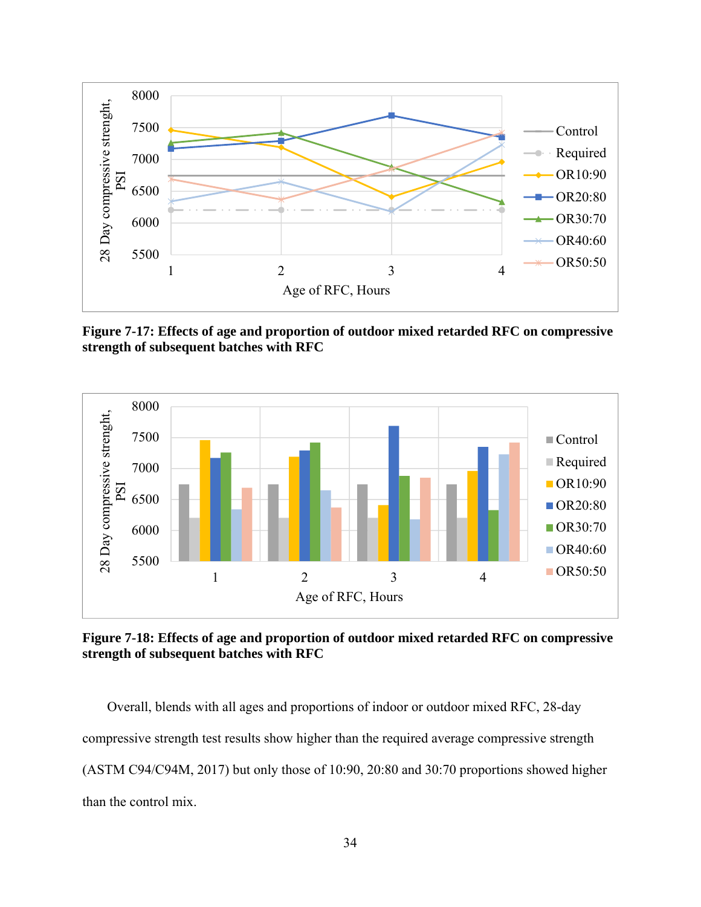

**Figure 7-17: Effects of age and proportion of outdoor mixed retarded RFC on compressive strength of subsequent batches with RFC** 



**Figure 7-18: Effects of age and proportion of outdoor mixed retarded RFC on compressive strength of subsequent batches with RFC** 

Overall, blends with all ages and proportions of indoor or outdoor mixed RFC, 28-day compressive strength test results show higher than the required average compressive strength (ASTM C94/C94M, 2017) but only those of 10:90, 20:80 and 30:70 proportions showed higher than the control mix.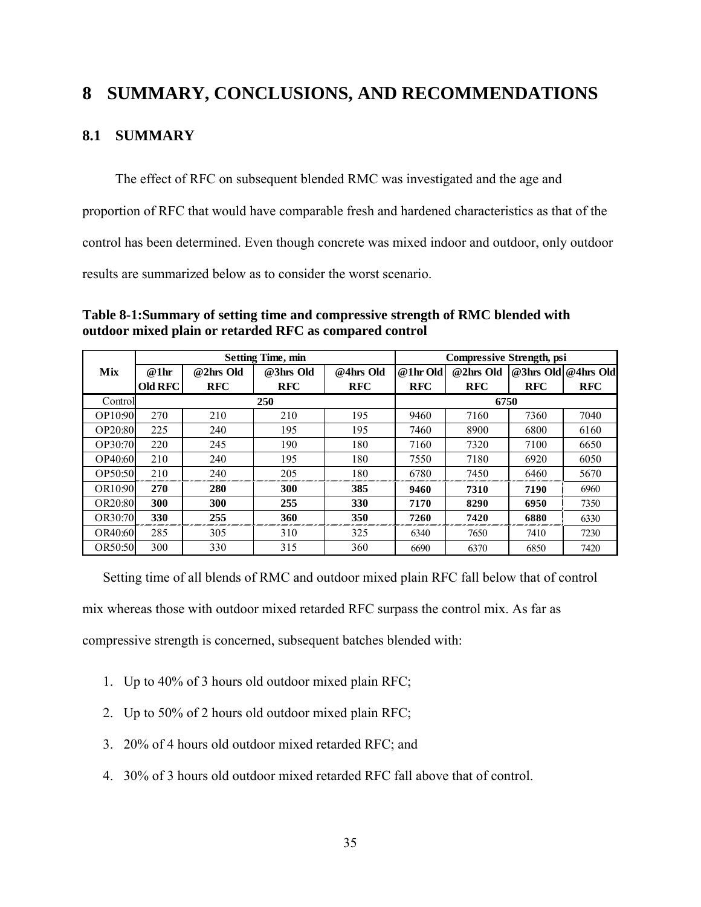## **8 SUMMARY, CONCLUSIONS, AND RECOMMENDATIONS**

## **8.1 SUMMARY**

The effect of RFC on subsequent blended RMC was investigated and the age and proportion of RFC that would have comparable fresh and hardened characteristics as that of the control has been determined. Even though concrete was mixed indoor and outdoor, only outdoor results are summarized below as to consider the worst scenario.

|                |                |            |                          | <b>Compressive Strength, psi</b> |            |            |            |                     |  |  |
|----------------|----------------|------------|--------------------------|----------------------------------|------------|------------|------------|---------------------|--|--|
|                |                |            | <b>Setting Time, min</b> |                                  |            |            |            |                     |  |  |
| Mix            | @1hr           | @2hrs Old  | @3hrs Old                | @4hrs Old                        | @ 1 hr Old | @2hrs Old  |            | @3hrs Old @4hrs Old |  |  |
|                | <b>Old RFC</b> | <b>RFC</b> | <b>RFC</b>               | <b>RFC</b>                       | <b>RFC</b> | <b>RFC</b> | <b>RFC</b> | <b>RFC</b>          |  |  |
| Controll       |                |            | 250                      |                                  |            | 6750       |            |                     |  |  |
| OP10:90        | 270            | 210        | 210                      | 195                              | 9460       | 7160       | 7360       | 7040                |  |  |
| OP20:80        | 225            | 240        | 195                      | 195                              | 7460       | 8900       | 6800       | 6160                |  |  |
| OP30:70        | 220            | 245        | 190                      | 180                              | 7160       | 7320       | 7100       | 6650                |  |  |
| OP40:60        | 210            | 240        | 195                      | 180                              | 7550       | 7180       | 6920       | 6050                |  |  |
| OP50:50        | 210            | 240        | 205                      | 180                              | 6780       | 7450       | 6460       | 5670                |  |  |
| OR10:90        | 270            | 280        | 300                      | 385                              | 9460       | 7310       | 7190       | 6960                |  |  |
| OR20:80        | 300            | 300        | 255                      | 330                              | 7170       | 8290       | 6950       | 7350                |  |  |
| OR30:70        | 330            | 255        | 360                      | 350                              | 7260       | 7420       | 6880       | 6330                |  |  |
| OR40:60        | 285            | 305        | 310                      | 325                              | 6340       | 7650       | 7410       | 7230                |  |  |
| <b>OR50:50</b> | 300            | 330        | 315                      | 360                              | 6690       | 6370       | 6850       | 7420                |  |  |

**Table 8-1:Summary of setting time and compressive strength of RMC blended with outdoor mixed plain or retarded RFC as compared control** 

Setting time of all blends of RMC and outdoor mixed plain RFC fall below that of control

mix whereas those with outdoor mixed retarded RFC surpass the control mix. As far as

compressive strength is concerned, subsequent batches blended with:

- 1. Up to 40% of 3 hours old outdoor mixed plain RFC;
- 2. Up to 50% of 2 hours old outdoor mixed plain RFC;
- 3. 20% of 4 hours old outdoor mixed retarded RFC; and
- 4. 30% of 3 hours old outdoor mixed retarded RFC fall above that of control.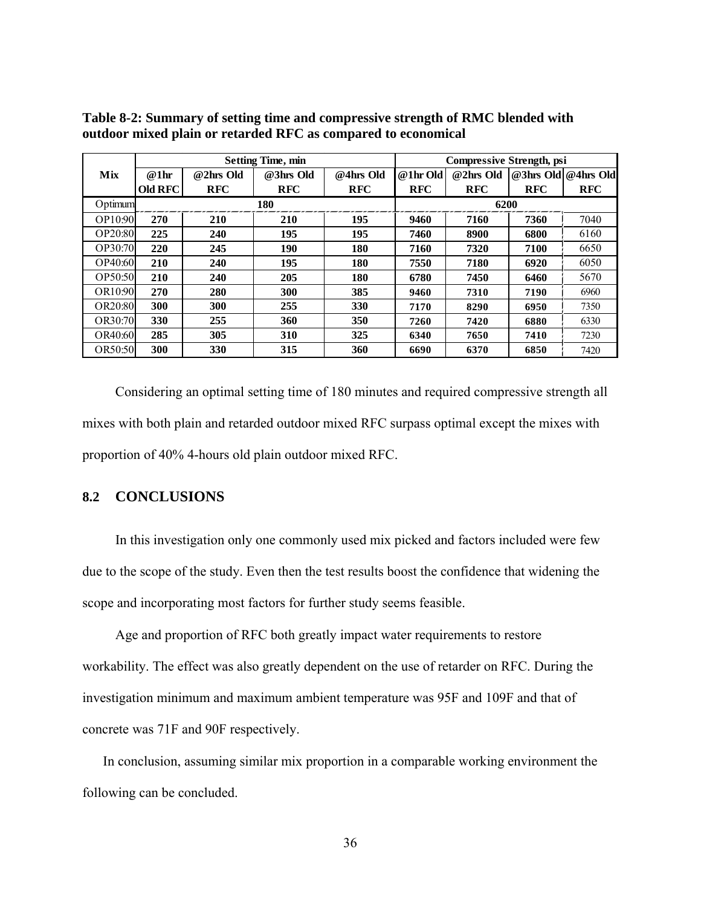|                |                |            | <b>Setting Time, min</b> | <b>Compressive Strength, psi</b> |            |            |            |                     |  |  |  |
|----------------|----------------|------------|--------------------------|----------------------------------|------------|------------|------------|---------------------|--|--|--|
| Mix            | @1hr           | @2hrs Old  | @3hrs Old                | @4hrs Old                        | @1hr Old   | @2hrs Old  |            | @3hrs Old @4hrs Old |  |  |  |
|                | <b>Old RFC</b> | <b>RFC</b> | <b>RFC</b>               | <b>RFC</b>                       | <b>RFC</b> | <b>RFC</b> | <b>RFC</b> | <b>RFC</b>          |  |  |  |
| Optimum        |                |            | 180                      |                                  | 6200       |            |            |                     |  |  |  |
| OP10:90        | 270            | <b>210</b> | 210                      | 195                              | 9460       | 7160       | 7360       | 7040                |  |  |  |
| OP20:80        | 225            | 240        | 195                      | 195                              | 7460       | 8900       | 6800       | 6160                |  |  |  |
| OP30:70        | 220            | 245        | 190                      | 180                              | 7160       | 7320       | 7100       | 6650                |  |  |  |
| OP40:60        | 210            | 240        | 195                      | 180                              | 7550       | 7180       | 6920       | 6050                |  |  |  |
| OP50:50        | 210            | 240        | 205                      | 180                              | 6780       | 7450       | 6460       | 5670                |  |  |  |
| OR10:90        | 270            | 280        | 300                      | 385                              | 9460       | 7310       | 7190       | 6960                |  |  |  |
| OR20:80        | 300            | 300        | 255                      | <b>330</b>                       | 7170       | 8290       | 6950       | 7350                |  |  |  |
| OR30:70        | 330            | 255        | 360                      | 350                              | 7260       | 7420       | 6880       | 6330                |  |  |  |
| OR40:60        | 285            | 305        | 310                      | 325                              | 6340       | 7650       | 7410       | 7230                |  |  |  |
| <b>OR50:50</b> | 300            | 330        | 315                      | 360                              | 6690       | 6370       | 6850       | 7420                |  |  |  |

**Table 8-2: Summary of setting time and compressive strength of RMC blended with outdoor mixed plain or retarded RFC as compared to economical** 

Considering an optimal setting time of 180 minutes and required compressive strength all mixes with both plain and retarded outdoor mixed RFC surpass optimal except the mixes with proportion of 40% 4-hours old plain outdoor mixed RFC.

## **8.2 CONCLUSIONS**

In this investigation only one commonly used mix picked and factors included were few due to the scope of the study. Even then the test results boost the confidence that widening the scope and incorporating most factors for further study seems feasible.

Age and proportion of RFC both greatly impact water requirements to restore workability. The effect was also greatly dependent on the use of retarder on RFC. During the investigation minimum and maximum ambient temperature was 95F and 109F and that of concrete was 71F and 90F respectively.

In conclusion, assuming similar mix proportion in a comparable working environment the following can be concluded.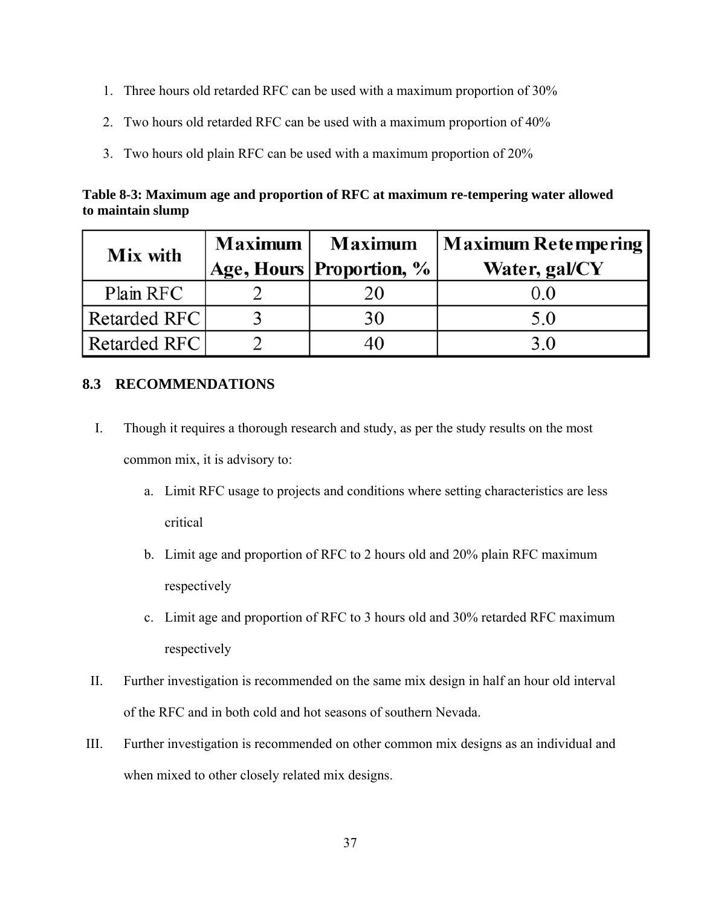- 1. Three hours old retarded RFC can be used with a maximum proportion of 30%
- 2. Two hours old retarded RFC can be used with a maximum proportion of 40%
- 3. Two hours old plain RFC can be used with a maximum proportion of 20%

**Table 8-3: Maximum age and proportion of RFC at maximum re-tempering water allowed to maintain slump** 

| <b>Mix with</b> | Maximum | <b>Maximum</b>           | Maximum Retempering |  |  |  |  |
|-----------------|---------|--------------------------|---------------------|--|--|--|--|
|                 |         | Age, Hours Proportion, % | Water, gal/CY       |  |  |  |  |
| Plain RFC       |         |                          |                     |  |  |  |  |
| Retarded RFC    |         | 30                       | 5.0                 |  |  |  |  |
| Retarded RFC    |         |                          | 3 Q                 |  |  |  |  |

## **8.3 RECOMMENDATIONS**

- I. Though it requires a thorough research and study, as per the study results on the most common mix, it is advisory to:
	- a. Limit RFC usage to projects and conditions where setting characteristics are less critical
	- b. Limit age and proportion of RFC to 2 hours old and 20% plain RFC maximum respectively
	- c. Limit age and proportion of RFC to 3 hours old and 30% retarded RFC maximum respectively
- II. Further investigation is recommended on the same mix design in half an hour old interval of the RFC and in both cold and hot seasons of southern Nevada.
- III. Further investigation is recommended on other common mix designs as an individual and when mixed to other closely related mix designs.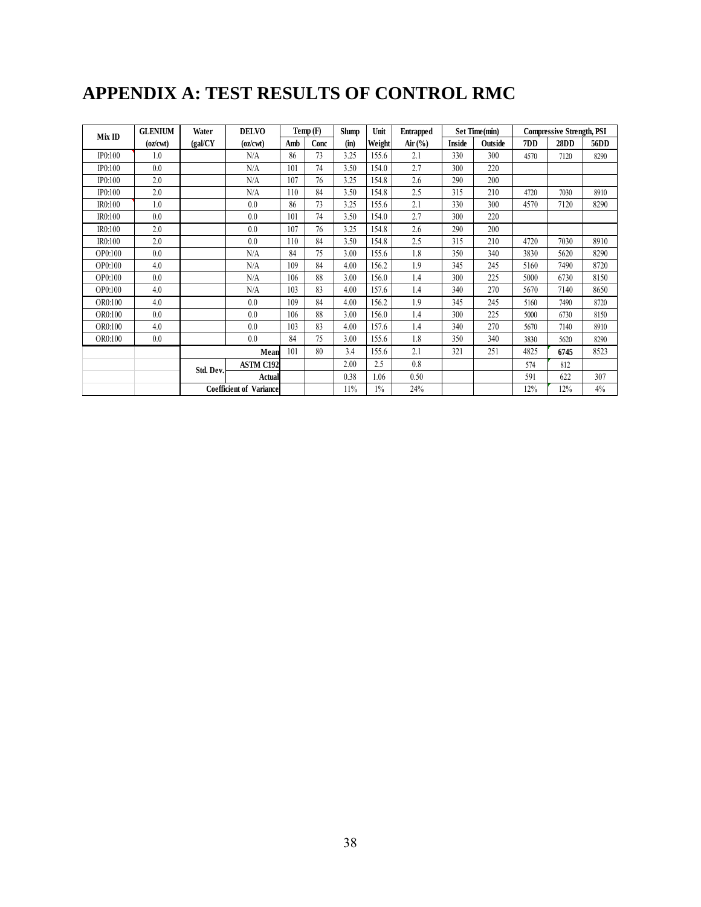# **APPENDIX A: TEST RESULTS OF CONTROL RMC**

| Mix ID  | <b>GLENIUM</b> | Water     | <b>DELVO</b>                   |     | Temp(F) | <b>Slump</b> | Unit   | <b>Entrapped</b>               |        | Set Time(min) |      | <b>Compressive Strength, PSI</b> |      |
|---------|----------------|-----------|--------------------------------|-----|---------|--------------|--------|--------------------------------|--------|---------------|------|----------------------------------|------|
|         | (oz/cwt)       | (gal/CY)  | (oz/cwt)                       | Amb | Conc    | (in)         | Weight | Air $\left(\frac{6}{6}\right)$ | Inside | Outside       | 7DD  | 28DD                             | 56DD |
| IP0:100 | 1.0            |           | N/A                            | 86  | 73      | 3.25         | 155.6  | 2.1                            | 330    | 300           | 4570 | 7120                             | 8290 |
| IP0:100 | 0.0            |           | N/A                            | 101 | 74      | 3.50         | 154.0  | 2.7                            | 300    | 220           |      |                                  |      |
| IP0:100 | 2.0            |           | N/A                            | 107 | 76      | 3.25         | 154.8  | 2.6                            | 290    | 200           |      |                                  |      |
| IP0:100 | 2.0            |           | N/A                            | 110 | 84      | 3.50         | 154.8  | 2.5                            | 315    | 210           | 4720 | 7030                             | 8910 |
| IR0:100 | 1.0            |           | 0.0                            | 86  | 73      | 3.25         | 155.6  | 2.1                            | 330    | 300           | 4570 | 7120                             | 8290 |
| IR0:100 | 0.0            |           | 0.0                            | 101 | 74      | 3.50         | 154.0  | 2.7                            | 300    | 220           |      |                                  |      |
| IR0:100 | 2.0            |           | 0.0                            | 107 | 76      | 3.25         | 154.8  | 2.6                            | 290    | 200           |      |                                  |      |
| IR0:100 | 2.0            |           | 0.0                            | 110 | 84      | 3.50         | 154.8  | 2.5                            | 315    | 210           | 4720 | 7030                             | 8910 |
| OP0:100 | 0.0            |           | N/A                            | 84  | 75      | 3.00         | 155.6  | 1.8                            | 350    | 340           | 3830 | 5620                             | 8290 |
| OP0:100 | 4.0            |           | N/A                            | 109 | 84      | 4.00         | 156.2  | 1.9                            | 345    | 245           | 5160 | 7490                             | 8720 |
| OP0:100 | 0.0            |           | N/A                            | 106 | 88      | 3.00         | 156.0  | 1.4                            | 300    | 225           | 5000 | 6730                             | 8150 |
| OP0:100 | 4.0            |           | N/A                            | 103 | 83      | 4.00         | 157.6  | 1.4                            | 340    | 270           | 5670 | 7140                             | 8650 |
| OR0:100 | 4.0            |           | 0.0                            | 109 | 84      | 4.00         | 156.2  | 1.9                            | 345    | 245           | 5160 | 7490                             | 8720 |
| OR0:100 | 0.0            |           | 0.0                            | 106 | 88      | 3.00         | 156.0  | 1.4                            | 300    | 225           | 5000 | 6730                             | 8150 |
| OR0:100 | 4.0            |           | 0.0                            | 103 | 83      | 4.00         | 157.6  | 1.4                            | 340    | 270           | 5670 | 7140                             | 8910 |
| OR0:100 | 0.0            |           | 0.0                            | 84  | 75      | 3.00         | 155.6  | 1.8                            | 350    | 340           | 3830 | 5620                             | 8290 |
|         |                | Mean      |                                | 101 | 80      | 3.4          | 155.6  | 2.1                            | 321    | 251           | 4825 | 6745                             | 8523 |
|         |                | Std. Dev. | <b>ASTM C192</b>               |     |         | 2.00         | 2.5    | 0.8                            |        |               | 574  | 812                              |      |
|         |                |           | <b>Actual</b>                  |     |         | 0.38         | 1.06   | 0.50                           |        |               | 591  | 622                              | 307  |
|         |                |           | <b>Coefficient of Variance</b> |     |         | 11%          | $1\%$  | 24%                            |        |               | 12%  | 12%                              | 4%   |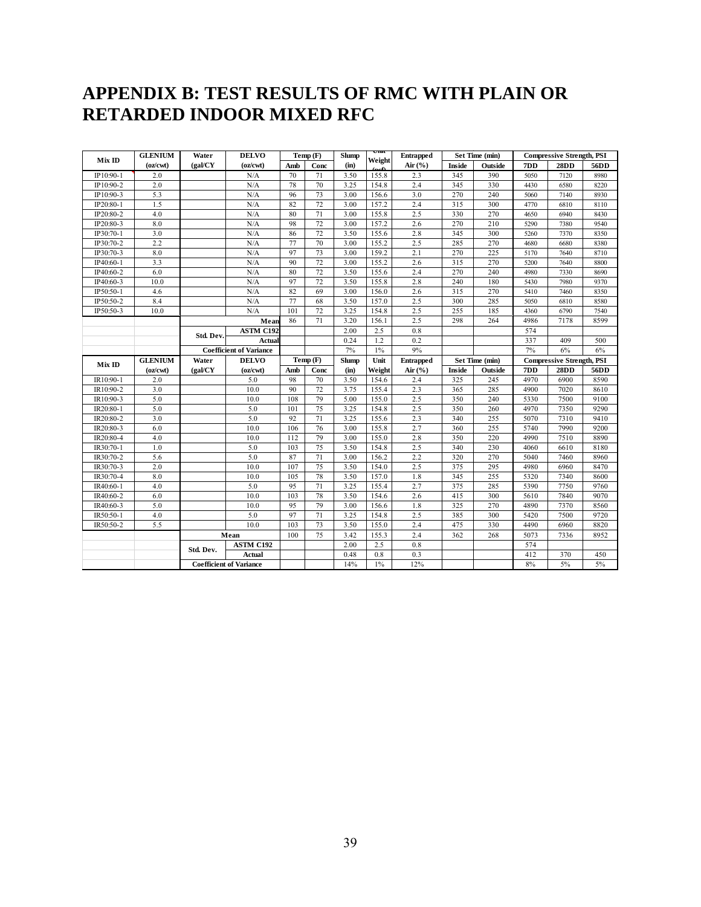## **APPENDIX B: TEST RESULTS OF RMC WITH PLAIN OR RETARDED INDOOR MIXED RFC**

|           | <b>GLENIUM</b> | Water     | <b>DELVO</b>                   |     | Temp(F) |              | $_{\rm out}$<br>Weight | <b>Entrapped</b> |        | Set Time (min) | <b>Compressive Strength, PSI</b> |                                  |      |
|-----------|----------------|-----------|--------------------------------|-----|---------|--------------|------------------------|------------------|--------|----------------|----------------------------------|----------------------------------|------|
| MixID     | (oz/cwt)       | (gal/CY)  | (oz/cwt)                       | Amb | Conc    | (in)         |                        | Air $(\%$        | Inside | Outside        | 7DD                              | 28DD                             | 56DD |
| IP10:90-1 | 2.0            |           | N/A                            | 70  | 71      | 3.50         | 155.8                  | 2.3              | 345    | 390            | 5050                             | 7120                             | 8980 |
| IP10:90-2 | 2.0            |           | N/A                            | 78  | 70      | 3.25         | 154.8                  | 2.4              | 345    | 330            | 4430                             | 6580                             | 8220 |
| IP10:90-3 | 5.3            |           | N/A                            | 96  | 73      | 3.00         | 156.6                  | 3.0              | 270    | 240            | 5060                             | 7140                             | 8930 |
| IP20:80-1 | 1.5            |           | N/A                            | 82  | 72      | 3.00         | 157.2                  | 2.4              | 315    | 300            | 4770                             | 6810                             | 8110 |
| IP20:80-2 | 4.0            |           | N/A                            | 80  | 71      | 3.00         | 155.8                  | 2.5              | 330    | 270            | 4650                             | 6940                             | 8430 |
| IP20:80-3 | 8.0            |           | N/A                            | 98  | 72      | 3.00         | 157.2                  | 2.6              | 270    | 210            | 5290                             | 7380                             | 9540 |
| IP30:70-1 | 3.0            |           | N/A                            | 86  | 72      | 3.50         | 155.6                  | 2.8              | 345    | 300            | 5260                             | 7370                             | 8350 |
| IP30:70-2 | 2.2            |           | N/A                            | 77  | 70      | 3.00         | 155.2                  | 2.5              | 285    | 270            | 4680                             | 6680                             | 8380 |
| IP30:70-3 | 8.0            |           | N/A                            | 97  | 73      | 3.00         | 159.2                  | 2.1              | 270    | 225            | 5170                             | 7640                             | 8710 |
| IP40:60-1 | 3.3            |           | N/A                            | 90  | 72      | 3.00         | 155.2                  | 2.6              | 315    | 270            | 5200                             | 7640                             | 8800 |
| IP40:60-2 | 6.0            |           | N/A                            | 80  | 72      | 3.50         | 155.6                  | 2.4              | 270    | 240            | 4980                             | 7330                             | 8690 |
| IP40:60-3 | 10.0           |           | N/A                            | 97  | 72      | 3.50         | 155.8                  | 2.8              | 240    | 180            | 5430                             | 7980                             | 9370 |
| IP50:50-1 | 4.6            |           | N/A                            | 82  | 69      | 3.00         | 156.0                  | 2.6              | 315    | 270            | 5410                             | 7460                             | 8350 |
| IP50:50-2 | 8.4            |           | N/A                            | 77  | 68      | 3.50         | 157.0                  | 2.5              | 300    | 285            | 5050                             | 6810                             | 8580 |
| IP50:50-3 | 10.0           |           | N/A                            | 101 | 72      | 3.25         | 154.8                  | 2.5              | 255    | 185            | 4360                             | 6790                             | 7540 |
|           |                |           | Mean                           | 86  | 71      | 3.20         | 156.1                  | 2.5              | 298    | 264            | 4986                             | 7178                             | 8599 |
|           |                | Std. Dev. | <b>ASTM C192</b>               |     |         | 2.00         | 2.5                    | 0.8              |        |                | 574                              |                                  |      |
|           |                |           | Actual                         |     |         | 0.24         | 1.2                    | 0.2              |        |                | 337                              | 409                              | 500  |
|           |                |           | <b>Coefficient of Variance</b> |     |         | 7%           | $1\%$<br>Unit          | 9%               |        |                | 7%                               | 6%                               | 6%   |
| Mix ID    | <b>GLENIUM</b> | Water     | <b>DELVO</b>                   |     | Temp(F) | <b>Slump</b> |                        | <b>Entrapped</b> |        | Set Time (min) |                                  | <b>Compressive Strength, PSI</b> |      |
|           | (oz/cwt)       | (gal/CY)  | (oz/cwt)                       | Amb | Conc    | (in)         | Weight                 | Air $(\%$        | Inside | Outside        | 7DD                              | 28DD                             | 56DD |
| IR10:90-1 | 2.0            |           | 5.0                            | 98  | 70      | 3.50         | 154.6                  | 2.4              | 325    | 245            | 4970                             | 6900                             | 8590 |
| IR10:90-2 | 3.0            |           | 10.0                           | 90  | 72      | 3.75         | 155.4                  | 2.3              | 365    | 285            | 4900                             | 7020                             | 8610 |
| IR10:90-3 | 5.0            |           | 10.0                           | 108 | 79      | 5.00         | 155.0                  | 2.5              | 350    | 240            | 5330                             | 7500                             | 9100 |
| IR20:80-1 | 5.0            |           | 5.0                            | 101 | 75      | 3.25         | 154.8                  | 2.5              | 350    | 260            | 4970                             | 7350                             | 9290 |
| IR20:80-2 | 3.0            |           | 5.0                            | 92  | 71      | 3.25         | 155.6                  | 2.3              | 340    | 255            | 5070                             | 7310                             | 9410 |
| IR20:80-3 | 6.0            |           | 10.0                           | 106 | 76      | 3.00         | 155.8                  | 2.7              | 360    | 255            | 5740                             | 7990                             | 9200 |
| IR20:80-4 | 4.0            |           | 10.0                           | 112 | 79      | 3.00         | 155.0                  | 2.8              | 350    | 220            | 4990                             | 7510                             | 8890 |
| IR30:70-1 | 1.0            |           | 5.0                            | 103 | 75      | 3.50         | 154.8                  | 2.5              | 340    | 230            | 4060                             | 6610                             | 8180 |
| IR30:70-2 | 5.6            |           | 5.0                            | 87  | 71      | 3.00         | 156.2                  | 2.2              | 320    | 270            | 5040                             | 7460                             | 8960 |
| IR30:70-3 | 2.0            |           | 10.0                           | 107 | 75      | 3.50         | 154.0                  | 2.5              | 375    | 295            | 4980                             | 6960                             | 8470 |
| IR30:70-4 | 8.0            |           | 10.0                           | 105 | 78      | 3.50         | 157.0                  | 1.8              | 345    | 255            | 5320                             | 7340                             | 8600 |
| IR40:60-1 | 4.0            |           | 5.0                            | 95  | 71      | 3.25         | 155.4                  | 2.7              | 375    | 285            | 5390                             | 7750                             | 9760 |
| IR40:60-2 | 6.0            |           | 10.0                           | 103 | 78      | 3.50         | 154.6                  | 2.6              | 415    | 300            | 5610                             | 7840                             | 9070 |
| IR40:60-3 | 5.0            |           | 10.0                           | 95  | 79      | 3.00         | 156.6                  | 1.8              | 325    | 270            | 4890                             | 7370                             | 8560 |
| IR50:50-1 | 4.0            |           | 5.0                            | 97  | 71      | 3.25         | 154.8                  | 2.5              | 385    | 300            | 5420                             | 7500                             | 9720 |
| IR50:50-2 | 5.5            |           | 10.0                           | 103 | 73      | 3.50         | 155.0                  | 2.4              | 475    | 330            | 4490                             | 6960                             | 8820 |
|           |                |           | Mean                           | 100 | 75      | 3.42         | 155.3                  | 2.4              | 362    | 268            | 5073                             | 7336                             | 8952 |
|           |                | Std. Dev. | <b>ASTM C192</b>               |     |         | 2.00         | 2.5                    | 0.8              |        |                | 574                              |                                  |      |
|           |                |           | <b>Actual</b>                  |     |         | 0.48         | 0.8                    | 0.3              |        |                | 412                              | 370                              | 450  |
|           |                |           | <b>Coefficient of Variance</b> |     |         | 14%          | 1%                     | 12%              |        |                | 8%                               | 5%                               | 5%   |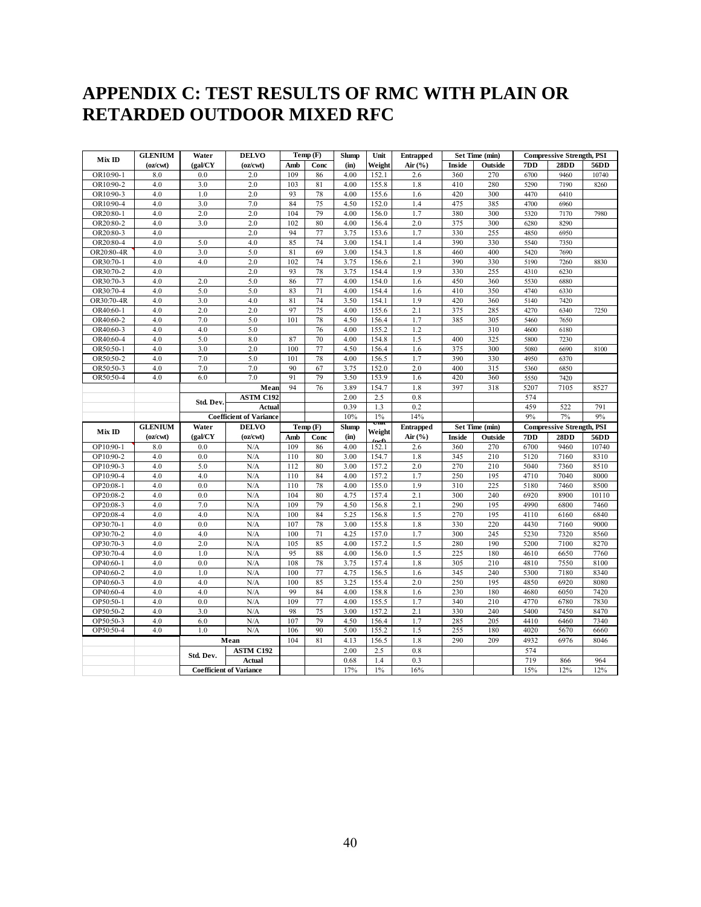## **APPENDIX C: TEST RESULTS OF RMC WITH PLAIN OR RETARDED OUTDOOR MIXED RFC**

| Mix ID                 | <b>GLENIUM</b> | Water<br><b>DELVO</b> |                                   |            | Temp(F)  | <b>Slump</b> | Unit           | <b>Entrapped</b> |            | Set Time (min) | <b>Compressive Strength, PSI</b> |                                  |              |
|------------------------|----------------|-----------------------|-----------------------------------|------------|----------|--------------|----------------|------------------|------------|----------------|----------------------------------|----------------------------------|--------------|
|                        | (oz/cwt)       | (gal/CY               | (oz/cwt)                          | Amb        | Conc     | (in)         | Weight         | Air $(\%$        | Inside     | Outside        | 7DD                              | 28DD                             | 56DD         |
| OR10:90-1              | 8.0            | 0.0                   | 2.0                               | 109        | 86       | 4.00         | 152.1          | 2.6              | 360        | 270            | 6700                             | 9460                             | 10740        |
| OR10:90-2              | 4.0            | 3.0                   | 2.0                               | 103        | 81       | 4.00         | 155.8          | 1.8              | 410        | 280            | 5290                             | 7190                             | 8260         |
| OR10:90-3              | 4.0            | 1.0                   | 2.0                               | 93         | 78       | 4.00         | 155.6          | 1.6              | 420        | 300            | 4470                             | 6410                             |              |
| OR10:90-4              | 4.0            | 3.0                   | 7.0                               | 84         | 75       | 4.50         | 152.0          | 1.4              | 475        | 385            | 4700                             | 6960                             |              |
| OR20:80-               | 4.0            | 2.0                   | 2.0                               | 104        | 79       | 4.00         | 156.0          | 1.7              | 380        | 300            | 5320                             | 7170                             | 7980         |
| OR20:80-2              | 4.0            | 3.0                   | 2.0                               | 102        | 80       | 4.00         | 156.4          | 2.0              | 375        | 300            | 6280                             | 8290                             |              |
| OR20:80-3              | 4.0            |                       | 2.0                               | 94         | 77       | 3.75         | 153.6          | 1.7              | 330        | 255            | 4850                             | 6950                             |              |
| OR20:80-4              | 4.0            | 5.0                   | 4.0                               | 85         | 74       | 3.00         | 154.1          | 1.4              | 390        | 330            | 5540                             | 7350                             |              |
| OR20:80-4R             | 4.0            | 3.0                   | 5.0                               | 81         | 69       | 3.00         | 154.3          | 1.8              | 460        | 400            | 5420                             | 7690                             |              |
| OR30:70-1              | 4.0            | 4.0                   | 2.0                               | 102        | 74       | 3.75         | 156.6          | 2.1              | 390        | 330            | 5190                             | 7260                             | 8830         |
| OR30:70-2              | 4.0            |                       | 2.0                               | 93         | 78       | 3.75         | 154.4          | 1.9              | 330        | 255            | 4310                             | 6230                             |              |
| OR30:70-3              | 4.0            | 2.0                   | 5.0                               | 86         | 77       | 4.00         | 154.0          | 1.6              | 450        | 360            | 5530                             | 6880                             |              |
| OR30:70-4              | 4.0            | 5.0                   | 5.0                               | 83         | 71       | 4.00         | 154.4          | 1.6              | 410        | 350            | 4740                             | 6330                             |              |
| OR30:70-4R             | 4.0            | 3.0                   | 4.0                               | 81         | 74       | 3.50         | 154.1          | 1.9              | 420        | 360            | 5140                             | 7420                             |              |
| OR40:60-1              | 4.0            | 2.0                   | 2.0                               | 97         | 75       | 4.00         | 155.6          | 2.1              | 375        | 285            | 4270                             | 6340                             | 7250         |
| OR40:60-2              | 4.0            | 7.0                   | 5.0                               | 101        | 78       | 4.50         | 156.4          | 1.7              | 385        | 305            | 5460                             | 7650                             |              |
| OR40:60-3              | 4.0            | 4.0                   | 5.0                               |            | 76       | 4.00         | 155.2          | 1.2              |            | 310            | 4600                             | 6180                             |              |
| OR40:60-4              | 4.0            | 5.0                   | 8.0                               | 87         | 70       | 4.00         | 154.8          | 1.5              | 400        | 325            | 5800                             | 7230                             |              |
| OR50:50-1              | 4.0            | 3.0                   | 2.0                               | 100        | 77       | 4.50         | 156.4          | 1.6              | 375        | 300            | 5080                             | 6690                             | 8100         |
| OR50:50-2              | 4.0            | 7.0                   | 5.0                               | 101        | 78       | 4.00         | 156.5          | 1.7              | 390        | 330            | 4950                             | 6370                             |              |
| OR50:50-3              | 4.0            | 7.0                   | 7.0                               | 90         | 67       | 3.75         | 152.0          | 2.0              | 400        | 315            | 5360                             | 6850                             |              |
| OR50:50-4              | 4.0            | 6.0                   | 7.0                               | 91         | 79       | 3.50         | 153.9          | 1.6              | 420        | 360            | 5550                             | 7420                             |              |
|                        |                |                       | Mean                              | 94         | 76       | 3.89         | 154.7          | 1.8              | 397        | 318            | 5207                             | 7105                             | 8527         |
|                        |                | Std. Dev.             | <b>ASTM C192</b>                  |            |          | 2.00         | 2.5            | 0.8              |            |                | 574                              |                                  |              |
|                        |                |                       | Actual                            |            |          | 0.39         | 1.3            | 0.2              |            |                | 459                              | 522                              | 791          |
|                        |                |                       |                                   |            |          |              |                |                  |            |                |                                  |                                  |              |
|                        |                |                       | <b>Coefficient of Variance</b>    |            |          | 10%          | $1\%$<br>UШ    | 14%              |            |                | 9%                               | 7%                               | 9%           |
| Mix ID                 | <b>GLENIUM</b> | Water                 | <b>DELVO</b>                      |            | Temp (F) | <b>Slump</b> | Weight         | <b>Entrapped</b> |            | Set Time (min) |                                  | <b>Compressive Strength, PSI</b> |              |
|                        | (oz/cwt)       | (gal/CY               | (oz/cwt)                          | Amb        | Conc     | (in)         |                | Air $(\%$        | Inside     | Outside        | 7DD                              | 28DD                             | 56DD         |
| OP10:90-1              | 8.0            | 0.0                   | N/A                               | 109        | 86       | 4.00         | 152.1          | 2.6              | 360        | 270            | 6700                             | 9460                             | 10740        |
| OP10:90-2              | 4.0            | 0.0                   | N/A                               | 110        | 80       | 3.00         | 154.7          | 1.8              | 345        | 210            | 5120                             | 7160                             | 8310         |
| OP10:90-3              | 4.0            | 5.0                   | N/A                               | 112        | 80       | 3.00         | 157.2          | 2.0              | 270        | 210            | 5040                             | 7360                             | 8510         |
| OP10:90-4              | 4.0            | 4.0                   | N/A                               | 110        | 84       | 4.00         | 157.2          | 1.7              | 250        | 195            | 4710                             | 7040                             | 8000         |
| OP20:08-1              | 4.0            | 0.0                   | N/A                               | 110        | 78       | 4.00         | 155.0          | 1.9              | 310        | 225            | 5180                             | 7460                             | 8500         |
| OP20:08-2              | 4.0            | 0.0                   | N/A                               | 104        | 80       | 4.75         | 157.4          | 2.1              | 300        | 240            | 6920                             | 8900                             | 10110        |
| OP20:08-3              | 4.0            | 7.0                   | N/A                               | 109        | 79       | 4.50         | 156.8          | 2.1              | 290        | 195            | 4990                             | 6800                             | 7460         |
| OP20:08-4              | 4.0            | 4.0                   | N/A                               | 100        | 84       | 5.25         | 156.8          | 1.5              | 270        | 195            | 4110                             | 6160                             | 6840         |
| OP30:70-1              | 4.0<br>4.0     | 0.0<br>4.0            | N/A<br>N/A                        | 107<br>100 | 78<br>71 | 3.00<br>4.25 | 155.8<br>157.0 | 1.8<br>1.7       | 330<br>300 | 220<br>245     | 4430<br>5230                     | 7160<br>7320                     | 9000<br>8560 |
| OP30:70-2              |                |                       |                                   |            |          |              |                |                  |            |                |                                  |                                  |              |
| OP30:70-3<br>OP30:70-4 | 4.0<br>4.0     | 2.0<br>1.0            | N/A<br>N/A                        | 105<br>95  | 85<br>88 | 4.00<br>4.00 | 157.2          | 1.5              | 280<br>225 | 190<br>180     | 5200<br>4610                     | 7100<br>6650                     | 8270<br>7760 |
| OP40:60-1              | 4.0            | 0.0                   | N/A                               | 108        | 78       | 3.75         | 156.0<br>157.4 | 1.5<br>1.8       |            | 210            | 4810                             | 7550                             | 8100         |
|                        |                |                       |                                   |            |          |              |                |                  | 305        |                |                                  |                                  |              |
| OP40:60-2<br>OP40:60-3 | $4.0\,$        | 1.0<br>4.0            | N/A                               | 100<br>100 | 77<br>85 | 4.75<br>3.25 | 156.5          | 1.6<br>2.0       | 345        | 240<br>195     | 5300                             | 7180<br>6920                     | 8340         |
|                        | 4.0            |                       | N/A<br>N/A                        | 99         | 84       | 4.00         | 155.4          |                  | 250        |                | 4850                             | 6050                             | 8080         |
| OP40:60-4              | $4.0\,$<br>4.0 | 4.0<br>0.0            | N/A                               | 109        | 77       | 4.00         | 158.8          | 1.6<br>1.7       | 230        | 180<br>210     | 4680                             |                                  | 7420         |
| OP50:50-1              | 4.0            | 3.0                   | N/A                               | 98         | 75       | 3.00         | 155.5<br>157.2 | 2.1              | 340        | 240            | 4770<br>5400                     | 6780<br>7450                     | 7830<br>8470 |
| OP50:50-2              |                | 6.0                   | N/A                               | 107        | 79       | 4.50         |                | 1.7              | 330        | 205            |                                  |                                  |              |
| OP50:50-3<br>OP50:50-4 | 4.0<br>4.0     | 1.0                   | N/A                               | 106        | 90       | 5.00         | 156.4<br>155.2 | 1.5              | 285<br>255 | 180            | 4410<br>4020                     | 6460<br>5670                     | 7340<br>6660 |
|                        |                |                       |                                   | 104        |          |              |                |                  |            |                |                                  | 6976                             |              |
|                        |                |                       | Mean                              |            | 81       | 4.13         | 156.5          | 1.8              | 290        | 209            | 4932                             |                                  | 8046         |
|                        |                | Std. Dev.             | <b>ASTM C192</b><br><b>Actual</b> |            |          | 2.00         | 2.5            | 0.8              |            |                | 574                              |                                  |              |
|                        |                |                       | <b>Coefficient of Variance</b>    |            |          | 0.68<br>17%  | 1.4<br>$1\%$   | 0.3<br>16%       |            |                | 719<br>15%                       | 866<br>12%                       | 964<br>12%   |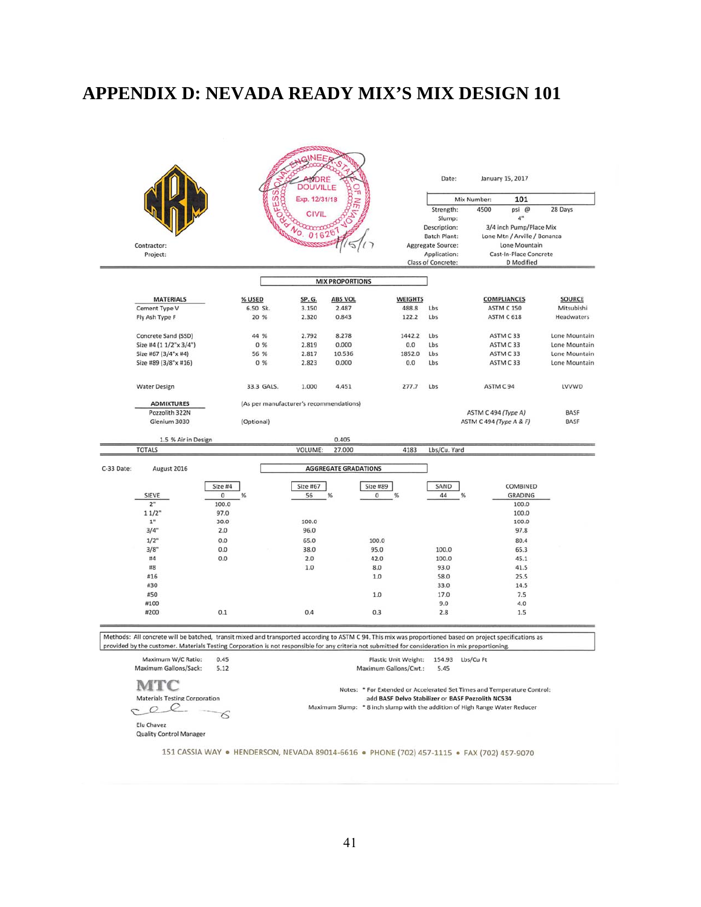# **APPENDIX D: NEVADA READY MIX'S MIX DESIGN 101**

|            |                                                                                                                                                                                                                                                                                                                |              |                                         | VDRE<br><b>DOUVILLE</b> |                             |                                                                                                                              |                | Date:                                         |                         | January 15, 2017                                              |               |
|------------|----------------------------------------------------------------------------------------------------------------------------------------------------------------------------------------------------------------------------------------------------------------------------------------------------------------|--------------|-----------------------------------------|-------------------------|-----------------------------|------------------------------------------------------------------------------------------------------------------------------|----------------|-----------------------------------------------|-------------------------|---------------------------------------------------------------|---------------|
|            |                                                                                                                                                                                                                                                                                                                |              | ESS<br>ą                                | Exp. 12/31/18           |                             |                                                                                                                              |                |                                               | Mix Number:             | 101                                                           |               |
|            |                                                                                                                                                                                                                                                                                                                |              |                                         | <b>CIVIL</b>            | ח                           |                                                                                                                              |                | Strength:                                     | 4500                    | psi @                                                         | 28 Days       |
|            |                                                                                                                                                                                                                                                                                                                |              |                                         | 016                     | $2^6$                       |                                                                                                                              |                | Slump:<br>Description:<br><b>Batch Plant:</b> |                         | 4"<br>3/4 inch Pump/Place Mix<br>Lone Mtn / Arville / Bonanza |               |
|            | Contractor:                                                                                                                                                                                                                                                                                                    |              |                                         |                         |                             |                                                                                                                              |                | <b>Aggregate Source:</b>                      |                         | Lone Mountain                                                 |               |
|            | Project:                                                                                                                                                                                                                                                                                                       |              |                                         |                         |                             |                                                                                                                              |                | Application:                                  |                         | Cast-In-Place Concrete                                        |               |
|            |                                                                                                                                                                                                                                                                                                                |              |                                         |                         |                             |                                                                                                                              |                | Class of Concrete:                            |                         | D Modified                                                    |               |
|            |                                                                                                                                                                                                                                                                                                                |              |                                         |                         | <b>MIX PROPORTIONS</b>      |                                                                                                                              |                |                                               |                         |                                                               |               |
|            |                                                                                                                                                                                                                                                                                                                |              |                                         |                         |                             |                                                                                                                              |                |                                               |                         |                                                               |               |
|            | <b>MATERIALS</b>                                                                                                                                                                                                                                                                                               |              | % USED                                  | SP. G.                  | <b>ABS VOL</b>              |                                                                                                                              | <b>WEIGHTS</b> |                                               |                         | <b>COMPLIANCES</b>                                            | <b>SOURCE</b> |
|            | Cement Type V                                                                                                                                                                                                                                                                                                  |              | 6.50 Sk.                                | 3.150                   | 2.487                       |                                                                                                                              | 488.8          | Lbs                                           |                         | <b>ASTM C 150</b>                                             | Mitsubishi    |
|            | Fly Ash Type F                                                                                                                                                                                                                                                                                                 |              | 20 %                                    | 2.320                   | 0.843                       |                                                                                                                              | 122.2          | Lbs                                           |                         | ASTM C 618                                                    | Headwaters    |
|            |                                                                                                                                                                                                                                                                                                                |              | 44 %                                    | 2.792                   | 8.278                       |                                                                                                                              | 1442.2         | Lbs                                           |                         | ASTM C33                                                      | Lone Mountain |
|            | Concrete Sand (SSD)<br>Size #4 (1 1/2"x 3/4")                                                                                                                                                                                                                                                                  |              | 0 %                                     | 2.819                   | 0.000                       |                                                                                                                              | 0.0            | Lbs                                           |                         | ASTM C33                                                      | Lone Mountain |
|            | Size #67 (3/4"x #4)                                                                                                                                                                                                                                                                                            |              | 56 %                                    | 2.817                   | 10.536                      |                                                                                                                              | 1852.0         | Lbs                                           |                         | ASTM C33                                                      | Lone Mountain |
|            | Size #89 (3/8"x #16)                                                                                                                                                                                                                                                                                           |              | 0 %                                     | 2.823                   | 0.000                       |                                                                                                                              | 0.0            | Lbs                                           |                         | ASTM C33                                                      | Lone Mountain |
|            |                                                                                                                                                                                                                                                                                                                |              |                                         |                         |                             |                                                                                                                              |                |                                               |                         |                                                               |               |
|            | <b>Water Design</b>                                                                                                                                                                                                                                                                                            |              | 33.3 GALS.                              | 1.000                   | 4.451                       |                                                                                                                              | 277.7          | Lbs                                           |                         | ASTM C94                                                      | LVVWD         |
|            | <b>ADMIXTURES</b>                                                                                                                                                                                                                                                                                              |              | (As per manufacturer's recommendations) |                         |                             |                                                                                                                              |                |                                               |                         |                                                               |               |
|            | Pozzolith 322N                                                                                                                                                                                                                                                                                                 |              |                                         |                         |                             |                                                                                                                              |                |                                               | ASTM C 494 (Type A)     |                                                               | <b>BASF</b>   |
|            | Glenium 3030                                                                                                                                                                                                                                                                                                   |              | (Optional)                              |                         |                             |                                                                                                                              |                |                                               | ASTM C 494 (Type A & F) |                                                               | <b>BASF</b>   |
|            |                                                                                                                                                                                                                                                                                                                |              |                                         |                         |                             |                                                                                                                              |                |                                               |                         |                                                               |               |
|            | 1.5 % Air in Design<br><b>TOTALS</b>                                                                                                                                                                                                                                                                           |              |                                         | VOLUME:                 | 0.405<br>27.000             |                                                                                                                              | 4183           | Lbs/Cu. Yard                                  |                         |                                                               |               |
|            |                                                                                                                                                                                                                                                                                                                |              |                                         |                         |                             |                                                                                                                              |                |                                               |                         |                                                               |               |
| C-33 Date: | August 2016                                                                                                                                                                                                                                                                                                    |              |                                         |                         | <b>AGGREGATE GRADATIONS</b> |                                                                                                                              |                |                                               |                         |                                                               |               |
|            |                                                                                                                                                                                                                                                                                                                | Size #4      |                                         | Size #67                |                             | Size #89                                                                                                                     |                | SAND                                          |                         | COMBINED                                                      |               |
|            | SIEVE                                                                                                                                                                                                                                                                                                          | 0            | %                                       | 56                      | %                           | $\mathbf 0$<br>%                                                                                                             |                | 44                                            | %                       | <b>GRADING</b>                                                |               |
|            | 2 <sup>n</sup>                                                                                                                                                                                                                                                                                                 | 100.0        |                                         |                         |                             |                                                                                                                              |                |                                               |                         | 100.0                                                         |               |
|            | 11/2"                                                                                                                                                                                                                                                                                                          | 97.0         |                                         |                         |                             |                                                                                                                              |                |                                               |                         | 100.0                                                         |               |
|            | $1"$                                                                                                                                                                                                                                                                                                           | 30.0         |                                         | 100.0                   |                             |                                                                                                                              |                |                                               |                         | 100.0                                                         |               |
|            | 3/4"                                                                                                                                                                                                                                                                                                           | 2.0          |                                         | 96.0                    |                             |                                                                                                                              |                |                                               |                         | 97.8                                                          |               |
|            | 1/2"                                                                                                                                                                                                                                                                                                           | 0.0          |                                         | 65.0                    |                             | 100.0                                                                                                                        |                |                                               |                         | 80.4                                                          |               |
|            | 3/8"                                                                                                                                                                                                                                                                                                           | 0.0          |                                         | 38.0                    |                             | 95.0                                                                                                                         |                | 100.0                                         |                         | 65.3                                                          |               |
|            | #4                                                                                                                                                                                                                                                                                                             | 0.0          |                                         | 2.0                     |                             | 42.0                                                                                                                         |                | 100.0                                         |                         | 45.1                                                          |               |
|            | #8                                                                                                                                                                                                                                                                                                             |              |                                         | 1.0                     |                             | 8.0                                                                                                                          |                | 93.0                                          |                         | 41.5                                                          |               |
|            | #16                                                                                                                                                                                                                                                                                                            |              |                                         |                         |                             | 1.0                                                                                                                          |                | 58.0                                          |                         | 25.5                                                          |               |
|            | #30                                                                                                                                                                                                                                                                                                            |              |                                         |                         |                             |                                                                                                                              |                | 33.0                                          |                         | 14.5                                                          |               |
|            | #50<br>#100                                                                                                                                                                                                                                                                                                    |              |                                         |                         |                             | 1.0                                                                                                                          |                | 17.0<br>9.0                                   |                         | 7.5                                                           |               |
|            | #200                                                                                                                                                                                                                                                                                                           | 0.1          |                                         | 0.4                     |                             | 0.3                                                                                                                          |                | 2.8                                           |                         | 4.0<br>1.5                                                    |               |
|            | Methods: All concrete will be batched, transit mixed and transported according to ASTM C 94. This mix was proportioned based on project specifications as<br>provided by the customer. Materials Testing Corporation is not responsible for any criteria not submitted for consideration in mix proportioning. |              |                                         |                         |                             |                                                                                                                              |                |                                               |                         |                                                               |               |
|            |                                                                                                                                                                                                                                                                                                                |              |                                         |                         |                             |                                                                                                                              |                |                                               |                         |                                                               |               |
|            | Maximum W/C Ratio:<br>Maximum Gallons/Sack:                                                                                                                                                                                                                                                                    | 0.45<br>5.12 |                                         |                         |                             | Plastic Unit Weight:<br>Maximum Gallons/Cwt.:                                                                                |                | 5.45                                          | 154.93 Lbs/Cu Ft        |                                                               |               |
|            |                                                                                                                                                                                                                                                                                                                |              |                                         |                         |                             |                                                                                                                              |                |                                               |                         |                                                               |               |
|            | <b>Materials Testing Corporation</b>                                                                                                                                                                                                                                                                           |              |                                         |                         |                             | Notes: * For Extended or Accelerated Set Times and Temperature Control:<br>add BASF Delvo Stabilizer or BASF Pozzolith NC534 |                |                                               |                         |                                                               |               |
|            |                                                                                                                                                                                                                                                                                                                |              |                                         |                         |                             | Maximum Slump: * 8 inch slump with the addition of High Range Water Reducer                                                  |                |                                               |                         |                                                               |               |
|            |                                                                                                                                                                                                                                                                                                                |              |                                         |                         |                             |                                                                                                                              |                |                                               |                         |                                                               |               |
|            | Elu Chavez                                                                                                                                                                                                                                                                                                     |              |                                         |                         |                             |                                                                                                                              |                |                                               |                         |                                                               |               |
|            | <b>Quality Control Manager</b>                                                                                                                                                                                                                                                                                 |              |                                         |                         |                             |                                                                                                                              |                |                                               |                         |                                                               |               |
|            |                                                                                                                                                                                                                                                                                                                |              |                                         |                         |                             | 151 CASSIA WAY . HENDERSON, NEVADA 89014-6616 . PHONE (702) 457-1115 . FAX (702) 457-9070                                    |                |                                               |                         |                                                               |               |
|            |                                                                                                                                                                                                                                                                                                                |              |                                         |                         |                             |                                                                                                                              |                |                                               |                         |                                                               |               |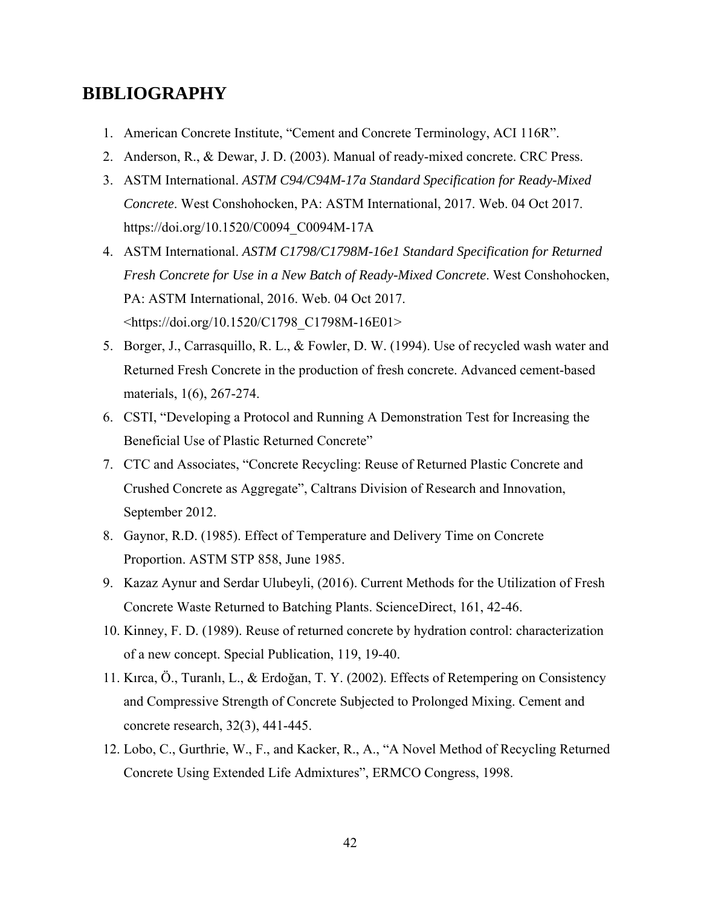## **BIBLIOGRAPHY**

- 1. American Concrete Institute, "Cement and Concrete Terminology, ACI 116R".
- 2. Anderson, R., & Dewar, J. D. (2003). Manual of ready-mixed concrete. CRC Press.
- 3. ASTM International. *ASTM C94/C94M-17a Standard Specification for Ready-Mixed Concrete*. West Conshohocken, PA: ASTM International, 2017. Web. 04 Oct 2017. https://doi.org/10.1520/C0094\_C0094M-17A
- 4. ASTM International. *ASTM C1798/C1798M-16e1 Standard Specification for Returned Fresh Concrete for Use in a New Batch of Ready-Mixed Concrete*. West Conshohocken, PA: ASTM International, 2016. Web. 04 Oct 2017. <https://doi.org/10.1520/C1798\_C1798M-16E01>
- 5. Borger, J., Carrasquillo, R. L., & Fowler, D. W. (1994). Use of recycled wash water and Returned Fresh Concrete in the production of fresh concrete. Advanced cement-based materials, 1(6), 267-274.
- 6. CSTI, "Developing a Protocol and Running A Demonstration Test for Increasing the Beneficial Use of Plastic Returned Concrete"
- 7. CTC and Associates, "Concrete Recycling: Reuse of Returned Plastic Concrete and Crushed Concrete as Aggregate", Caltrans Division of Research and Innovation, September 2012.
- 8. Gaynor, R.D. (1985). Effect of Temperature and Delivery Time on Concrete Proportion. ASTM STP 858, June 1985.
- 9. Kazaz Aynur and Serdar Ulubeyli, (2016). Current Methods for the Utilization of Fresh Concrete Waste Returned to Batching Plants. ScienceDirect, 161, 42-46.
- 10. Kinney, F. D. (1989). Reuse of returned concrete by hydration control: characterization of a new concept. Special Publication, 119, 19-40.
- 11. Kırca, Ö., Turanlı, L., & Erdoğan, T. Y. (2002). Effects of Retempering on Consistency and Compressive Strength of Concrete Subjected to Prolonged Mixing. Cement and concrete research, 32(3), 441-445.
- 12. Lobo, C., Gurthrie, W., F., and Kacker, R., A., "A Novel Method of Recycling Returned Concrete Using Extended Life Admixtures", ERMCO Congress, 1998.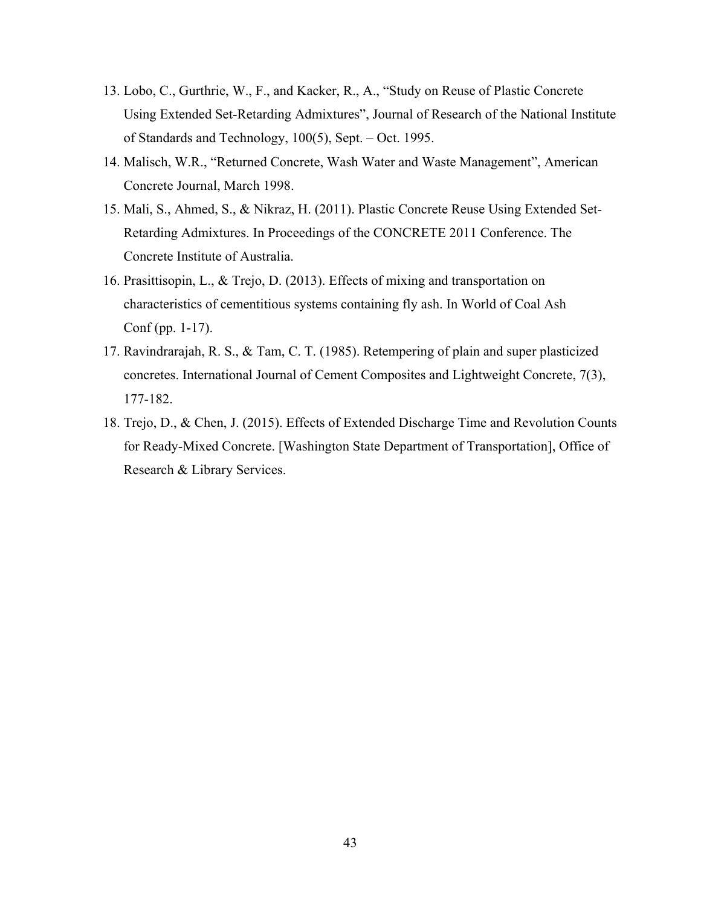- 13. Lobo, C., Gurthrie, W., F., and Kacker, R., A., "Study on Reuse of Plastic Concrete Using Extended Set-Retarding Admixtures", Journal of Research of the National Institute of Standards and Technology, 100(5), Sept. – Oct. 1995.
- 14. Malisch, W.R., "Returned Concrete, Wash Water and Waste Management", American Concrete Journal, March 1998.
- 15. Mali, S., Ahmed, S., & Nikraz, H. (2011). Plastic Concrete Reuse Using Extended Set-Retarding Admixtures. In Proceedings of the CONCRETE 2011 Conference. The Concrete Institute of Australia.
- 16. Prasittisopin, L., & Trejo, D. (2013). Effects of mixing and transportation on characteristics of cementitious systems containing fly ash. In World of Coal Ash Conf (pp. 1-17).
- 17. Ravindrarajah, R. S., & Tam, C. T. (1985). Retempering of plain and super plasticized concretes. International Journal of Cement Composites and Lightweight Concrete, 7(3), 177-182.
- 18. Trejo, D., & Chen, J. (2015). Effects of Extended Discharge Time and Revolution Counts for Ready-Mixed Concrete. [Washington State Department of Transportation], Office of Research & Library Services.